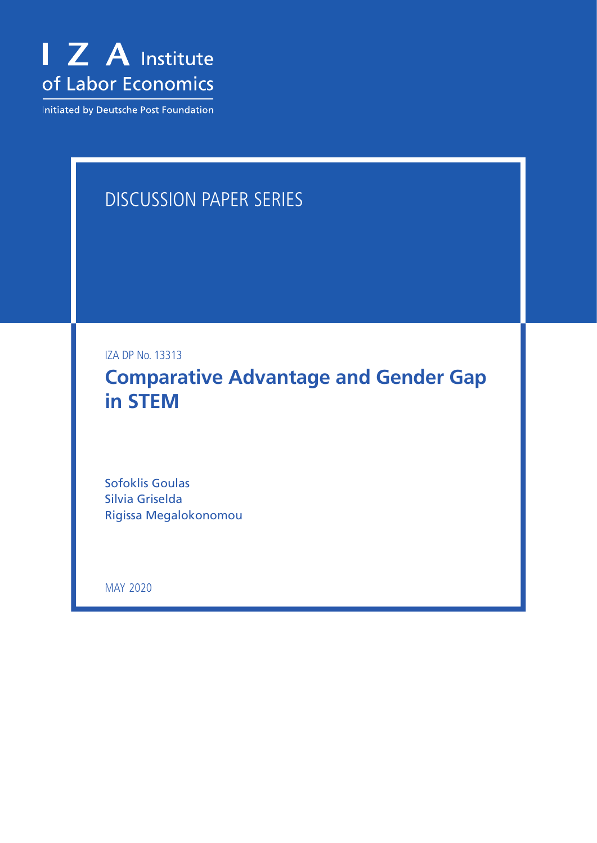

Initiated by Deutsche Post Foundation

# DISCUSSION PAPER SERIES

IZA DP No. 13313

**Comparative Advantage and Gender Gap in STEM**

Sofoklis Goulas Silvia Griselda Rigissa Megalokonomou

MAY 2020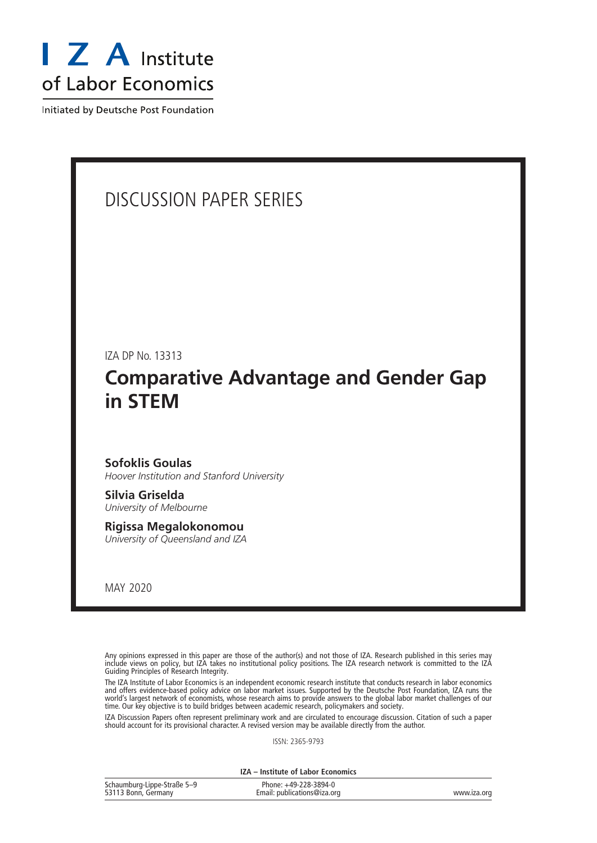

Initiated by Deutsche Post Foundation

# DISCUSSION PAPER SERIES

IZA DP No. 13313

# **Comparative Advantage and Gender Gap in STEM**

#### **Sofoklis Goulas**

*Hoover Institution and Stanford University*

**Silvia Griselda** *University of Melbourne*

**Rigissa Megalokonomou** *University of Queensland and IZA*

MAY 2020

Any opinions expressed in this paper are those of the author(s) and not those of IZA. Research published in this series may include views on policy, but IZA takes no institutional policy positions. The IZA research network is committed to the IZA Guiding Principles of Research Integrity.

The IZA Institute of Labor Economics is an independent economic research institute that conducts research in labor economics and offers evidence-based policy advice on labor market issues. Supported by the Deutsche Post Foundation, IZA runs the world's largest network of economists, whose research aims to provide answers to the global labor market challenges of our time. Our key objective is to build bridges between academic research, policymakers and society.

IZA Discussion Papers often represent preliminary work and are circulated to encourage discussion. Citation of such a paper should account for its provisional character. A revised version may be available directly from the author.

ISSN: 2365-9793

**IZA – Institute of Labor Economics**

| Schaumburg-Lippe-Straße 5-9 | Phone: +49-228-3894-0       |             |
|-----------------------------|-----------------------------|-------------|
| 53113 Bonn, Germany         | Email: publications@iza.org | www.iza.org |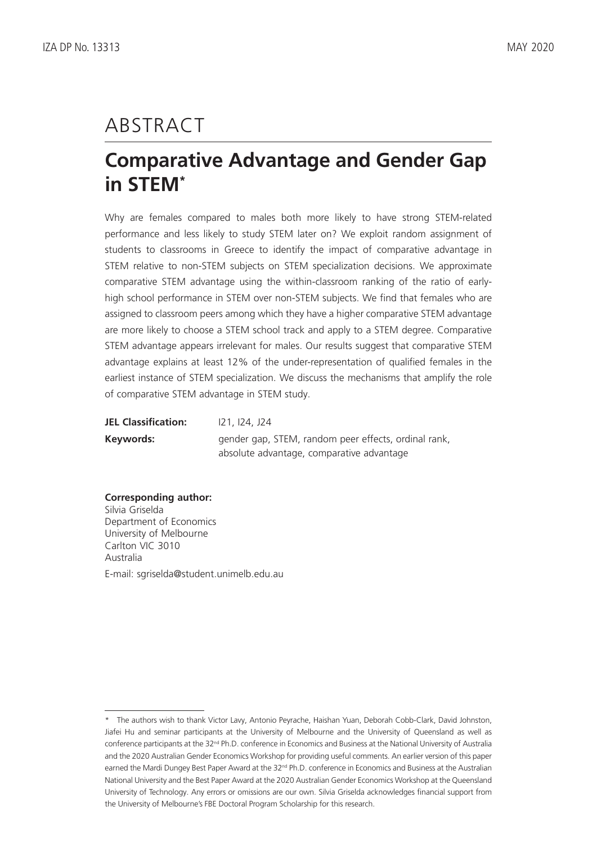# ABSTRACT

# **Comparative Advantage and Gender Gap in STEM\***

Why are females compared to males both more likely to have strong STEM-related performance and less likely to study STEM later on? We exploit random assignment of students to classrooms in Greece to identify the impact of comparative advantage in STEM relative to non-STEM subjects on STEM specialization decisions. We approximate comparative STEM advantage using the within-classroom ranking of the ratio of earlyhigh school performance in STEM over non-STEM subjects. We find that females who are assigned to classroom peers among which they have a higher comparative STEM advantage are more likely to choose a STEM school track and apply to a STEM degree. Comparative STEM advantage appears irrelevant for males. Our results suggest that comparative STEM advantage explains at least 12% of the under-representation of qualified females in the earliest instance of STEM specialization. We discuss the mechanisms that amplify the role of comparative STEM advantage in STEM study.

| <b>JEL Classification:</b> | 121, 124, J24                                        |
|----------------------------|------------------------------------------------------|
| Keywords:                  | gender gap, STEM, random peer effects, ordinal rank, |
|                            | absolute advantage, comparative advantage            |

**Corresponding author:** Silvia Griselda Department of Economics University of Melbourne Carlton VIC 3010 Australia E-mail: sgriselda@student.unimelb.edu.au

<sup>\*</sup> The authors wish to thank Victor Lavy, Antonio Peyrache, Haishan Yuan, Deborah Cobb-Clark, David Johnston, Jiafei Hu and seminar participants at the University of Melbourne and the University of Queensland as well as conference participants at the 32nd Ph.D. conference in Economics and Business at the National University of Australia and the 2020 Australian Gender Economics Workshop for providing useful comments. An earlier version of this paper earned the Mardi Dungey Best Paper Award at the 32<sup>nd</sup> Ph.D. conference in Economics and Business at the Australian National University and the Best Paper Award at the 2020 Australian Gender Economics Workshop at the Queensland University of Technology. Any errors or omissions are our own. Silvia Griselda acknowledges financial support from the University of Melbourne's FBE Doctoral Program Scholarship for this research.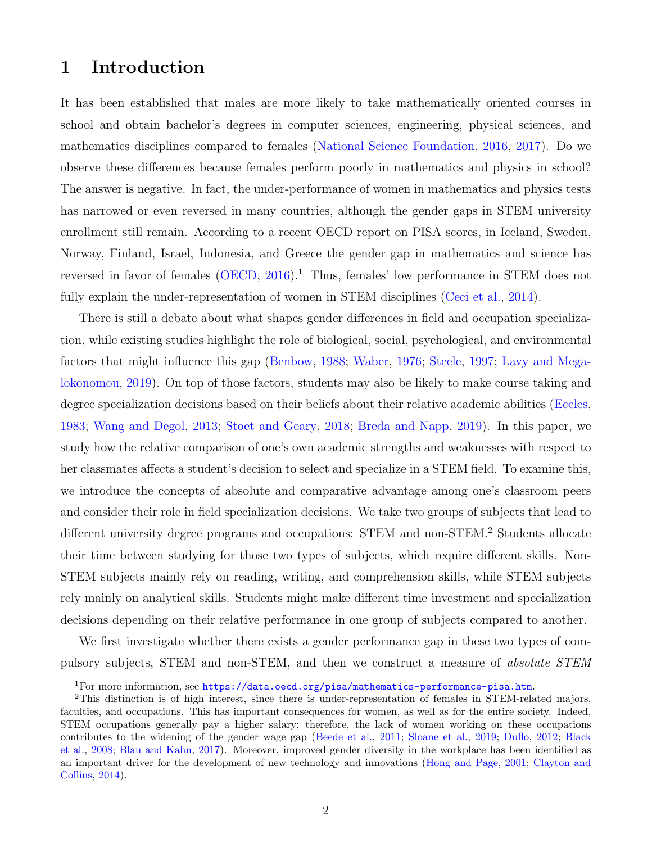# 1 Introduction

It has been established that males are more likely to take mathematically oriented courses in school and obtain bachelor's degrees in computer sciences, engineering, physical sciences, and mathematics disciplines compared to females [\(National Science Foundation,](#page-31-0) [2016,](#page-31-0) [2017\)](#page-31-1). Do we observe these differences because females perform poorly in mathematics and physics in school? The answer is negative. In fact, the under-performance of women in mathematics and physics tests has narrowed or even reversed in many countries, although the gender gaps in STEM university enrollment still remain. According to a recent OECD report on PISA scores, in Iceland, Sweden, Norway, Finland, Israel, Indonesia, and Greece the gender gap in mathematics and science has reversed in favor of females  $(OECD, 2016)$  $(OECD, 2016)$  $(OECD, 2016)$ .<sup>[1](#page-3-0)</sup> Thus, females' low performance in STEM does not fully explain the under-representation of women in STEM disciplines [\(Ceci et al.,](#page-29-0) [2014\)](#page-29-0).

There is still a debate about what shapes gender differences in field and occupation specialization, while existing studies highlight the role of biological, social, psychological, and environmental factors that might influence this gap [\(Benbow,](#page-28-0) [1988;](#page-28-0) [Waber,](#page-32-0) [1976;](#page-32-0) [Steele,](#page-32-1) [1997;](#page-32-1) [Lavy and Mega](#page-31-3)[lokonomou,](#page-31-3) [2019\)](#page-31-3). On top of those factors, students may also be likely to make course taking and degree specialization decisions based on their beliefs about their relative academic abilities [\(Eccles,](#page-29-1) [1983;](#page-29-1) [Wang and Degol,](#page-32-2) [2013;](#page-32-2) [Stoet and Geary,](#page-32-3) [2018;](#page-32-3) [Breda and Napp,](#page-28-1) [2019\)](#page-28-1). In this paper, we study how the relative comparison of one's own academic strengths and weaknesses with respect to her classmates affects a student's decision to select and specialize in a STEM field. To examine this, we introduce the concepts of absolute and comparative advantage among one's classroom peers and consider their role in field specialization decisions. We take two groups of subjects that lead to different university degree programs and occupations: STEM and non-STEM.[2](#page-3-1) Students allocate their time between studying for those two types of subjects, which require different skills. Non-STEM subjects mainly rely on reading, writing, and comprehension skills, while STEM subjects rely mainly on analytical skills. Students might make different time investment and specialization decisions depending on their relative performance in one group of subjects compared to another.

We first investigate whether there exists a gender performance gap in these two types of compulsory subjects, STEM and non-STEM, and then we construct a measure of absolute STEM

<span id="page-3-1"></span><span id="page-3-0"></span><sup>&</sup>lt;sup>1</sup>For more information, see <https://data.oecd.org/pisa/mathematics-performance-pisa.htm>.

<sup>2</sup>This distinction is of high interest, since there is under-representation of females in STEM-related majors, faculties, and occupations. This has important consequences for women, as well as for the entire society. Indeed, STEM occupations generally pay a higher salary; therefore, the lack of women working on these occupations contributes to the widening of the gender wage gap [\(Beede et al.,](#page-28-2) [2011;](#page-28-2) [Sloane et al.,](#page-32-4) [2019;](#page-32-4) [Duflo,](#page-29-2) [2012;](#page-29-2) [Black](#page-28-3) [et al.,](#page-28-3) [2008;](#page-28-3) [Blau and Kahn,](#page-28-4) [2017\)](#page-28-4). Moreover, improved gender diversity in the workplace has been identified as an important driver for the development of new technology and innovations [\(Hong and Page,](#page-30-0) [2001;](#page-30-0) [Clayton and](#page-29-3) [Collins,](#page-29-3) [2014\)](#page-29-3).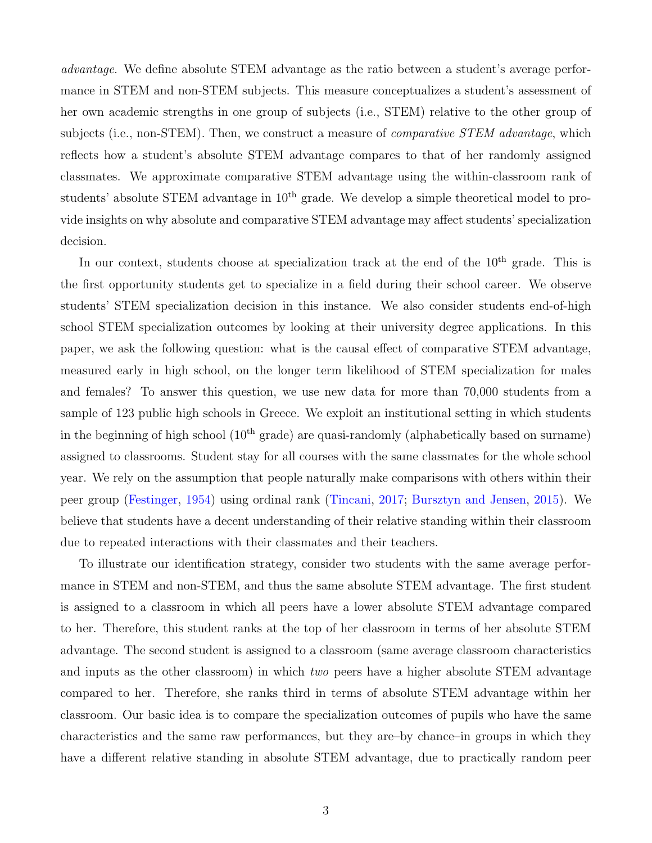advantage. We define absolute STEM advantage as the ratio between a student's average performance in STEM and non-STEM subjects. This measure conceptualizes a student's assessment of her own academic strengths in one group of subjects (i.e., STEM) relative to the other group of subjects (i.e., non-STEM). Then, we construct a measure of *comparative STEM advantage*, which reflects how a student's absolute STEM advantage compares to that of her randomly assigned classmates. We approximate comparative STEM advantage using the within-classroom rank of students' absolute STEM advantage in  $10<sup>th</sup>$  grade. We develop a simple theoretical model to provide insights on why absolute and comparative STEM advantage may affect students' specialization decision.

In our context, students choose at specialization track at the end of the 10<sup>th</sup> grade. This is the first opportunity students get to specialize in a field during their school career. We observe students' STEM specialization decision in this instance. We also consider students end-of-high school STEM specialization outcomes by looking at their university degree applications. In this paper, we ask the following question: what is the causal effect of comparative STEM advantage, measured early in high school, on the longer term likelihood of STEM specialization for males and females? To answer this question, we use new data for more than 70,000 students from a sample of 123 public high schools in Greece. We exploit an institutional setting in which students in the beginning of high school  $(10<sup>th</sup> grade)$  are quasi-randomly (alphabetically based on surname) assigned to classrooms. Student stay for all courses with the same classmates for the whole school year. We rely on the assumption that people naturally make comparisons with others within their peer group [\(Festinger,](#page-30-1) [1954\)](#page-30-1) using ordinal rank [\(Tincani,](#page-32-5) [2017;](#page-32-5) [Bursztyn and Jensen,](#page-28-5) [2015\)](#page-28-5). We believe that students have a decent understanding of their relative standing within their classroom due to repeated interactions with their classmates and their teachers.

To illustrate our identification strategy, consider two students with the same average performance in STEM and non-STEM, and thus the same absolute STEM advantage. The first student is assigned to a classroom in which all peers have a lower absolute STEM advantage compared to her. Therefore, this student ranks at the top of her classroom in terms of her absolute STEM advantage. The second student is assigned to a classroom (same average classroom characteristics and inputs as the other classroom) in which two peers have a higher absolute STEM advantage compared to her. Therefore, she ranks third in terms of absolute STEM advantage within her classroom. Our basic idea is to compare the specialization outcomes of pupils who have the same characteristics and the same raw performances, but they are–by chance–in groups in which they have a different relative standing in absolute STEM advantage, due to practically random peer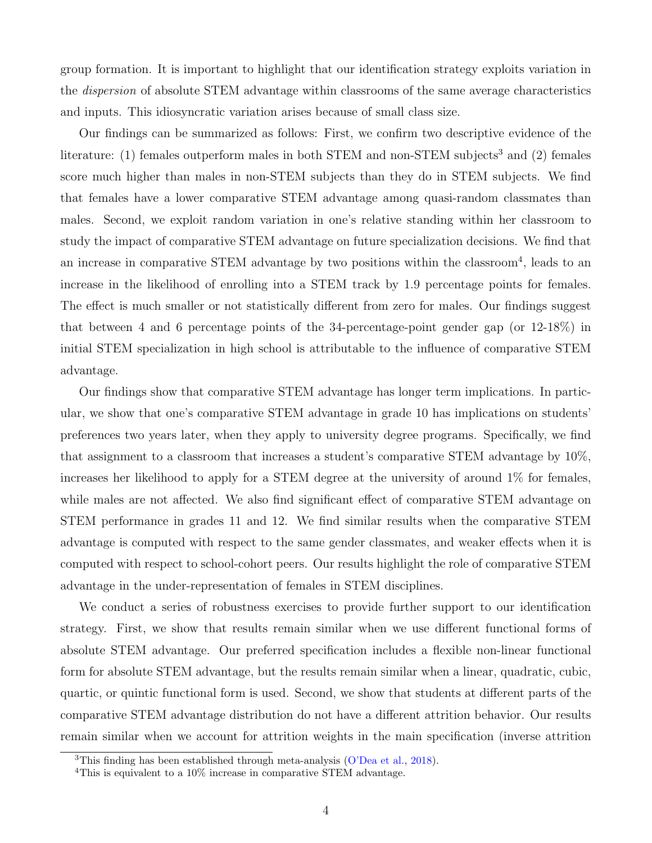group formation. It is important to highlight that our identification strategy exploits variation in the dispersion of absolute STEM advantage within classrooms of the same average characteristics and inputs. This idiosyncratic variation arises because of small class size.

Our findings can be summarized as follows: First, we confirm two descriptive evidence of the literature: (1) females outperform males in both STEM and non-STEM subjects<sup>[3](#page-5-0)</sup> and (2) females score much higher than males in non-STEM subjects than they do in STEM subjects. We find that females have a lower comparative STEM advantage among quasi-random classmates than males. Second, we exploit random variation in one's relative standing within her classroom to study the impact of comparative STEM advantage on future specialization decisions. We find that an increase in comparative STEM advantage by two positions within the classroom<sup>[4](#page-5-1)</sup>, leads to an increase in the likelihood of enrolling into a STEM track by 1.9 percentage points for females. The effect is much smaller or not statistically different from zero for males. Our findings suggest that between 4 and 6 percentage points of the 34-percentage-point gender gap (or 12-18%) in initial STEM specialization in high school is attributable to the influence of comparative STEM advantage.

Our findings show that comparative STEM advantage has longer term implications. In particular, we show that one's comparative STEM advantage in grade 10 has implications on students' preferences two years later, when they apply to university degree programs. Specifically, we find that assignment to a classroom that increases a student's comparative STEM advantage by 10%, increases her likelihood to apply for a STEM degree at the university of around 1% for females, while males are not affected. We also find significant effect of comparative STEM advantage on STEM performance in grades 11 and 12. We find similar results when the comparative STEM advantage is computed with respect to the same gender classmates, and weaker effects when it is computed with respect to school-cohort peers. Our results highlight the role of comparative STEM advantage in the under-representation of females in STEM disciplines.

We conduct a series of robustness exercises to provide further support to our identification strategy. First, we show that results remain similar when we use different functional forms of absolute STEM advantage. Our preferred specification includes a flexible non-linear functional form for absolute STEM advantage, but the results remain similar when a linear, quadratic, cubic, quartic, or quintic functional form is used. Second, we show that students at different parts of the comparative STEM advantage distribution do not have a different attrition behavior. Our results remain similar when we account for attrition weights in the main specification (inverse attrition

<span id="page-5-0"></span><sup>&</sup>lt;sup>3</sup>This finding has been established through meta-analysis [\(O'Dea et al.,](#page-31-4) [2018\)](#page-31-4).

<span id="page-5-1"></span><sup>&</sup>lt;sup>4</sup>This is equivalent to a 10% increase in comparative STEM advantage.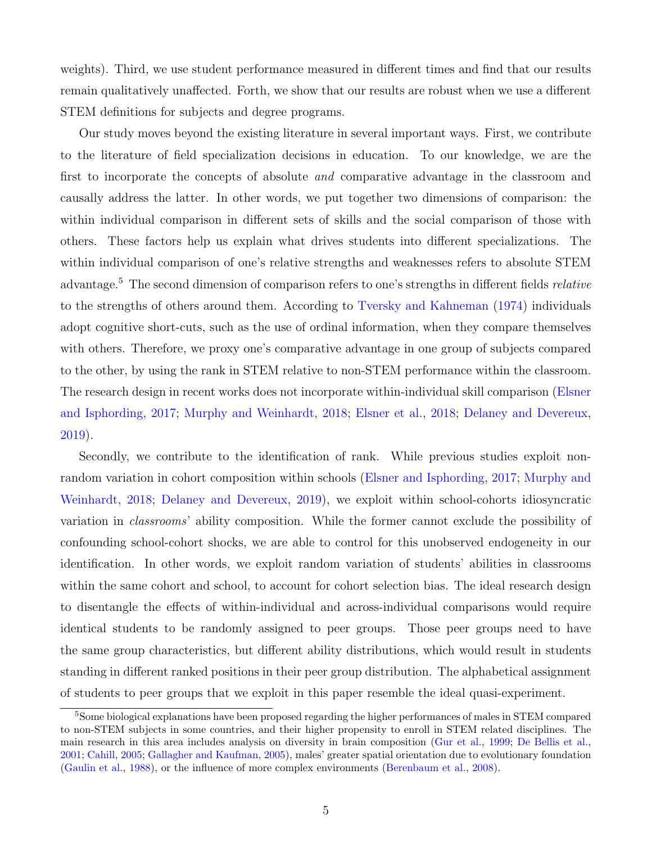weights). Third, we use student performance measured in different times and find that our results remain qualitatively unaffected. Forth, we show that our results are robust when we use a different STEM definitions for subjects and degree programs.

Our study moves beyond the existing literature in several important ways. First, we contribute to the literature of field specialization decisions in education. To our knowledge, we are the first to incorporate the concepts of absolute and comparative advantage in the classroom and causally address the latter. In other words, we put together two dimensions of comparison: the within individual comparison in different sets of skills and the social comparison of those with others. These factors help us explain what drives students into different specializations. The within individual comparison of one's relative strengths and weaknesses refers to absolute STEM advantage.[5](#page-6-0) The second dimension of comparison refers to one's strengths in different fields relative to the strengths of others around them. According to [Tversky and Kahneman](#page-32-6) [\(1974\)](#page-32-6) individuals adopt cognitive short-cuts, such as the use of ordinal information, when they compare themselves with others. Therefore, we proxy one's comparative advantage in one group of subjects compared to the other, by using the rank in STEM relative to non-STEM performance within the classroom. The research design in recent works does not incorporate within-individual skill comparison [\(Elsner](#page-29-4) [and Isphording,](#page-29-4) [2017;](#page-29-4) [Murphy and Weinhardt,](#page-31-5) [2018;](#page-31-5) [Elsner et al.,](#page-30-2) [2018;](#page-30-2) [Delaney and Devereux,](#page-29-5) [2019\)](#page-29-5).

Secondly, we contribute to the identification of rank. While previous studies exploit nonrandom variation in cohort composition within schools [\(Elsner and Isphording,](#page-29-4) [2017;](#page-29-4) [Murphy and](#page-31-5) [Weinhardt,](#page-31-5) [2018;](#page-31-5) [Delaney and Devereux,](#page-29-5) [2019\)](#page-29-5), we exploit within school-cohorts idiosyncratic variation in classrooms' ability composition. While the former cannot exclude the possibility of confounding school-cohort shocks, we are able to control for this unobserved endogeneity in our identification. In other words, we exploit random variation of students' abilities in classrooms within the same cohort and school, to account for cohort selection bias. The ideal research design to disentangle the effects of within-individual and across-individual comparisons would require identical students to be randomly assigned to peer groups. Those peer groups need to have the same group characteristics, but different ability distributions, which would result in students standing in different ranked positions in their peer group distribution. The alphabetical assignment of students to peer groups that we exploit in this paper resemble the ideal quasi-experiment.

<span id="page-6-0"></span><sup>&</sup>lt;sup>5</sup>Some biological explanations have been proposed regarding the higher performances of males in STEM compared to non-STEM subjects in some countries, and their higher propensity to enroll in STEM related disciplines. The main research in this area includes analysis on diversity in brain composition [\(Gur et al.,](#page-30-3) [1999;](#page-30-3) [De Bellis et al.,](#page-29-6) [2001;](#page-29-6) [Cahill,](#page-28-6) [2005;](#page-28-6) [Gallagher and Kaufman,](#page-30-4) [2005\)](#page-30-4), males' greater spatial orientation due to evolutionary foundation [\(Gaulin et al.,](#page-30-5) [1988\)](#page-30-5), or the influence of more complex environments [\(Berenbaum et al.,](#page-28-7) [2008\)](#page-28-7).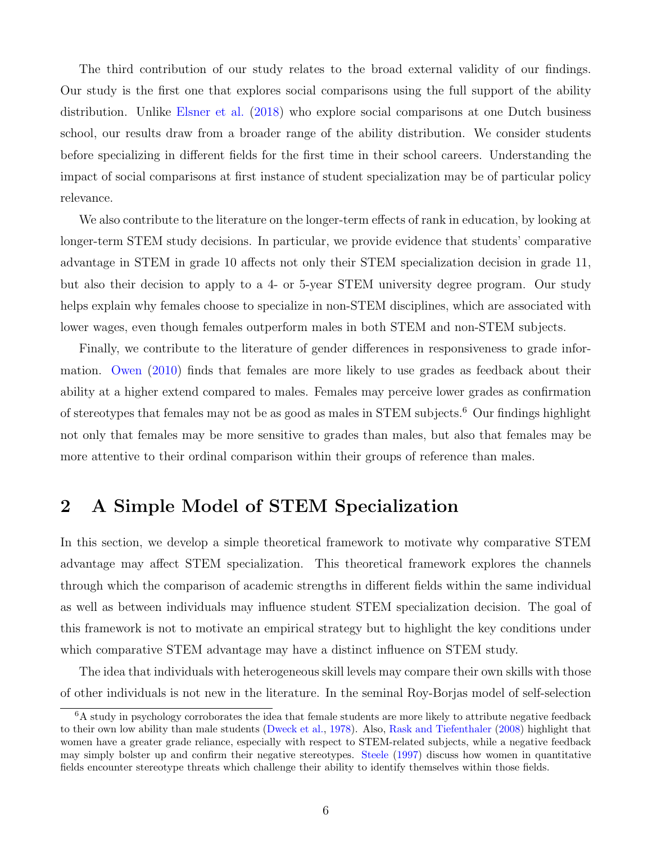The third contribution of our study relates to the broad external validity of our findings. Our study is the first one that explores social comparisons using the full support of the ability distribution. Unlike [Elsner et al.](#page-30-2) [\(2018\)](#page-30-2) who explore social comparisons at one Dutch business school, our results draw from a broader range of the ability distribution. We consider students before specializing in different fields for the first time in their school careers. Understanding the impact of social comparisons at first instance of student specialization may be of particular policy relevance.

We also contribute to the literature on the longer-term effects of rank in education, by looking at longer-term STEM study decisions. In particular, we provide evidence that students' comparative advantage in STEM in grade 10 affects not only their STEM specialization decision in grade 11, but also their decision to apply to a 4- or 5-year STEM university degree program. Our study helps explain why females choose to specialize in non-STEM disciplines, which are associated with lower wages, even though females outperform males in both STEM and non-STEM subjects.

Finally, we contribute to the literature of gender differences in responsiveness to grade information. [Owen](#page-32-7) [\(2010\)](#page-32-7) finds that females are more likely to use grades as feedback about their ability at a higher extend compared to males. Females may perceive lower grades as confirmation of stereotypes that females may not be as good as males in STEM subjects.[6](#page-7-0) Our findings highlight not only that females may be more sensitive to grades than males, but also that females may be more attentive to their ordinal comparison within their groups of reference than males.

# <span id="page-7-1"></span>2 A Simple Model of STEM Specialization

In this section, we develop a simple theoretical framework to motivate why comparative STEM advantage may affect STEM specialization. This theoretical framework explores the channels through which the comparison of academic strengths in different fields within the same individual as well as between individuals may influence student STEM specialization decision. The goal of this framework is not to motivate an empirical strategy but to highlight the key conditions under which comparative STEM advantage may have a distinct influence on STEM study.

The idea that individuals with heterogeneous skill levels may compare their own skills with those of other individuals is not new in the literature. In the seminal Roy-Borjas model of self-selection

<span id="page-7-0"></span> ${}^{6}$ A study in psychology corroborates the idea that female students are more likely to attribute negative feedback to their own low ability than male students [\(Dweck et al.,](#page-29-7) [1978\)](#page-29-7). Also, [Rask and Tiefenthaler](#page-32-8) [\(2008\)](#page-32-8) highlight that women have a greater grade reliance, especially with respect to STEM-related subjects, while a negative feedback may simply bolster up and confirm their negative stereotypes. [Steele](#page-32-1) [\(1997\)](#page-32-1) discuss how women in quantitative fields encounter stereotype threats which challenge their ability to identify themselves within those fields.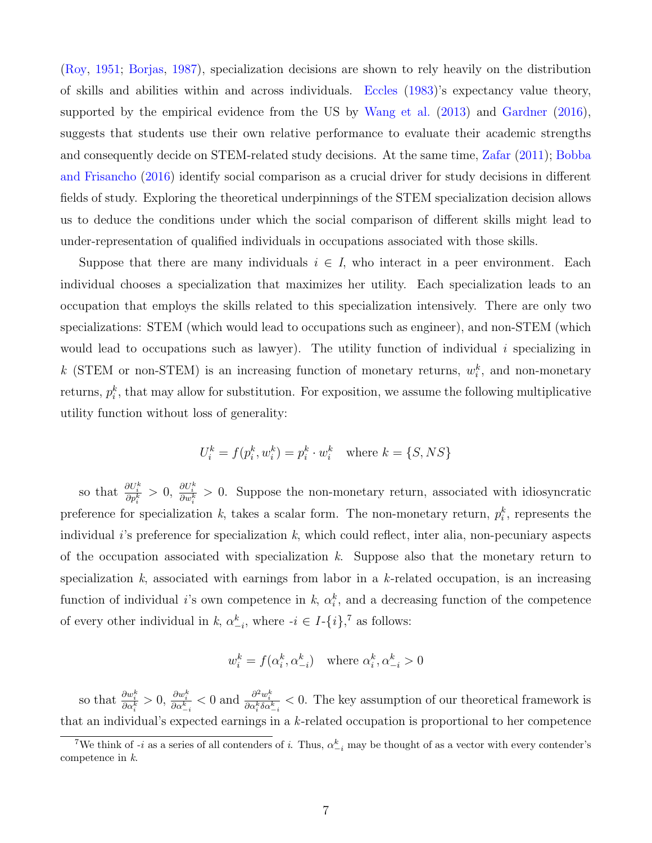[\(Roy,](#page-32-9) [1951;](#page-32-9) [Borjas,](#page-28-8) [1987\)](#page-28-8), specialization decisions are shown to rely heavily on the distribution of skills and abilities within and across individuals. [Eccles](#page-29-1) [\(1983\)](#page-29-1)'s expectancy value theory, supported by the empirical evidence from the US by [Wang et al.](#page-32-10) [\(2013\)](#page-32-10) and [Gardner](#page-30-6) [\(2016\)](#page-30-6), suggests that students use their own relative performance to evaluate their academic strengths and consequently decide on STEM-related study decisions. At the same time, [Zafar](#page-33-0) [\(2011\)](#page-33-0); [Bobba](#page-28-9) [and Frisancho](#page-28-9) [\(2016\)](#page-28-9) identify social comparison as a crucial driver for study decisions in different fields of study. Exploring the theoretical underpinnings of the STEM specialization decision allows us to deduce the conditions under which the social comparison of different skills might lead to under-representation of qualified individuals in occupations associated with those skills.

Suppose that there are many individuals  $i \in I$ , who interact in a peer environment. Each individual chooses a specialization that maximizes her utility. Each specialization leads to an occupation that employs the skills related to this specialization intensively. There are only two specializations: STEM (which would lead to occupations such as engineer), and non-STEM (which would lead to occupations such as lawyer). The utility function of individual  $i$  specializing in k (STEM or non-STEM) is an increasing function of monetary returns,  $w_i^k$ , and non-monetary returns,  $p_i^k$ , that may allow for substitution. For exposition, we assume the following multiplicative utility function without loss of generality:

$$
U_i^k = f(p_i^k, w_i^k) = p_i^k \cdot w_i^k \text{ where } k = \{S, NS\}
$$

so that  $\frac{\partial U_i^k}{\partial p_i^k} > 0$ ,  $\frac{\partial U_i^k}{\partial w_i^k} > 0$ . Suppose the non-monetary return, associated with idiosyncratic preference for specialization k, takes a scalar form. The non-monetary return,  $p_i^k$ , represents the individual  $i$ 's preference for specialization k, which could reflect, inter alia, non-pecuniary aspects of the occupation associated with specialization  $k$ . Suppose also that the monetary return to specialization k, associated with earnings from labor in a k-related occupation, is an increasing function of individual *i*'s own competence in k,  $\alpha_i^k$ , and a decreasing function of the competence of every other individual in k,  $\alpha_{-i}^k$ , where  $-i \in I - \{i\}$ ,<sup>[7](#page-8-0)</sup> as follows:

$$
w_i^k = f(\alpha_i^k, \alpha_{-i}^k) \quad \text{where } \alpha_i^k, \alpha_{-i}^k > 0
$$

so that  $\frac{\partial w_i^k}{\partial \alpha_i^k} > 0$ ,  $\frac{\partial w_i^k}{\partial \alpha_i^k} < 0$  and  $\frac{\partial^2 w_i^k}{\partial \alpha_i^k \delta \alpha_{-i}^k} < 0$ . The key assumption of our theoretical framework is that an individual's expected earnings in a k-related occupation is proportional to her competence

<span id="page-8-0"></span><sup>&</sup>lt;sup>7</sup>We think of -*i* as a series of all contenders of *i*. Thus,  $\alpha_{-i}^k$  may be thought of as a vector with every contender's competence in k.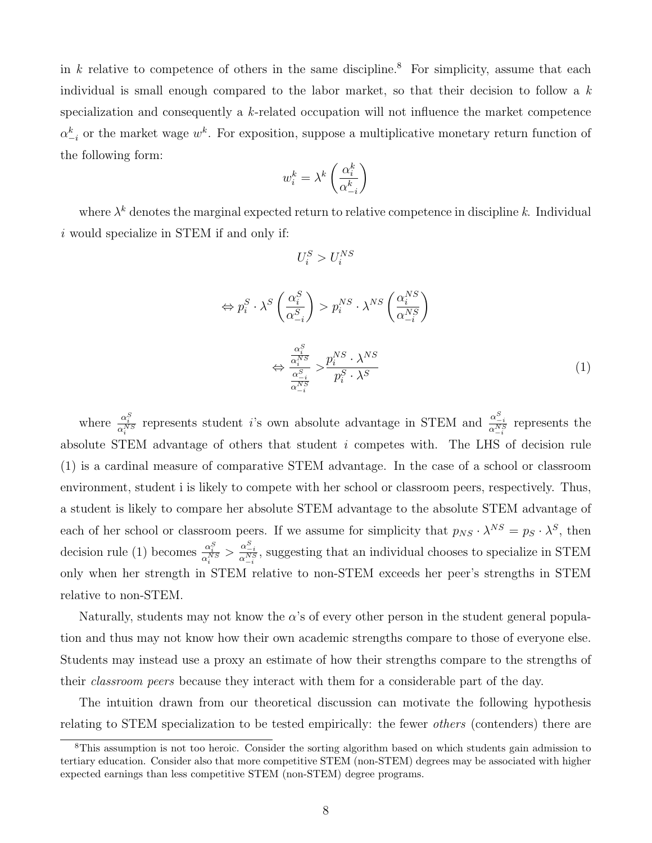in k relative to competence of others in the same discipline.<sup>[8](#page-9-0)</sup> For simplicity, assume that each individual is small enough compared to the labor market, so that their decision to follow a  $k$ specialization and consequently a  $k$ -related occupation will not influence the market competence  $\alpha_{-i}^k$  or the market wage  $w^k$ . For exposition, suppose a multiplicative monetary return function of the following form:

$$
w_i^k = \lambda^k \left(\frac{\alpha_i^k}{\alpha_{-i}^k}\right)
$$

where  $\lambda^k$  denotes the marginal expected return to relative competence in discipline k. Individual i would specialize in STEM if and only if:

<span id="page-9-1"></span>
$$
U_i^S > U_i^{NS}
$$

$$
\Leftrightarrow p_i^S \cdot \lambda^S \left(\frac{\alpha_i^S}{\alpha_{-i}^S}\right) > p_i^{NS} \cdot \lambda^{NS} \left(\frac{\alpha_i^{NS}}{\alpha_{-i}^{NS}}\right)
$$

$$
\Leftrightarrow \frac{\frac{\alpha_i^S}{\alpha_i^{NS}}}{\frac{\alpha_i^S}{\alpha_{-i}^{NS}}} > \frac{p_i^{NS} \cdot \lambda^{NS}}{p_i^S \cdot \lambda^S}
$$
(1)

where  $\frac{\alpha_i^S}{\alpha_i^{NS}}$  represents student *i*'s own absolute advantage in STEM and  $\frac{\alpha_{-i}^S}{\alpha_{-i}^{NS}}$  represents the absolute STEM advantage of others that student i competes with. The LHS of decision rule [\(1\)](#page-9-1) is a cardinal measure of comparative STEM advantage. In the case of a school or classroom environment, student i is likely to compete with her school or classroom peers, respectively. Thus, a student is likely to compare her absolute STEM advantage to the absolute STEM advantage of each of her school or classroom peers. If we assume for simplicity that  $p_{NS} \cdot \lambda^{NS} = p_S \cdot \lambda^S$ , then decision rule [\(1\)](#page-9-1) becomes  $\frac{\alpha_i^S}{\alpha_i^{NS}} > \frac{\alpha_{-i}^S}{\alpha_{-i}^{NS}}$ , suggesting that an individual chooses to specialize in STEM only when her strength in STEM relative to non-STEM exceeds her peer's strengths in STEM relative to non-STEM.

Naturally, students may not know the  $\alpha$ 's of every other person in the student general population and thus may not know how their own academic strengths compare to those of everyone else. Students may instead use a proxy an estimate of how their strengths compare to the strengths of their classroom peers because they interact with them for a considerable part of the day.

The intuition drawn from our theoretical discussion can motivate the following hypothesis relating to STEM specialization to be tested empirically: the fewer others (contenders) there are

<span id="page-9-0"></span><sup>&</sup>lt;sup>8</sup>This assumption is not too heroic. Consider the sorting algorithm based on which students gain admission to tertiary education. Consider also that more competitive STEM (non-STEM) degrees may be associated with higher expected earnings than less competitive STEM (non-STEM) degree programs.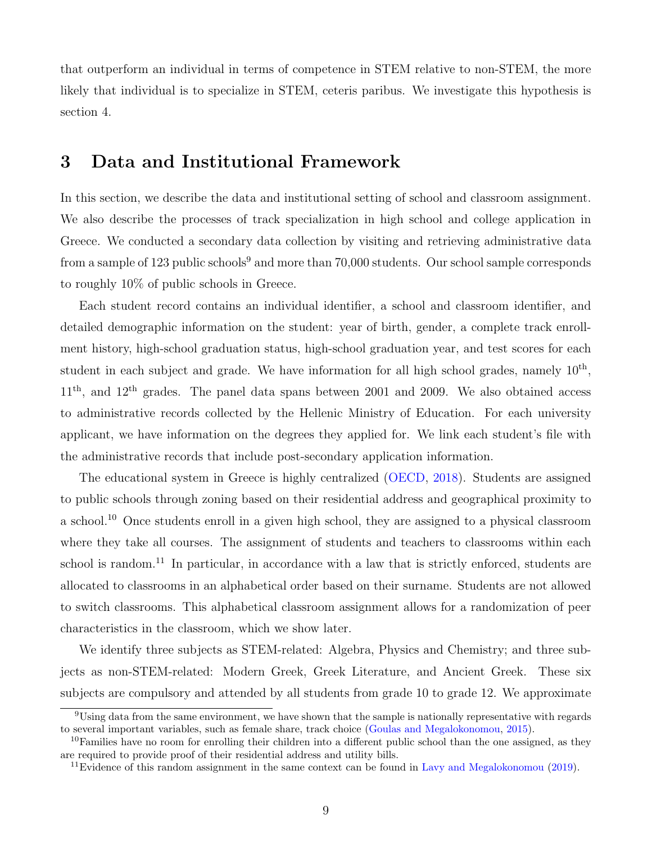that outperform an individual in terms of competence in STEM relative to non-STEM, the more likely that individual is to specialize in STEM, ceteris paribus. We investigate this hypothesis is section [4.](#page-12-0)

## 3 Data and Institutional Framework

In this section, we describe the data and institutional setting of school and classroom assignment. We also describe the processes of track specialization in high school and college application in Greece. We conducted a secondary data collection by visiting and retrieving administrative data from a sample of 123 public schools<sup>[9](#page-10-0)</sup> and more than 70,000 students. Our school sample corresponds to roughly 10% of public schools in Greece.

Each student record contains an individual identifier, a school and classroom identifier, and detailed demographic information on the student: year of birth, gender, a complete track enrollment history, high-school graduation status, high-school graduation year, and test scores for each student in each subject and grade. We have information for all high school grades, namely  $10<sup>th</sup>$ ,  $11<sup>th</sup>$ , and  $12<sup>th</sup>$  grades. The panel data spans between 2001 and 2009. We also obtained access to administrative records collected by the Hellenic Ministry of Education. For each university applicant, we have information on the degrees they applied for. We link each student's file with the administrative records that include post-secondary application information.

The educational system in Greece is highly centralized [\(OECD,](#page-31-6) [2018\)](#page-31-6). Students are assigned to public schools through zoning based on their residential address and geographical proximity to a school.[10](#page-10-1) Once students enroll in a given high school, they are assigned to a physical classroom where they take all courses. The assignment of students and teachers to classrooms within each school is random.<sup>[11](#page-10-2)</sup> In particular, in accordance with a law that is strictly enforced, students are allocated to classrooms in an alphabetical order based on their surname. Students are not allowed to switch classrooms. This alphabetical classroom assignment allows for a randomization of peer characteristics in the classroom, which we show later.

We identify three subjects as STEM-related: Algebra, Physics and Chemistry; and three subjects as non-STEM-related: Modern Greek, Greek Literature, and Ancient Greek. These six subjects are compulsory and attended by all students from grade 10 to grade 12. We approximate

<span id="page-10-0"></span><sup>9</sup>Using data from the same environment, we have shown that the sample is nationally representative with regards to several important variables, such as female share, track choice [\(Goulas and Megalokonomou,](#page-30-7) [2015\)](#page-30-7).

<span id="page-10-1"></span> $10F$ amilies have no room for enrolling their children into a different public school than the one assigned, as they are required to provide proof of their residential address and utility bills.

<span id="page-10-2"></span><sup>&</sup>lt;sup>11</sup>Evidence of this random assignment in the same context can be found in [Lavy and Megalokonomou](#page-31-3) [\(2019\)](#page-31-3).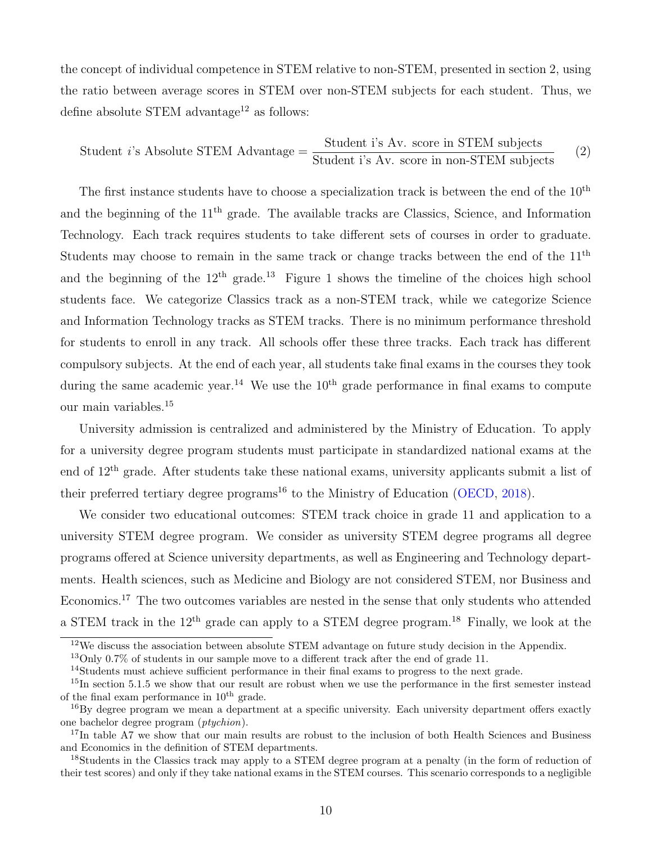the concept of individual competence in STEM relative to non-STEM, presented in section [2,](#page-7-1) using the ratio between average scores in STEM over non-STEM subjects for each student. Thus, we define absolute STEM advantage<sup>[12](#page-11-0)</sup> as follows:

<span id="page-11-7"></span>
$$
Student i's Absolute STEM Advantage = \frac{Student i's Av. score in STEM subjects}{Student i's Av. score in non-STEM subjects}
$$
 (2)

The first instance students have to choose a specialization track is between the end of the  $10<sup>th</sup>$ and the beginning of the 11th grade. The available tracks are Classics, Science, and Information Technology. Each track requires students to take different sets of courses in order to graduate. Students may choose to remain in the same track or change tracks between the end of the  $11<sup>th</sup>$ and the beginning of the  $12<sup>th</sup>$  $12<sup>th</sup>$  grade.<sup>[13](#page-11-1)</sup> Figure 1 shows the timeline of the choices high school students face. We categorize Classics track as a non-STEM track, while we categorize Science and Information Technology tracks as STEM tracks. There is no minimum performance threshold for students to enroll in any track. All schools offer these three tracks. Each track has different compulsory subjects. At the end of each year, all students take final exams in the courses they took during the same academic year.<sup>[14](#page-11-2)</sup> We use the  $10<sup>th</sup>$  grade performance in final exams to compute our main variables.[15](#page-11-3)

University admission is centralized and administered by the Ministry of Education. To apply for a university degree program students must participate in standardized national exams at the end of 12th grade. After students take these national exams, university applicants submit a list of their preferred tertiary degree programs<sup>[16](#page-11-4)</sup> to the Ministry of Education [\(OECD,](#page-31-6) [2018\)](#page-31-6).

We consider two educational outcomes: STEM track choice in grade 11 and application to a university STEM degree program. We consider as university STEM degree programs all degree programs offered at Science university departments, as well as Engineering and Technology departments. Health sciences, such as Medicine and Biology are not considered STEM, nor Business and Economics.[17](#page-11-5) The two outcomes variables are nested in the sense that only students who attended a STEM track in the  $12<sup>th</sup>$  grade can apply to a STEM degree program.<sup>[18](#page-11-6)</sup> Finally, we look at the

<span id="page-11-0"></span> $12$ We discuss the association between absolute STEM advantage on future study decision in the Appendix.

<span id="page-11-1"></span><sup>&</sup>lt;sup>13</sup>Only 0.7% of students in our sample move to a different track after the end of grade 11.

<span id="page-11-3"></span><span id="page-11-2"></span><sup>&</sup>lt;sup>14</sup>Students must achieve sufficient performance in their final exams to progress to the next grade.

<sup>&</sup>lt;sup>15</sup>In section [5.1.5](#page-21-0) we show that our result are robust when we use the performance in the first semester instead of the final exam performance in  $10^{th}$  grade.

<span id="page-11-4"></span><sup>16</sup>By degree program we mean a department at a specific university. Each university department offers exactly one bachelor degree program (ptychion).

<span id="page-11-5"></span><sup>&</sup>lt;sup>17</sup>In table [A7](#page-56-0) we show that our main results are robust to the inclusion of both Health Sciences and Business and Economics in the definition of STEM departments.

<span id="page-11-6"></span><sup>18</sup>Students in the Classics track may apply to a STEM degree program at a penalty (in the form of reduction of their test scores) and only if they take national exams in the STEM courses. This scenario corresponds to a negligible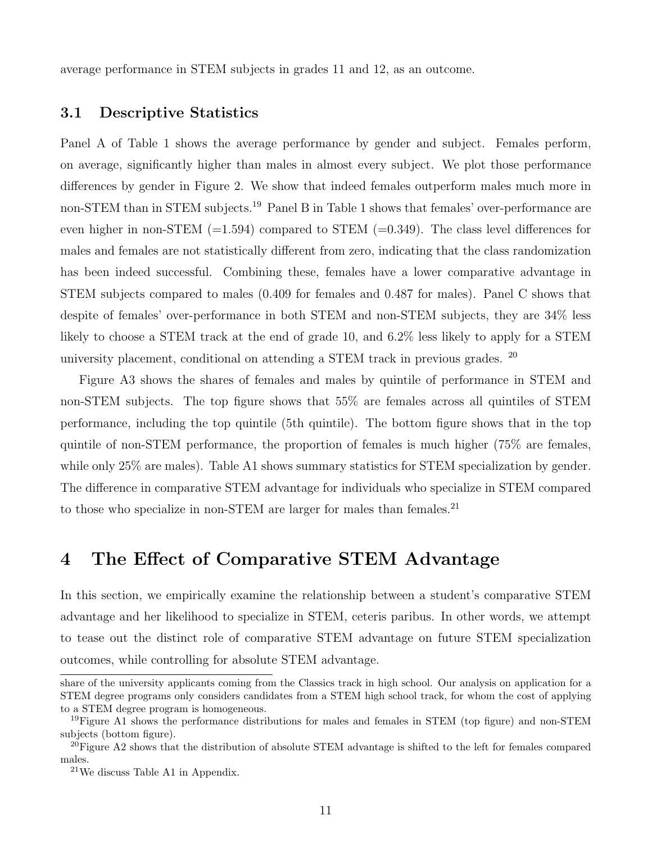average performance in STEM subjects in grades 11 and 12, as an outcome.

### 3.1 Descriptive Statistics

Panel A of Table [1](#page-34-0) shows the average performance by gender and subject. Females perform, on average, significantly higher than males in almost every subject. We plot those performance differences by gender in Figure [2.](#page-43-0) We show that indeed females outperform males much more in non-STEM than in STEM subjects.<sup>[19](#page-12-1)</sup> Panel B in Table [1](#page-34-0) shows that females' over-performance are even higher in non-STEM  $(=1.594)$  compared to STEM  $(=0.349)$ . The class level differences for males and females are not statistically different from zero, indicating that the class randomization has been indeed successful. Combining these, females have a lower comparative advantage in STEM subjects compared to males (0.409 for females and 0.487 for males). Panel C shows that despite of females' over-performance in both STEM and non-STEM subjects, they are 34% less likely to choose a STEM track at the end of grade 10, and 6.2% less likely to apply for a STEM university placement, conditional on attending a STEM track in previous grades.  $^{20}$  $^{20}$  $^{20}$ 

Figure [A3](#page-62-0) shows the shares of females and males by quintile of performance in STEM and non-STEM subjects. The top figure shows that 55% are females across all quintiles of STEM performance, including the top quintile (5th quintile). The bottom figure shows that in the top quintile of non-STEM performance, the proportion of females is much higher (75% are females, while only 25% are males). Table [A1](#page-49-0) shows summary statistics for STEM specialization by gender. The difference in comparative STEM advantage for individuals who specialize in STEM compared to those who specialize in non-STEM are larger for males than females.<sup>[21](#page-12-3)</sup>

## <span id="page-12-0"></span>4 The Effect of Comparative STEM Advantage

In this section, we empirically examine the relationship between a student's comparative STEM advantage and her likelihood to specialize in STEM, ceteris paribus. In other words, we attempt to tease out the distinct role of comparative STEM advantage on future STEM specialization outcomes, while controlling for absolute STEM advantage.

share of the university applicants coming from the Classics track in high school. Our analysis on application for a STEM degree programs only considers candidates from a STEM high school track, for whom the cost of applying to a STEM degree program is homogeneous.

<span id="page-12-1"></span><sup>&</sup>lt;sup>19</sup>Figure [A1](#page-60-0) shows the performance distributions for males and females in STEM (top figure) and non-STEM subjects (bottom figure).

<span id="page-12-2"></span> $^{20}$ Figure [A2](#page-61-0) shows that the distribution of absolute STEM advantage is shifted to the left for females compared males.

<span id="page-12-3"></span><sup>21</sup>We discuss Table A1 in Appendix.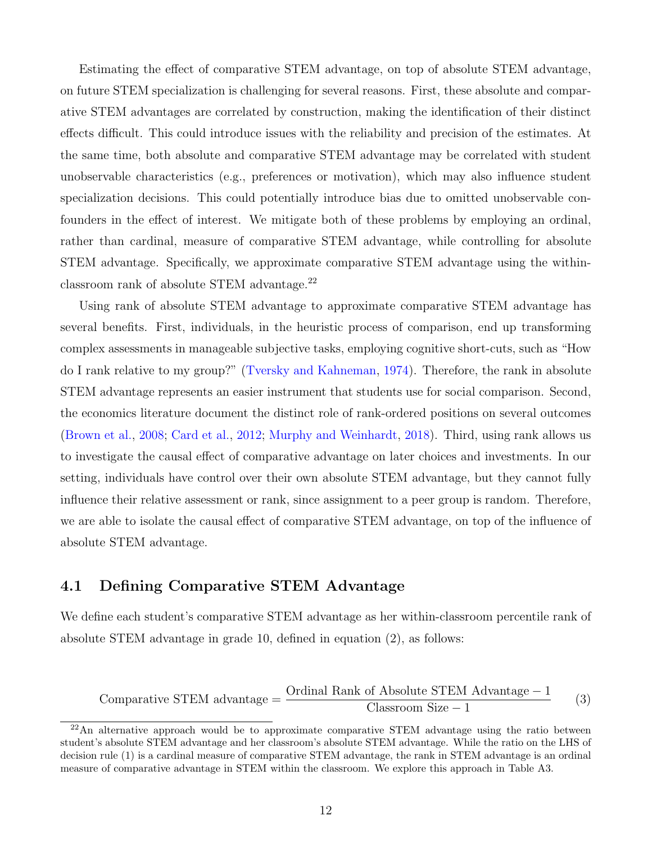Estimating the effect of comparative STEM advantage, on top of absolute STEM advantage, on future STEM specialization is challenging for several reasons. First, these absolute and comparative STEM advantages are correlated by construction, making the identification of their distinct effects difficult. This could introduce issues with the reliability and precision of the estimates. At the same time, both absolute and comparative STEM advantage may be correlated with student unobservable characteristics (e.g., preferences or motivation), which may also influence student specialization decisions. This could potentially introduce bias due to omitted unobservable confounders in the effect of interest. We mitigate both of these problems by employing an ordinal, rather than cardinal, measure of comparative STEM advantage, while controlling for absolute STEM advantage. Specifically, we approximate comparative STEM advantage using the withinclassroom rank of absolute STEM advantage.[22](#page-13-0)

Using rank of absolute STEM advantage to approximate comparative STEM advantage has several benefits. First, individuals, in the heuristic process of comparison, end up transforming complex assessments in manageable subjective tasks, employing cognitive short-cuts, such as "How do I rank relative to my group?" [\(Tversky and Kahneman,](#page-32-6) [1974\)](#page-32-6). Therefore, the rank in absolute STEM advantage represents an easier instrument that students use for social comparison. Second, the economics literature document the distinct role of rank-ordered positions on several outcomes [\(Brown et al.,](#page-28-10) [2008;](#page-28-10) [Card et al.,](#page-28-11) [2012;](#page-28-11) [Murphy and Weinhardt,](#page-31-5) [2018\)](#page-31-5). Third, using rank allows us to investigate the causal effect of comparative advantage on later choices and investments. In our setting, individuals have control over their own absolute STEM advantage, but they cannot fully influence their relative assessment or rank, since assignment to a peer group is random. Therefore, we are able to isolate the causal effect of comparative STEM advantage, on top of the influence of absolute STEM advantage.

## 4.1 Defining Comparative STEM Advantage

<span id="page-13-1"></span>We define each student's comparative STEM advantage as her within-classroom percentile rank of absolute STEM advantage in grade 10, defined in equation [\(2\)](#page-11-7), as follows:

$$
Comparative STEM advantage = \frac{Ordinal Rank of Absolute STEM Advantage - 1}{Classroom Size - 1}
$$
 (3)

<span id="page-13-0"></span><sup>&</sup>lt;sup>22</sup>An alternative approach would be to approximate comparative STEM advantage using the ratio between student's absolute STEM advantage and her classroom's absolute STEM advantage. While the ratio on the LHS of decision rule [\(1\)](#page-9-1) is a cardinal measure of comparative STEM advantage, the rank in STEM advantage is an ordinal measure of comparative advantage in STEM within the classroom. We explore this approach in Table [A3.](#page-52-0)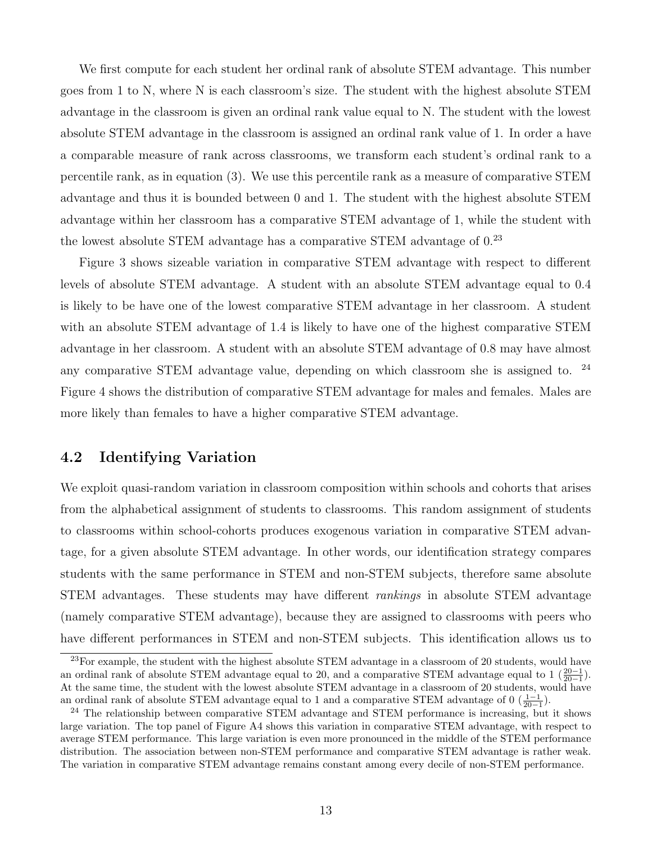We first compute for each student her ordinal rank of absolute STEM advantage. This number goes from 1 to N, where N is each classroom's size. The student with the highest absolute STEM advantage in the classroom is given an ordinal rank value equal to N. The student with the lowest absolute STEM advantage in the classroom is assigned an ordinal rank value of 1. In order a have a comparable measure of rank across classrooms, we transform each student's ordinal rank to a percentile rank, as in equation [\(3\)](#page-13-1). We use this percentile rank as a measure of comparative STEM advantage and thus it is bounded between 0 and 1. The student with the highest absolute STEM advantage within her classroom has a comparative STEM advantage of 1, while the student with the lowest absolute STEM advantage has a comparative STEM advantage of  $0^{23}$  $0^{23}$  $0^{23}$ 

Figure [3](#page-44-0) shows sizeable variation in comparative STEM advantage with respect to different levels of absolute STEM advantage. A student with an absolute STEM advantage equal to 0.4 is likely to be have one of the lowest comparative STEM advantage in her classroom. A student with an absolute STEM advantage of 1.4 is likely to have one of the highest comparative STEM advantage in her classroom. A student with an absolute STEM advantage of 0.8 may have almost any comparative STEM advantage value, depending on which classroom she is assigned to. [24](#page-14-1) Figure [4](#page-45-0) shows the distribution of comparative STEM advantage for males and females. Males are more likely than females to have a higher comparative STEM advantage.

## 4.2 Identifying Variation

We exploit quasi-random variation in classroom composition within schools and cohorts that arises from the alphabetical assignment of students to classrooms. This random assignment of students to classrooms within school-cohorts produces exogenous variation in comparative STEM advantage, for a given absolute STEM advantage. In other words, our identification strategy compares students with the same performance in STEM and non-STEM subjects, therefore same absolute STEM advantages. These students may have different rankings in absolute STEM advantage (namely comparative STEM advantage), because they are assigned to classrooms with peers who have different performances in STEM and non-STEM subjects. This identification allows us to

<span id="page-14-0"></span><sup>&</sup>lt;sup>23</sup>For example, the student with the highest absolute STEM advantage in a classroom of 20 students, would have an ordinal rank of absolute STEM advantage equal to 20, and a comparative STEM advantage equal to  $1\left(\frac{20-1}{20-1}\right)$ . At the same time, the student with the lowest absolute STEM advantage in a classroom of 20 students, would have an ordinal rank of absolute STEM advantage equal to 1 and a comparative STEM advantage of  $0 \left( \frac{1-1}{20-1} \right)$ .

<span id="page-14-1"></span><sup>&</sup>lt;sup>24</sup> The relationship between comparative STEM advantage and STEM performance is increasing, but it shows large variation. The top panel of Figure [A4](#page-63-0) shows this variation in comparative STEM advantage, with respect to average STEM performance. This large variation is even more pronounced in the middle of the STEM performance distribution. The association between non-STEM performance and comparative STEM advantage is rather weak. The variation in comparative STEM advantage remains constant among every decile of non-STEM performance.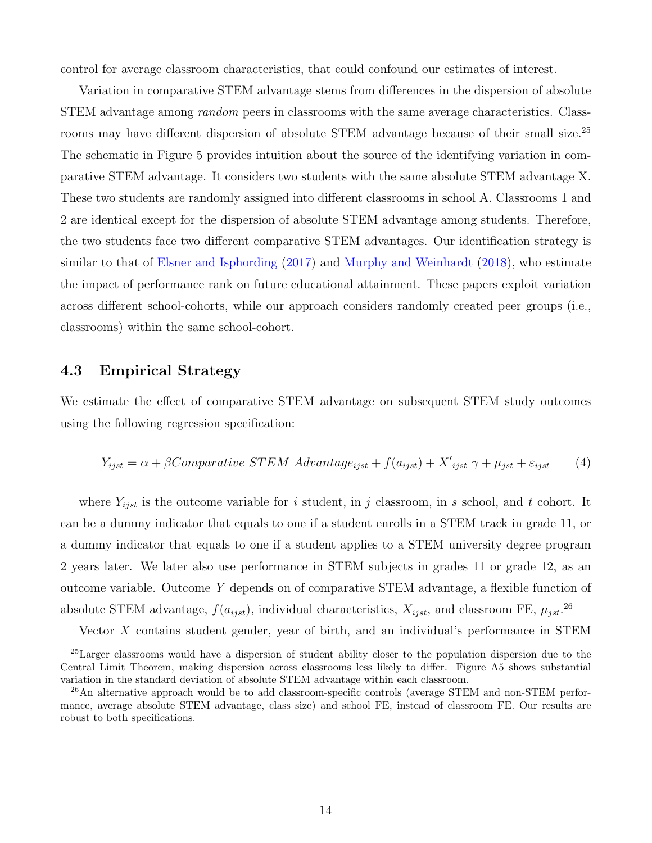control for average classroom characteristics, that could confound our estimates of interest.

Variation in comparative STEM advantage stems from differences in the dispersion of absolute STEM advantage among random peers in classrooms with the same average characteristics. Class-rooms may have different dispersion of absolute STEM advantage because of their small size.<sup>[25](#page-15-0)</sup> The schematic in Figure [5](#page-46-0) provides intuition about the source of the identifying variation in comparative STEM advantage. It considers two students with the same absolute STEM advantage X. These two students are randomly assigned into different classrooms in school A. Classrooms 1 and 2 are identical except for the dispersion of absolute STEM advantage among students. Therefore, the two students face two different comparative STEM advantages. Our identification strategy is similar to that of [Elsner and Isphording](#page-29-4) [\(2017\)](#page-29-4) and [Murphy and Weinhardt](#page-31-5) [\(2018\)](#page-31-5), who estimate the impact of performance rank on future educational attainment. These papers exploit variation across different school-cohorts, while our approach considers randomly created peer groups (i.e., classrooms) within the same school-cohort.

## 4.3 Empirical Strategy

We estimate the effect of comparative STEM advantage on subsequent STEM study outcomes using the following regression specification:

<span id="page-15-2"></span>
$$
Y_{ijst} = \alpha + \beta Comparative\ STEM\ Advantage_{ijst} + f(a_{ijst}) + X'_{ijst} \gamma + \mu_{jst} + \varepsilon_{ijst} \tag{4}
$$

where  $Y_{ijst}$  is the outcome variable for i student, in j classroom, in s school, and t cohort. It can be a dummy indicator that equals to one if a student enrolls in a STEM track in grade 11, or a dummy indicator that equals to one if a student applies to a STEM university degree program 2 years later. We later also use performance in STEM subjects in grades 11 or grade 12, as an outcome variable. Outcome Y depends on of comparative STEM advantage, a flexible function of absolute STEM advantage,  $f(a_{ijst})$ , individual characteristics,  $X_{ijst}$ , and classroom FE,  $\mu_{jst}$ .<sup>[26](#page-15-1)</sup>

<span id="page-15-0"></span>Vector X contains student gender, year of birth, and an individual's performance in STEM

<sup>25</sup>Larger classrooms would have a dispersion of student ability closer to the population dispersion due to the Central Limit Theorem, making dispersion across classrooms less likely to differ. Figure [A5](#page-64-0) shows substantial variation in the standard deviation of absolute STEM advantage within each classroom.

<span id="page-15-1"></span><sup>&</sup>lt;sup>26</sup>An alternative approach would be to add classroom-specific controls (average STEM and non-STEM performance, average absolute STEM advantage, class size) and school FE, instead of classroom FE. Our results are robust to both specifications.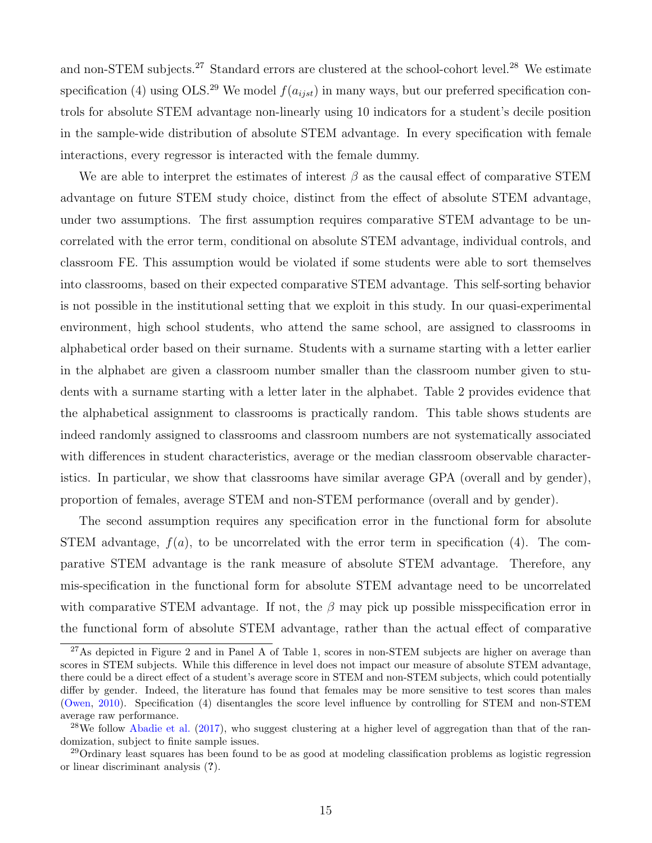and non-STEM subjects.<sup>[27](#page-16-0)</sup> Standard errors are clustered at the school-cohort level.<sup>[28](#page-16-1)</sup> We estimate specification [\(4\)](#page-15-2) using OLS.<sup>[29](#page-16-2)</sup> We model  $f(a_{i,j}$  in many ways, but our preferred specification controls for absolute STEM advantage non-linearly using 10 indicators for a student's decile position in the sample-wide distribution of absolute STEM advantage. In every specification with female interactions, every regressor is interacted with the female dummy.

We are able to interpret the estimates of interest  $\beta$  as the causal effect of comparative STEM advantage on future STEM study choice, distinct from the effect of absolute STEM advantage, under two assumptions. The first assumption requires comparative STEM advantage to be uncorrelated with the error term, conditional on absolute STEM advantage, individual controls, and classroom FE. This assumption would be violated if some students were able to sort themselves into classrooms, based on their expected comparative STEM advantage. This self-sorting behavior is not possible in the institutional setting that we exploit in this study. In our quasi-experimental environment, high school students, who attend the same school, are assigned to classrooms in alphabetical order based on their surname. Students with a surname starting with a letter earlier in the alphabet are given a classroom number smaller than the classroom number given to students with a surname starting with a letter later in the alphabet. Table [2](#page-35-0) provides evidence that the alphabetical assignment to classrooms is practically random. This table shows students are indeed randomly assigned to classrooms and classroom numbers are not systematically associated with differences in student characteristics, average or the median classroom observable characteristics. In particular, we show that classrooms have similar average GPA (overall and by gender), proportion of females, average STEM and non-STEM performance (overall and by gender).

The second assumption requires any specification error in the functional form for absolute STEM advantage,  $f(a)$ , to be uncorrelated with the error term in specification [\(4\)](#page-15-2). The comparative STEM advantage is the rank measure of absolute STEM advantage. Therefore, any mis-specification in the functional form for absolute STEM advantage need to be uncorrelated with comparative STEM advantage. If not, the  $\beta$  may pick up possible misspecification error in the functional form of absolute STEM advantage, rather than the actual effect of comparative

<span id="page-16-0"></span><sup>&</sup>lt;sup>[2](#page-43-0)7</sup>As depicted in Figure 2 and in Panel A of Table [1,](#page-34-0) scores in non-STEM subjects are higher on average than scores in STEM subjects. While this difference in level does not impact our measure of absolute STEM advantage, there could be a direct effect of a student's average score in STEM and non-STEM subjects, which could potentially differ by gender. Indeed, the literature has found that females may be more sensitive to test scores than males [\(Owen,](#page-32-7) [2010\)](#page-32-7). Specification [\(4\)](#page-15-2) disentangles the score level influence by controlling for STEM and non-STEM average raw performance.

<span id="page-16-1"></span><sup>&</sup>lt;sup>28</sup>We follow [Abadie et al.](#page-28-12)  $(2017)$ , who suggest clustering at a higher level of aggregation than that of the randomization, subject to finite sample issues.

<span id="page-16-2"></span><sup>&</sup>lt;sup>29</sup>Ordinary least squares has been found to be as good at modeling classification problems as logistic regression or linear discriminant analysis (?).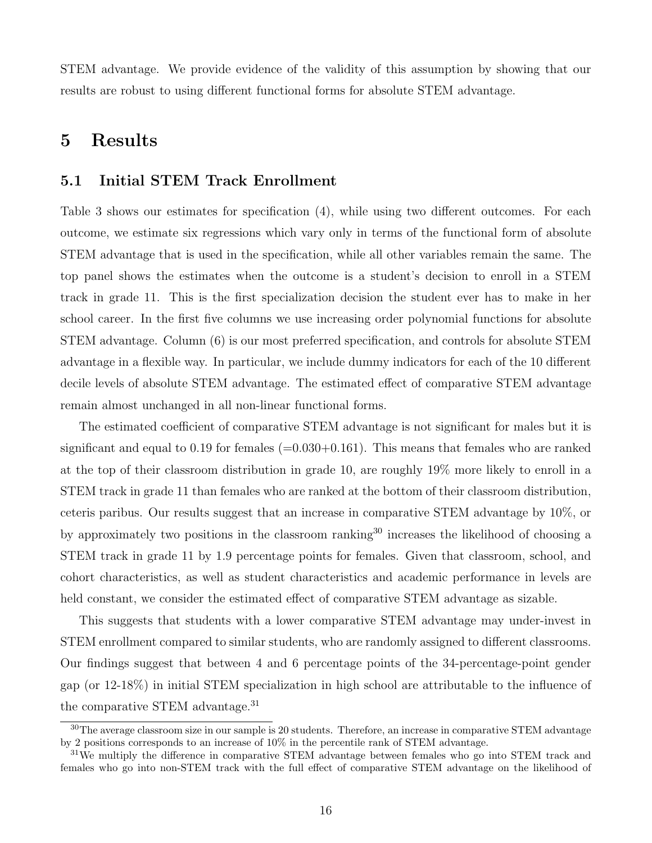STEM advantage. We provide evidence of the validity of this assumption by showing that our results are robust to using different functional forms for absolute STEM advantage.

# 5 Results

## 5.1 Initial STEM Track Enrollment

Table [3](#page-36-0) shows our estimates for specification [\(4\)](#page-15-2), while using two different outcomes. For each outcome, we estimate six regressions which vary only in terms of the functional form of absolute STEM advantage that is used in the specification, while all other variables remain the same. The top panel shows the estimates when the outcome is a student's decision to enroll in a STEM track in grade 11. This is the first specialization decision the student ever has to make in her school career. In the first five columns we use increasing order polynomial functions for absolute STEM advantage. Column (6) is our most preferred specification, and controls for absolute STEM advantage in a flexible way. In particular, we include dummy indicators for each of the 10 different decile levels of absolute STEM advantage. The estimated effect of comparative STEM advantage remain almost unchanged in all non-linear functional forms.

The estimated coefficient of comparative STEM advantage is not significant for males but it is significant and equal to 0.19 for females  $(=0.030+0.161)$ . This means that females who are ranked at the top of their classroom distribution in grade 10, are roughly 19% more likely to enroll in a STEM track in grade 11 than females who are ranked at the bottom of their classroom distribution, ceteris paribus. Our results suggest that an increase in comparative STEM advantage by 10%, or by approximately two positions in the classroom ranking<sup>[30](#page-17-0)</sup> increases the likelihood of choosing a STEM track in grade 11 by 1.9 percentage points for females. Given that classroom, school, and cohort characteristics, as well as student characteristics and academic performance in levels are held constant, we consider the estimated effect of comparative STEM advantage as sizable.

This suggests that students with a lower comparative STEM advantage may under-invest in STEM enrollment compared to similar students, who are randomly assigned to different classrooms. Our findings suggest that between 4 and 6 percentage points of the 34-percentage-point gender gap (or 12-18%) in initial STEM specialization in high school are attributable to the influence of the comparative STEM advantage.[31](#page-17-1)

<span id="page-17-0"></span><sup>&</sup>lt;sup>30</sup>The average classroom size in our sample is 20 students. Therefore, an increase in comparative STEM advantage by 2 positions corresponds to an increase of 10% in the percentile rank of STEM advantage.

<span id="page-17-1"></span><sup>&</sup>lt;sup>31</sup>We multiply the difference in comparative STEM advantage between females who go into STEM track and females who go into non-STEM track with the full effect of comparative STEM advantage on the likelihood of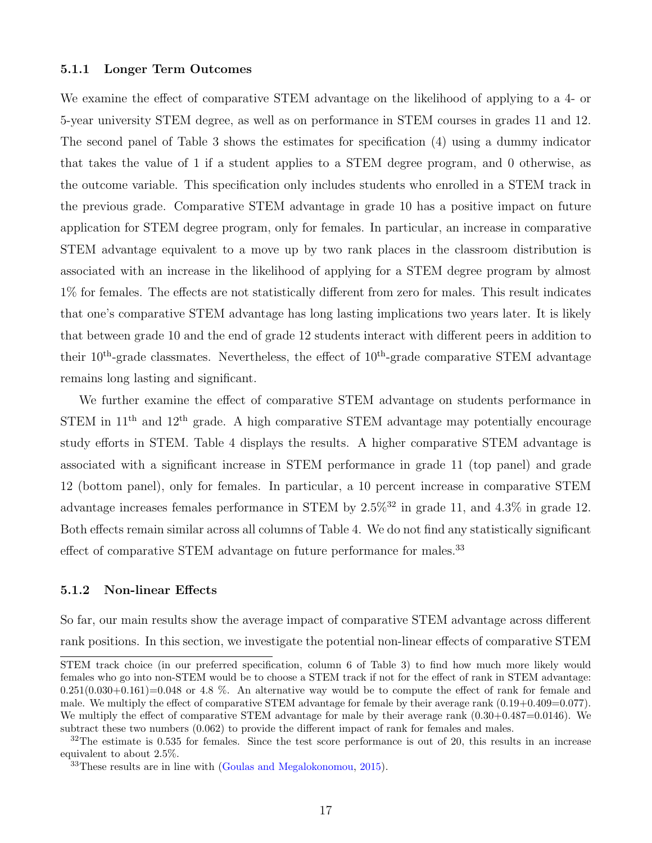#### 5.1.1 Longer Term Outcomes

We examine the effect of comparative STEM advantage on the likelihood of applying to a 4- or 5-year university STEM degree, as well as on performance in STEM courses in grades 11 and 12. The second panel of Table [3](#page-36-0) shows the estimates for specification [\(4\)](#page-15-2) using a dummy indicator that takes the value of 1 if a student applies to a STEM degree program, and 0 otherwise, as the outcome variable. This specification only includes students who enrolled in a STEM track in the previous grade. Comparative STEM advantage in grade 10 has a positive impact on future application for STEM degree program, only for females. In particular, an increase in comparative STEM advantage equivalent to a move up by two rank places in the classroom distribution is associated with an increase in the likelihood of applying for a STEM degree program by almost 1% for females. The effects are not statistically different from zero for males. This result indicates that one's comparative STEM advantage has long lasting implications two years later. It is likely that between grade 10 and the end of grade 12 students interact with different peers in addition to their  $10^{th}$ -grade classmates. Nevertheless, the effect of  $10^{th}$ -grade comparative STEM advantage remains long lasting and significant.

We further examine the effect of comparative STEM advantage on students performance in STEM in  $11<sup>th</sup>$  and  $12<sup>th</sup>$  grade. A high comparative STEM advantage may potentially encourage study efforts in STEM. Table [4](#page-37-0) displays the results. A higher comparative STEM advantage is associated with a significant increase in STEM performance in grade 11 (top panel) and grade 12 (bottom panel), only for females. In particular, a 10 percent increase in comparative STEM advantage increases females performance in STEM by  $2.5\%$ <sup>[32](#page-18-0)</sup> in grade 11, and  $4.3\%$  in grade 12. Both effects remain similar across all columns of Table [4.](#page-37-0) We do not find any statistically significant effect of comparative STEM advantage on future performance for males.<sup>[33](#page-18-1)</sup>

#### 5.1.2 Non-linear Effects

So far, our main results show the average impact of comparative STEM advantage across different rank positions. In this section, we investigate the potential non-linear effects of comparative STEM

STEM track choice (in our preferred specification, column 6 of Table [3\)](#page-36-0) to find how much more likely would females who go into non-STEM would be to choose a STEM track if not for the effect of rank in STEM advantage:  $0.251(0.030+0.161)=0.048$  or 4.8 %. An alternative way would be to compute the effect of rank for female and male. We multiply the effect of comparative STEM advantage for female by their average rank  $(0.19+0.409=0.077)$ . We multiply the effect of comparative STEM advantage for male by their average rank  $(0.30+0.487=0.0146)$ . We subtract these two numbers (0.062) to provide the different impact of rank for females and males.

<span id="page-18-0"></span> $32$ The estimate is 0.535 for females. Since the test score performance is out of 20, this results in an increase equivalent to about 2.5%.

<span id="page-18-1"></span><sup>33</sup>These results are in line with [\(Goulas and Megalokonomou,](#page-30-7) [2015\)](#page-30-7).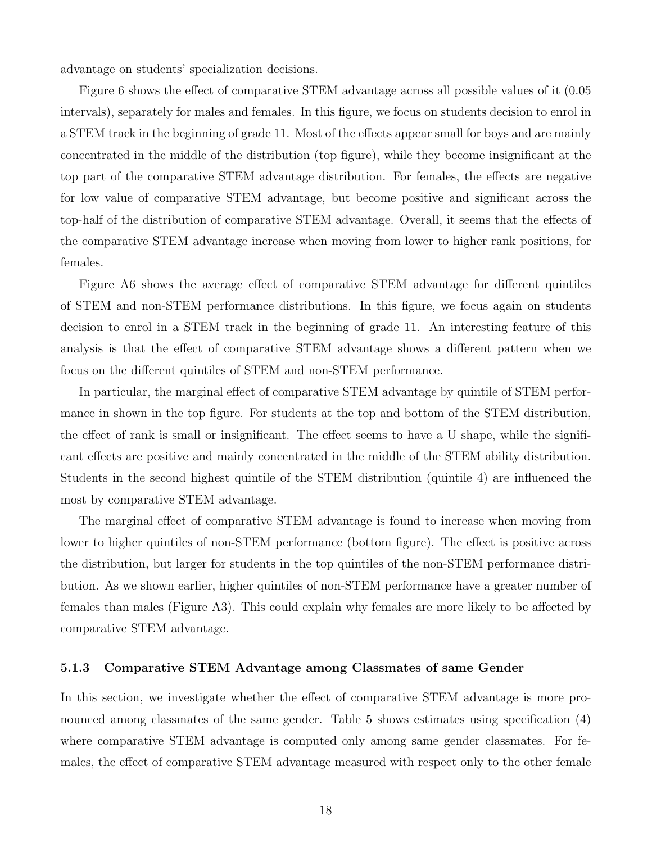advantage on students' specialization decisions.

Figure [6](#page-47-0) shows the effect of comparative STEM advantage across all possible values of it (0.05 intervals), separately for males and females. In this figure, we focus on students decision to enrol in a STEM track in the beginning of grade 11. Most of the effects appear small for boys and are mainly concentrated in the middle of the distribution (top figure), while they become insignificant at the top part of the comparative STEM advantage distribution. For females, the effects are negative for low value of comparative STEM advantage, but become positive and significant across the top-half of the distribution of comparative STEM advantage. Overall, it seems that the effects of the comparative STEM advantage increase when moving from lower to higher rank positions, for females.

Figure [A6](#page-65-0) shows the average effect of comparative STEM advantage for different quintiles of STEM and non-STEM performance distributions. In this figure, we focus again on students decision to enrol in a STEM track in the beginning of grade 11. An interesting feature of this analysis is that the effect of comparative STEM advantage shows a different pattern when we focus on the different quintiles of STEM and non-STEM performance.

In particular, the marginal effect of comparative STEM advantage by quintile of STEM performance in shown in the top figure. For students at the top and bottom of the STEM distribution, the effect of rank is small or insignificant. The effect seems to have a U shape, while the significant effects are positive and mainly concentrated in the middle of the STEM ability distribution. Students in the second highest quintile of the STEM distribution (quintile 4) are influenced the most by comparative STEM advantage.

The marginal effect of comparative STEM advantage is found to increase when moving from lower to higher quintiles of non-STEM performance (bottom figure). The effect is positive across the distribution, but larger for students in the top quintiles of the non-STEM performance distribution. As we shown earlier, higher quintiles of non-STEM performance have a greater number of females than males (Figure [A3\)](#page-62-0). This could explain why females are more likely to be affected by comparative STEM advantage.

#### 5.1.3 Comparative STEM Advantage among Classmates of same Gender

In this section, we investigate whether the effect of comparative STEM advantage is more pro-nounced among classmates of the same gender. Table [5](#page-38-0) shows estimates using specification [\(4\)](#page-15-2) where comparative STEM advantage is computed only among same gender classmates. For females, the effect of comparative STEM advantage measured with respect only to the other female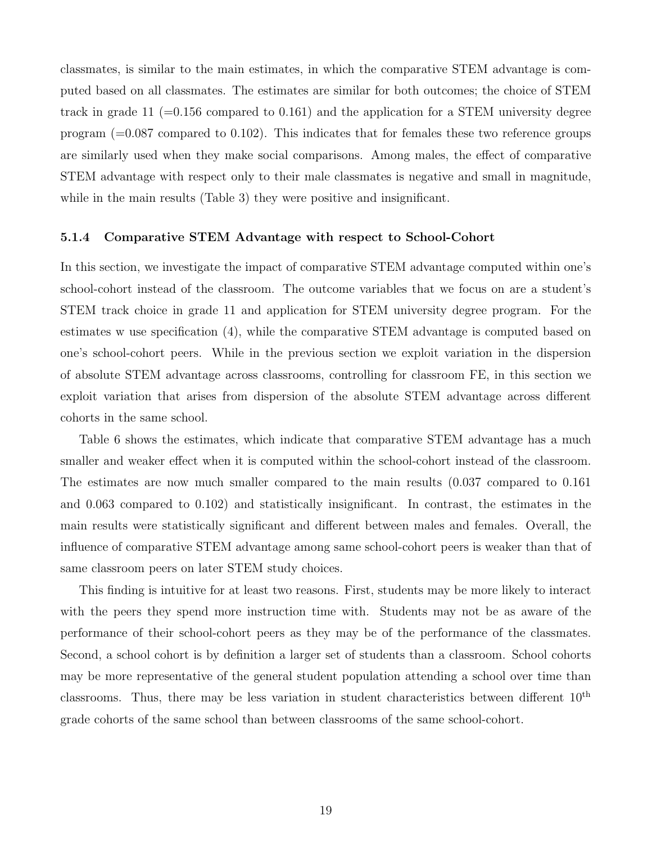classmates, is similar to the main estimates, in which the comparative STEM advantage is computed based on all classmates. The estimates are similar for both outcomes; the choice of STEM track in grade 11 (=0.156 compared to 0.161) and the application for a STEM university degree program  $(=0.087$  compared to 0.102). This indicates that for females these two reference groups are similarly used when they make social comparisons. Among males, the effect of comparative STEM advantage with respect only to their male classmates is negative and small in magnitude, while in the main results (Table [3\)](#page-36-0) they were positive and insignificant.

#### 5.1.4 Comparative STEM Advantage with respect to School-Cohort

In this section, we investigate the impact of comparative STEM advantage computed within one's school-cohort instead of the classroom. The outcome variables that we focus on are a student's STEM track choice in grade 11 and application for STEM university degree program. For the estimates w use specification [\(4\)](#page-15-2), while the comparative STEM advantage is computed based on one's school-cohort peers. While in the previous section we exploit variation in the dispersion of absolute STEM advantage across classrooms, controlling for classroom FE, in this section we exploit variation that arises from dispersion of the absolute STEM advantage across different cohorts in the same school.

Table [6](#page-39-0) shows the estimates, which indicate that comparative STEM advantage has a much smaller and weaker effect when it is computed within the school-cohort instead of the classroom. The estimates are now much smaller compared to the main results (0.037 compared to 0.161 and 0.063 compared to 0.102) and statistically insignificant. In contrast, the estimates in the main results were statistically significant and different between males and females. Overall, the influence of comparative STEM advantage among same school-cohort peers is weaker than that of same classroom peers on later STEM study choices.

This finding is intuitive for at least two reasons. First, students may be more likely to interact with the peers they spend more instruction time with. Students may not be as aware of the performance of their school-cohort peers as they may be of the performance of the classmates. Second, a school cohort is by definition a larger set of students than a classroom. School cohorts may be more representative of the general student population attending a school over time than classrooms. Thus, there may be less variation in student characteristics between different  $10<sup>th</sup>$ grade cohorts of the same school than between classrooms of the same school-cohort.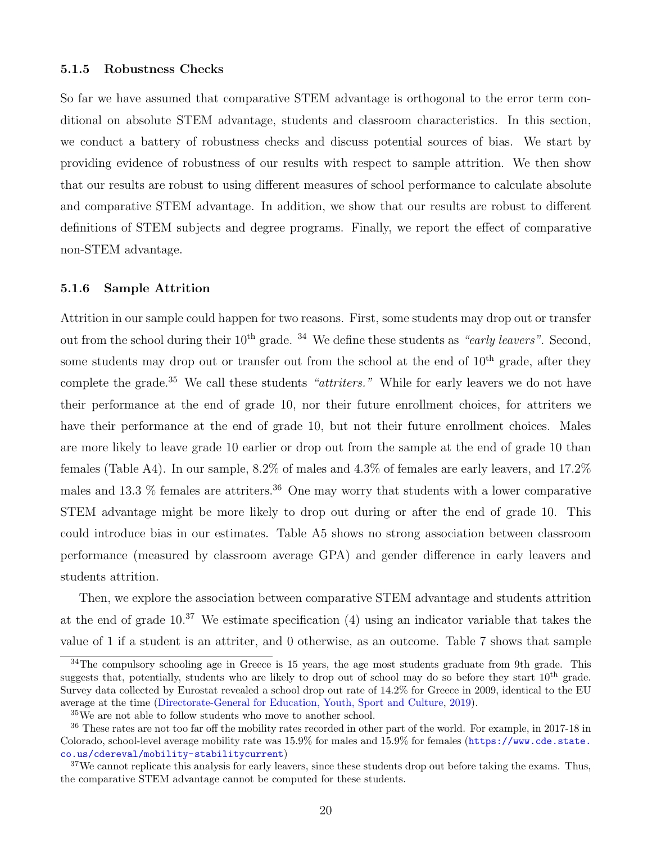#### <span id="page-21-0"></span>5.1.5 Robustness Checks

So far we have assumed that comparative STEM advantage is orthogonal to the error term conditional on absolute STEM advantage, students and classroom characteristics. In this section, we conduct a battery of robustness checks and discuss potential sources of bias. We start by providing evidence of robustness of our results with respect to sample attrition. We then show that our results are robust to using different measures of school performance to calculate absolute and comparative STEM advantage. In addition, we show that our results are robust to different definitions of STEM subjects and degree programs. Finally, we report the effect of comparative non-STEM advantage.

#### 5.1.6 Sample Attrition

Attrition in our sample could happen for two reasons. First, some students may drop out or transfer out from the school during their  $10^{th}$  grade. <sup>[34](#page-21-1)</sup> We define these students as "early leavers". Second, some students may drop out or transfer out from the school at the end of  $10<sup>th</sup>$  grade, after they complete the grade.<sup>[35](#page-21-2)</sup> We call these students "attriters." While for early leavers we do not have their performance at the end of grade 10, nor their future enrollment choices, for attriters we have their performance at the end of grade 10, but not their future enrollment choices. Males are more likely to leave grade 10 earlier or drop out from the sample at the end of grade 10 than females (Table [A4\)](#page-53-0). In our sample, 8.2% of males and 4.3% of females are early leavers, and 17.2% males and 13.3  $\%$  females are attriters.<sup>[36](#page-21-3)</sup> One may worry that students with a lower comparative STEM advantage might be more likely to drop out during or after the end of grade 10. This could introduce bias in our estimates. Table [A5](#page-54-0) shows no strong association between classroom performance (measured by classroom average GPA) and gender difference in early leavers and students attrition.

Then, we explore the association between comparative STEM advantage and students attrition at the end of grade  $10^{37}$  $10^{37}$  $10^{37}$  We estimate specification [\(4\)](#page-15-2) using an indicator variable that takes the value of 1 if a student is an attriter, and 0 otherwise, as an outcome. Table [7](#page-40-0) shows that sample

<span id="page-21-1"></span> $34$ The compulsory schooling age in Greece is 15 years, the age most students graduate from 9th grade. This suggests that, potentially, students who are likely to drop out of school may do so before they start  $10^{th}$  grade. Survey data collected by Eurostat revealed a school drop out rate of 14.2% for Greece in 2009, identical to the EU average at the time [\(Directorate-General for Education, Youth, Sport and Culture,](#page-29-8) [2019\)](#page-29-8).

<span id="page-21-3"></span><span id="page-21-2"></span><sup>35</sup>We are not able to follow students who move to another school.

<sup>36</sup> These rates are not too far off the mobility rates recorded in other part of the world. For example, in 2017-18 in Colorado, school-level average mobility rate was  $15.9\%$  for males and  $15.9\%$  for females ([https://www.cde.state.](https://www.cde.state.co.us/cdereval/mobility-stabilitycurrent) [co.us/cdereval/mobility-stabilitycurrent](https://www.cde.state.co.us/cdereval/mobility-stabilitycurrent))

<span id="page-21-4"></span><sup>&</sup>lt;sup>37</sup>We cannot replicate this analysis for early leavers, since these students drop out before taking the exams. Thus, the comparative STEM advantage cannot be computed for these students.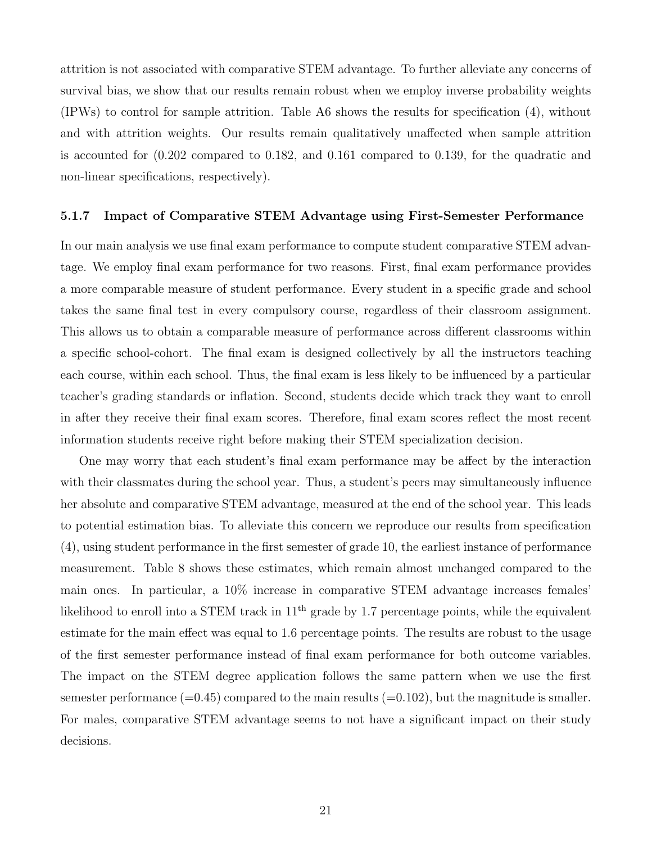attrition is not associated with comparative STEM advantage. To further alleviate any concerns of survival bias, we show that our results remain robust when we employ inverse probability weights (IPWs) to control for sample attrition. Table [A6](#page-55-0) shows the results for specification [\(4\)](#page-15-2), without and with attrition weights. Our results remain qualitatively unaffected when sample attrition is accounted for (0.202 compared to 0.182, and 0.161 compared to 0.139, for the quadratic and non-linear specifications, respectively).

#### 5.1.7 Impact of Comparative STEM Advantage using First-Semester Performance

In our main analysis we use final exam performance to compute student comparative STEM advantage. We employ final exam performance for two reasons. First, final exam performance provides a more comparable measure of student performance. Every student in a specific grade and school takes the same final test in every compulsory course, regardless of their classroom assignment. This allows us to obtain a comparable measure of performance across different classrooms within a specific school-cohort. The final exam is designed collectively by all the instructors teaching each course, within each school. Thus, the final exam is less likely to be influenced by a particular teacher's grading standards or inflation. Second, students decide which track they want to enroll in after they receive their final exam scores. Therefore, final exam scores reflect the most recent information students receive right before making their STEM specialization decision.

One may worry that each student's final exam performance may be affect by the interaction with their classmates during the school year. Thus, a student's peers may simultaneously influence her absolute and comparative STEM advantage, measured at the end of the school year. This leads to potential estimation bias. To alleviate this concern we reproduce our results from specification [\(4\)](#page-15-2), using student performance in the first semester of grade 10, the earliest instance of performance measurement. Table [8](#page-41-0) shows these estimates, which remain almost unchanged compared to the main ones. In particular, a 10% increase in comparative STEM advantage increases females' likelihood to enroll into a STEM track in  $11<sup>th</sup>$  grade by 1.7 percentage points, while the equivalent estimate for the main effect was equal to 1.6 percentage points. The results are robust to the usage of the first semester performance instead of final exam performance for both outcome variables. The impact on the STEM degree application follows the same pattern when we use the first semester performance  $(=0.45)$  compared to the main results  $(=0.102)$ , but the magnitude is smaller. For males, comparative STEM advantage seems to not have a significant impact on their study decisions.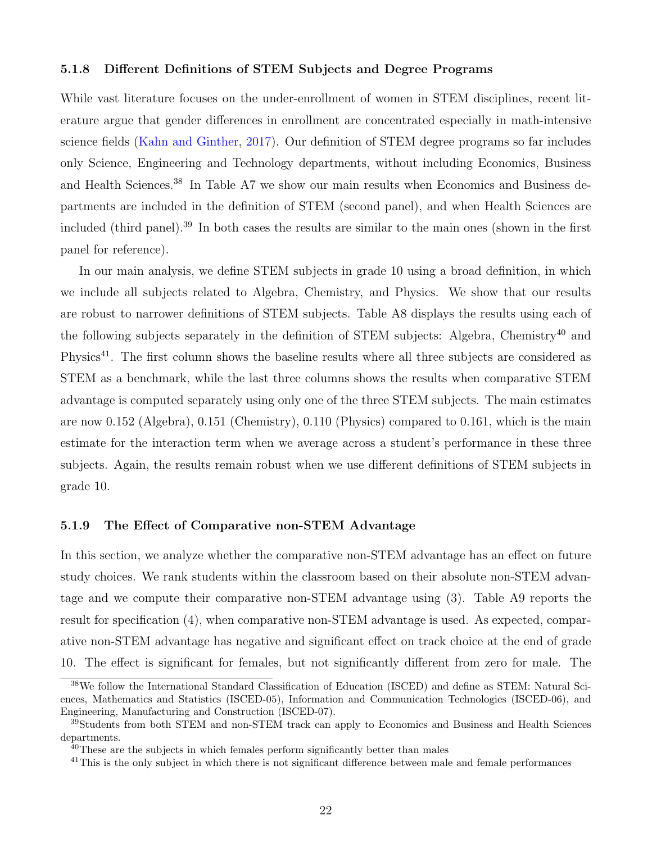#### 5.1.8 Different Definitions of STEM Subjects and Degree Programs

While vast literature focuses on the under-enrollment of women in STEM disciplines, recent literature argue that gender differences in enrollment are concentrated especially in math-intensive science fields [\(Kahn and Ginther,](#page-30-8) [2017\)](#page-30-8). Our definition of STEM degree programs so far includes only Science, Engineering and Technology departments, without including Economics, Business and Health Sciences.[38](#page-23-0) In Table [A7](#page-56-0) we show our main results when Economics and Business departments are included in the definition of STEM (second panel), and when Health Sciences are included (third panel).[39](#page-23-1) In both cases the results are similar to the main ones (shown in the first panel for reference).

In our main analysis, we define STEM subjects in grade 10 using a broad definition, in which we include all subjects related to Algebra, Chemistry, and Physics. We show that our results are robust to narrower definitions of STEM subjects. Table [A8](#page-57-0) displays the results using each of the following subjects separately in the definition of STEM subjects: Algebra, Chemistry<sup>[40](#page-23-2)</sup> and Physics<sup>[41](#page-23-3)</sup>. The first column shows the baseline results where all three subjects are considered as STEM as a benchmark, while the last three columns shows the results when comparative STEM advantage is computed separately using only one of the three STEM subjects. The main estimates are now 0.152 (Algebra), 0.151 (Chemistry), 0.110 (Physics) compared to 0.161, which is the main estimate for the interaction term when we average across a student's performance in these three subjects. Again, the results remain robust when we use different definitions of STEM subjects in grade 10.

#### 5.1.9 The Effect of Comparative non-STEM Advantage

In this section, we analyze whether the comparative non-STEM advantage has an effect on future study choices. We rank students within the classroom based on their absolute non-STEM advantage and we compute their comparative non-STEM advantage using [\(3\)](#page-13-1). Table [A9](#page-58-0) reports the result for specification [\(4\)](#page-15-2), when comparative non-STEM advantage is used. As expected, comparative non-STEM advantage has negative and significant effect on track choice at the end of grade 10. The effect is significant for females, but not significantly different from zero for male. The

<span id="page-23-0"></span><sup>38</sup>We follow the International Standard Classification of Education (ISCED) and define as STEM: Natural Sciences, Mathematics and Statistics (ISCED-05), Information and Communication Technologies (ISCED-06), and Engineering, Manufacturing and Construction (ISCED-07).

<span id="page-23-1"></span><sup>&</sup>lt;sup>39</sup>Students from both STEM and non-STEM track can apply to Economics and Business and Health Sciences departments.

<span id="page-23-2"></span> $40$ These are the subjects in which females perform significantly better than males

<span id="page-23-3"></span><sup>&</sup>lt;sup>41</sup>This is the only subject in which there is not significant difference between male and female performances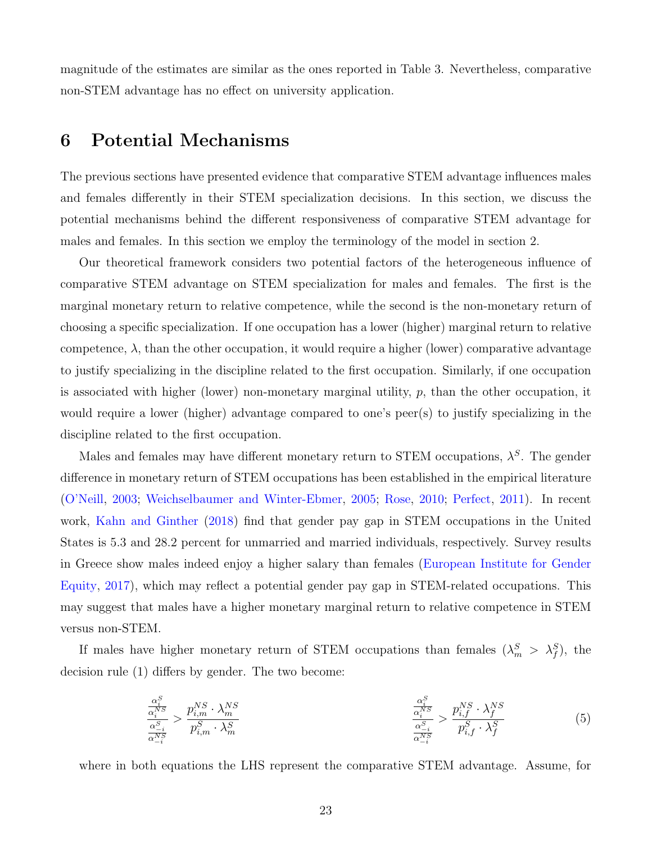magnitude of the estimates are similar as the ones reported in Table [3.](#page-36-0) Nevertheless, comparative non-STEM advantage has no effect on university application.

# 6 Potential Mechanisms

The previous sections have presented evidence that comparative STEM advantage influences males and females differently in their STEM specialization decisions. In this section, we discuss the potential mechanisms behind the different responsiveness of comparative STEM advantage for males and females. In this section we employ the terminology of the model in section [2.](#page-7-1)

Our theoretical framework considers two potential factors of the heterogeneous influence of comparative STEM advantage on STEM specialization for males and females. The first is the marginal monetary return to relative competence, while the second is the non-monetary return of choosing a specific specialization. If one occupation has a lower (higher) marginal return to relative competence,  $\lambda$ , than the other occupation, it would require a higher (lower) comparative advantage to justify specializing in the discipline related to the first occupation. Similarly, if one occupation is associated with higher (lower) non-monetary marginal utility,  $p$ , than the other occupation, it would require a lower (higher) advantage compared to one's peer(s) to justify specializing in the discipline related to the first occupation.

Males and females may have different monetary return to STEM occupations,  $\lambda^S$ . The gender difference in monetary return of STEM occupations has been established in the empirical literature [\(O'Neill,](#page-31-7) [2003;](#page-31-7) [Weichselbaumer and Winter-Ebmer,](#page-32-11) [2005;](#page-32-11) [Rose,](#page-32-12) [2010;](#page-32-12) [Perfect,](#page-32-13) [2011\)](#page-32-13). In recent work, [Kahn and Ginther](#page-30-9) [\(2018\)](#page-30-9) find that gender pay gap in STEM occupations in the United States is 5.3 and 28.2 percent for unmarried and married individuals, respectively. Survey results in Greece show males indeed enjoy a higher salary than females [\(European Institute for Gender](#page-30-10) [Equity,](#page-30-10) [2017\)](#page-30-10), which may reflect a potential gender pay gap in STEM-related occupations. This may suggest that males have a higher monetary marginal return to relative competence in STEM versus non-STEM.

If males have higher monetary return of STEM occupations than females  $(\lambda_m^S > \lambda_f^S)$ , the decision rule [\(1\)](#page-9-1) differs by gender. The two become:

<span id="page-24-0"></span>
$$
\frac{\frac{\alpha_i^S}{\alpha_i^{NS}}}{\frac{\alpha_{-i}^S}{\alpha_{-i}^{NS}}} > \frac{p_{i,m}^{NS} \cdot \lambda_m^{NS}}{p_{i,m}^S \cdot \lambda_m^S} \qquad \frac{\frac{\alpha_i^S}{\alpha_i^{NS}}}{\frac{\alpha_{-i}^S}{\alpha_{-i}^{NS}}} > \frac{p_{i,f}^{NS} \cdot \lambda_f^{NS}}{p_{i,f}^S \cdot \lambda_f^{NS}} \qquad (5)
$$

where in both equations the LHS represent the comparative STEM advantage. Assume, for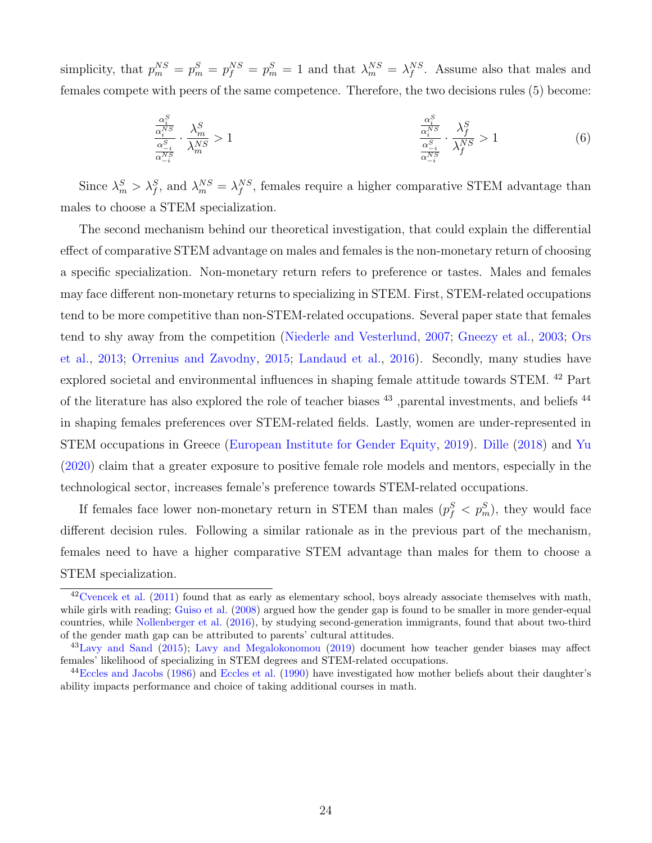simplicity, that  $p_m^{NS} = p_m^S = p_f^{NS} = p_m^S = 1$  and that  $\lambda_m^{NS} = \lambda_f^{NS}$ . Assume also that males and females compete with peers of the same competence. Therefore, the two decisions rules [\(5\)](#page-24-0) become:

$$
\frac{\frac{\alpha_i^S}{\alpha_i^{NS}}}{\frac{\alpha_{-i}^S}{\alpha_{-i}^{NS}}} \cdot \frac{\lambda_m^S}{\lambda_m^{NS}} > 1
$$
\n
$$
\frac{\frac{\alpha_i^S}{\alpha_i^{NS}}}{\frac{\alpha_{-i}^S}{\alpha_{-i}^{NS}}} \cdot \frac{\lambda_f^S}{\lambda_f^{NS}} > 1
$$
\n(6)

Since  $\lambda_m^S > \lambda_f^S$ , and  $\lambda_m^{NS} = \lambda_f^{NS}$ , females require a higher comparative STEM advantage than males to choose a STEM specialization.

The second mechanism behind our theoretical investigation, that could explain the differential effect of comparative STEM advantage on males and females is the non-monetary return of choosing a specific specialization. Non-monetary return refers to preference or tastes. Males and females may face different non-monetary returns to specializing in STEM. First, STEM-related occupations tend to be more competitive than non-STEM-related occupations. Several paper state that females tend to shy away from the competition [\(Niederle and Vesterlund,](#page-31-8) [2007;](#page-31-8) [Gneezy et al.,](#page-30-11) [2003;](#page-30-11) [Ors](#page-31-9) [et al.,](#page-31-9) [2013;](#page-31-9) [Orrenius and Zavodny,](#page-31-10) [2015;](#page-31-10) [Landaud et al.,](#page-31-11) [2016\)](#page-31-11). Secondly, many studies have explored societal and environmental influences in shaping female attitude towards STEM. [42](#page-25-0) Part of the literature has also explored the role of teacher biases [43](#page-25-1) ,parental investments, and beliefs [44](#page-25-2) in shaping females preferences over STEM-related fields. Lastly, women are under-represented in STEM occupations in Greece [\(European Institute for Gender Equity,](#page-30-12) [2019\)](#page-30-12). [Dille](#page-29-9) [\(2018\)](#page-29-9) and [Yu](#page-33-1) [\(2020\)](#page-33-1) claim that a greater exposure to positive female role models and mentors, especially in the technological sector, increases female's preference towards STEM-related occupations.

If females face lower non-monetary return in STEM than males  $(p_f^S < p_m^S)$ , they would face different decision rules. Following a similar rationale as in the previous part of the mechanism, females need to have a higher comparative STEM advantage than males for them to choose a STEM specialization.

<span id="page-25-0"></span> $^{42}$ [Cvencek et al.](#page-29-10) [\(2011\)](#page-29-10) found that as early as elementary school, boys already associate themselves with math, while girls with reading; [Guiso et al.](#page-30-13) [\(2008\)](#page-30-13) argued how the gender gap is found to be smaller in more gender-equal countries, while [Nollenberger et al.](#page-31-12) [\(2016\)](#page-31-12), by studying second-generation immigrants, found that about two-third of the gender math gap can be attributed to parents' cultural attitudes.

<span id="page-25-1"></span><sup>&</sup>lt;sup>43</sup>[Lavy and Sand](#page-31-13) [\(2015\)](#page-31-13); [Lavy and Megalokonomou](#page-31-3) [\(2019\)](#page-31-3) document how teacher gender biases may affect females' likelihood of specializing in STEM degrees and STEM-related occupations.

<span id="page-25-2"></span><sup>&</sup>lt;sup>44</sup>[Eccles and Jacobs](#page-29-11) [\(1986\)](#page-29-11) and [Eccles et al.](#page-29-12) [\(1990\)](#page-29-12) have investigated how mother beliefs about their daughter's ability impacts performance and choice of taking additional courses in math.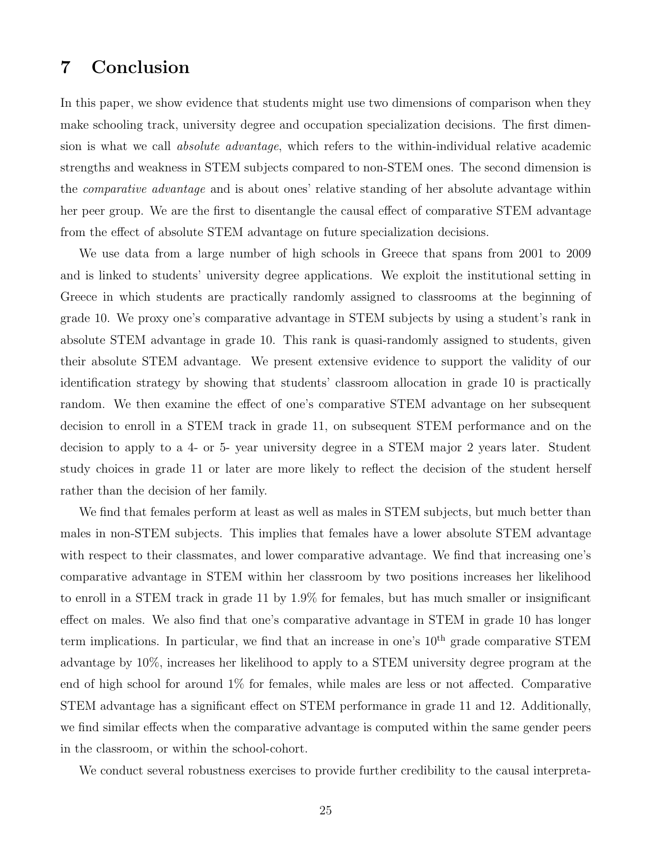# 7 Conclusion

In this paper, we show evidence that students might use two dimensions of comparison when they make schooling track, university degree and occupation specialization decisions. The first dimension is what we call absolute advantage, which refers to the within-individual relative academic strengths and weakness in STEM subjects compared to non-STEM ones. The second dimension is the comparative advantage and is about ones' relative standing of her absolute advantage within her peer group. We are the first to disentangle the causal effect of comparative STEM advantage from the effect of absolute STEM advantage on future specialization decisions.

We use data from a large number of high schools in Greece that spans from 2001 to 2009 and is linked to students' university degree applications. We exploit the institutional setting in Greece in which students are practically randomly assigned to classrooms at the beginning of grade 10. We proxy one's comparative advantage in STEM subjects by using a student's rank in absolute STEM advantage in grade 10. This rank is quasi-randomly assigned to students, given their absolute STEM advantage. We present extensive evidence to support the validity of our identification strategy by showing that students' classroom allocation in grade 10 is practically random. We then examine the effect of one's comparative STEM advantage on her subsequent decision to enroll in a STEM track in grade 11, on subsequent STEM performance and on the decision to apply to a 4- or 5- year university degree in a STEM major 2 years later. Student study choices in grade 11 or later are more likely to reflect the decision of the student herself rather than the decision of her family.

We find that females perform at least as well as males in STEM subjects, but much better than males in non-STEM subjects. This implies that females have a lower absolute STEM advantage with respect to their classmates, and lower comparative advantage. We find that increasing one's comparative advantage in STEM within her classroom by two positions increases her likelihood to enroll in a STEM track in grade 11 by 1.9% for females, but has much smaller or insignificant effect on males. We also find that one's comparative advantage in STEM in grade 10 has longer term implications. In particular, we find that an increase in one's  $10<sup>th</sup>$  grade comparative STEM advantage by 10%, increases her likelihood to apply to a STEM university degree program at the end of high school for around 1% for females, while males are less or not affected. Comparative STEM advantage has a significant effect on STEM performance in grade 11 and 12. Additionally, we find similar effects when the comparative advantage is computed within the same gender peers in the classroom, or within the school-cohort.

We conduct several robustness exercises to provide further credibility to the causal interpreta-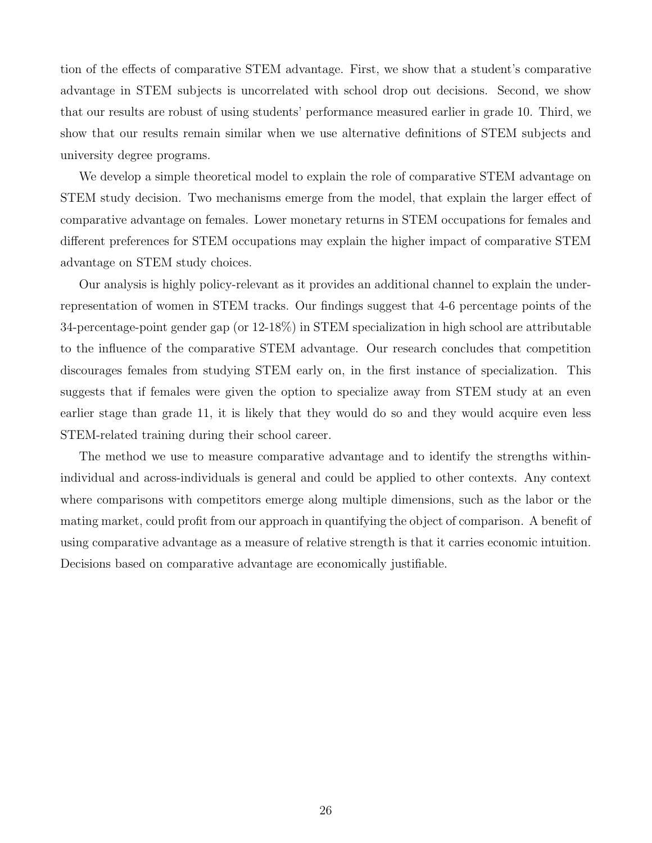tion of the effects of comparative STEM advantage. First, we show that a student's comparative advantage in STEM subjects is uncorrelated with school drop out decisions. Second, we show that our results are robust of using students' performance measured earlier in grade 10. Third, we show that our results remain similar when we use alternative definitions of STEM subjects and university degree programs.

We develop a simple theoretical model to explain the role of comparative STEM advantage on STEM study decision. Two mechanisms emerge from the model, that explain the larger effect of comparative advantage on females. Lower monetary returns in STEM occupations for females and different preferences for STEM occupations may explain the higher impact of comparative STEM advantage on STEM study choices.

Our analysis is highly policy-relevant as it provides an additional channel to explain the underrepresentation of women in STEM tracks. Our findings suggest that 4-6 percentage points of the 34-percentage-point gender gap (or 12-18%) in STEM specialization in high school are attributable to the influence of the comparative STEM advantage. Our research concludes that competition discourages females from studying STEM early on, in the first instance of specialization. This suggests that if females were given the option to specialize away from STEM study at an even earlier stage than grade 11, it is likely that they would do so and they would acquire even less STEM-related training during their school career.

The method we use to measure comparative advantage and to identify the strengths withinindividual and across-individuals is general and could be applied to other contexts. Any context where comparisons with competitors emerge along multiple dimensions, such as the labor or the mating market, could profit from our approach in quantifying the object of comparison. A benefit of using comparative advantage as a measure of relative strength is that it carries economic intuition. Decisions based on comparative advantage are economically justifiable.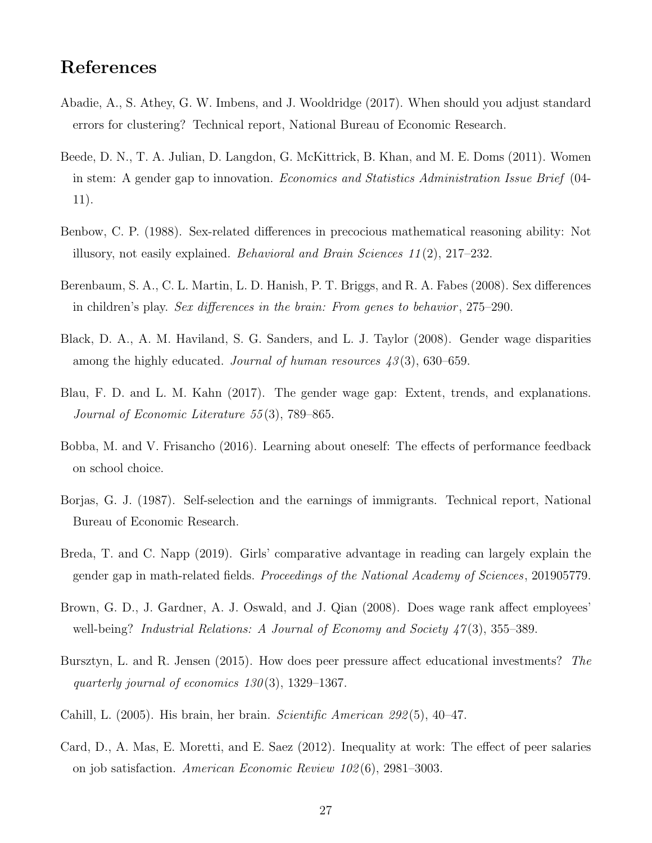# References

- <span id="page-28-12"></span>Abadie, A., S. Athey, G. W. Imbens, and J. Wooldridge (2017). When should you adjust standard errors for clustering? Technical report, National Bureau of Economic Research.
- <span id="page-28-2"></span>Beede, D. N., T. A. Julian, D. Langdon, G. McKittrick, B. Khan, and M. E. Doms (2011). Women in stem: A gender gap to innovation. Economics and Statistics Administration Issue Brief (04- 11).
- <span id="page-28-0"></span>Benbow, C. P. (1988). Sex-related differences in precocious mathematical reasoning ability: Not illusory, not easily explained. Behavioral and Brain Sciences 11 (2), 217–232.
- <span id="page-28-7"></span>Berenbaum, S. A., C. L. Martin, L. D. Hanish, P. T. Briggs, and R. A. Fabes (2008). Sex differences in children's play. Sex differences in the brain: From genes to behavior, 275–290.
- <span id="page-28-3"></span>Black, D. A., A. M. Haviland, S. G. Sanders, and L. J. Taylor (2008). Gender wage disparities among the highly educated. Journal of human resources  $43(3)$ , 630–659.
- <span id="page-28-4"></span>Blau, F. D. and L. M. Kahn (2017). The gender wage gap: Extent, trends, and explanations. Journal of Economic Literature 55 (3), 789–865.
- <span id="page-28-9"></span>Bobba, M. and V. Frisancho (2016). Learning about oneself: The effects of performance feedback on school choice.
- <span id="page-28-8"></span>Borjas, G. J. (1987). Self-selection and the earnings of immigrants. Technical report, National Bureau of Economic Research.
- <span id="page-28-1"></span>Breda, T. and C. Napp (2019). Girls' comparative advantage in reading can largely explain the gender gap in math-related fields. Proceedings of the National Academy of Sciences, 201905779.
- <span id="page-28-10"></span>Brown, G. D., J. Gardner, A. J. Oswald, and J. Qian (2008). Does wage rank affect employees' well-being? Industrial Relations: A Journal of Economy and Society 47(3), 355–389.
- <span id="page-28-5"></span>Bursztyn, L. and R. Jensen (2015). How does peer pressure affect educational investments? The quarterly journal of economics  $130(3)$ , 1329–1367.
- <span id="page-28-6"></span>Cahill, L. (2005). His brain, her brain. *Scientific American 292*(5), 40–47.
- <span id="page-28-11"></span>Card, D., A. Mas, E. Moretti, and E. Saez (2012). Inequality at work: The effect of peer salaries on job satisfaction. American Economic Review 102 (6), 2981–3003.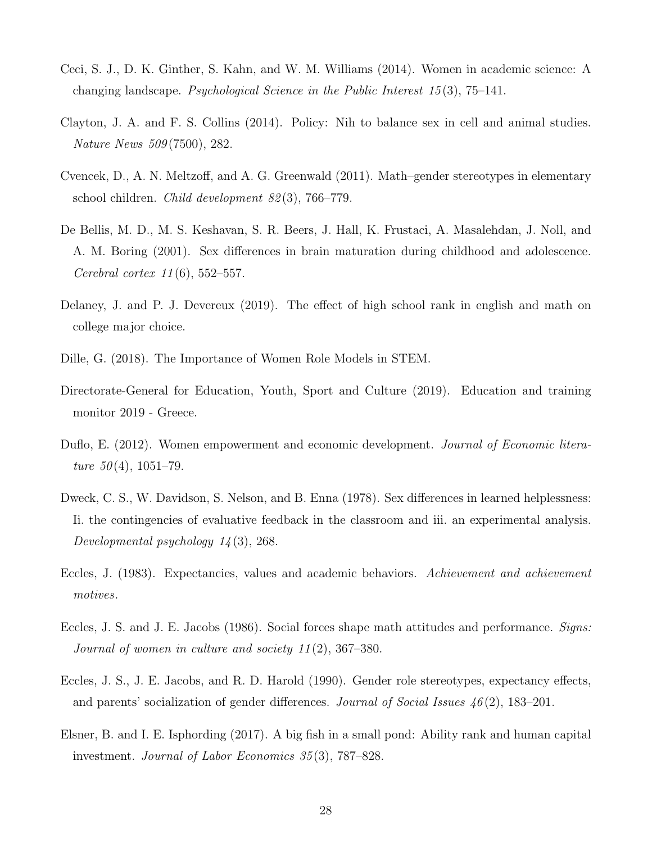- <span id="page-29-0"></span>Ceci, S. J., D. K. Ginther, S. Kahn, and W. M. Williams (2014). Women in academic science: A changing landscape. Psychological Science in the Public Interest 15 (3), 75–141.
- <span id="page-29-3"></span>Clayton, J. A. and F. S. Collins (2014). Policy: Nih to balance sex in cell and animal studies. Nature News 509 (7500), 282.
- <span id="page-29-10"></span>Cvencek, D., A. N. Meltzoff, and A. G. Greenwald (2011). Math–gender stereotypes in elementary school children. *Child development 82* $(3)$ , 766–779.
- <span id="page-29-6"></span>De Bellis, M. D., M. S. Keshavan, S. R. Beers, J. Hall, K. Frustaci, A. Masalehdan, J. Noll, and A. M. Boring (2001). Sex differences in brain maturation during childhood and adolescence. *Cerebral cortex 11*(6), 552–557.
- <span id="page-29-5"></span>Delaney, J. and P. J. Devereux (2019). The effect of high school rank in english and math on college major choice.
- <span id="page-29-9"></span>Dille, G. (2018). The Importance of Women Role Models in STEM.
- <span id="page-29-8"></span>Directorate-General for Education, Youth, Sport and Culture (2019). Education and training monitor 2019 - Greece.
- <span id="page-29-2"></span>Duflo, E. (2012). Women empowerment and economic development. Journal of Economic literature  $50(4)$ , 1051–79.
- <span id="page-29-7"></span>Dweck, C. S., W. Davidson, S. Nelson, and B. Enna (1978). Sex differences in learned helplessness: Ii. the contingencies of evaluative feedback in the classroom and iii. an experimental analysis. Developmental psychology 14 (3), 268.
- <span id="page-29-1"></span>Eccles, J. (1983). Expectancies, values and academic behaviors. Achievement and achievement motives.
- <span id="page-29-11"></span>Eccles, J. S. and J. E. Jacobs (1986). Social forces shape math attitudes and performance. Signs: Journal of women in culture and society 11 (2), 367–380.
- <span id="page-29-12"></span>Eccles, J. S., J. E. Jacobs, and R. D. Harold (1990). Gender role stereotypes, expectancy effects, and parents' socialization of gender differences. Journal of Social Issues 46 (2), 183–201.
- <span id="page-29-4"></span>Elsner, B. and I. E. Isphording (2017). A big fish in a small pond: Ability rank and human capital investment. Journal of Labor Economics 35 (3), 787–828.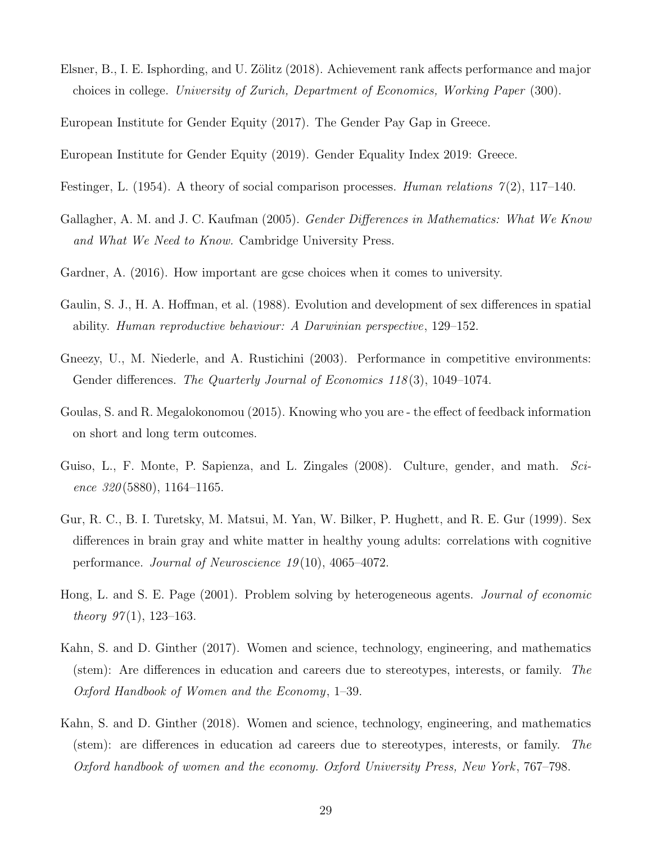<span id="page-30-2"></span>Elsner, B., I. E. Isphording, and U. Zölitz (2018). Achievement rank affects performance and major choices in college. University of Zurich, Department of Economics, Working Paper (300).

<span id="page-30-10"></span>European Institute for Gender Equity (2017). The Gender Pay Gap in Greece.

<span id="page-30-12"></span>European Institute for Gender Equity (2019). Gender Equality Index 2019: Greece.

- <span id="page-30-1"></span>Festinger, L. (1954). A theory of social comparison processes. Human relations  $\mathcal{T}(2)$ , 117–140.
- <span id="page-30-4"></span>Gallagher, A. M. and J. C. Kaufman (2005). *Gender Differences in Mathematics: What We Know* and What We Need to Know. Cambridge University Press.
- <span id="page-30-6"></span>Gardner, A. (2016). How important are gcse choices when it comes to university.
- <span id="page-30-5"></span>Gaulin, S. J., H. A. Hoffman, et al. (1988). Evolution and development of sex differences in spatial ability. Human reproductive behaviour: A Darwinian perspective, 129–152.
- <span id="page-30-11"></span>Gneezy, U., M. Niederle, and A. Rustichini (2003). Performance in competitive environments: Gender differences. The Quarterly Journal of Economics 118(3), 1049–1074.
- <span id="page-30-7"></span>Goulas, S. and R. Megalokonomou (2015). Knowing who you are - the effect of feedback information on short and long term outcomes.
- <span id="page-30-13"></span>Guiso, L., F. Monte, P. Sapienza, and L. Zingales (2008). Culture, gender, and math. Science  $320(5880)$ , 1164–1165.
- <span id="page-30-3"></span>Gur, R. C., B. I. Turetsky, M. Matsui, M. Yan, W. Bilker, P. Hughett, and R. E. Gur (1999). Sex differences in brain gray and white matter in healthy young adults: correlations with cognitive performance. Journal of Neuroscience  $19(10)$ , 4065-4072.
- <span id="page-30-0"></span>Hong, L. and S. E. Page (2001). Problem solving by heterogeneous agents. Journal of economic theory  $97(1)$ , 123-163.
- <span id="page-30-8"></span>Kahn, S. and D. Ginther (2017). Women and science, technology, engineering, and mathematics (stem): Are differences in education and careers due to stereotypes, interests, or family. The Oxford Handbook of Women and the Economy, 1–39.
- <span id="page-30-9"></span>Kahn, S. and D. Ginther (2018). Women and science, technology, engineering, and mathematics (stem): are differences in education ad careers due to stereotypes, interests, or family. The Oxford handbook of women and the economy. Oxford University Press, New York , 767–798.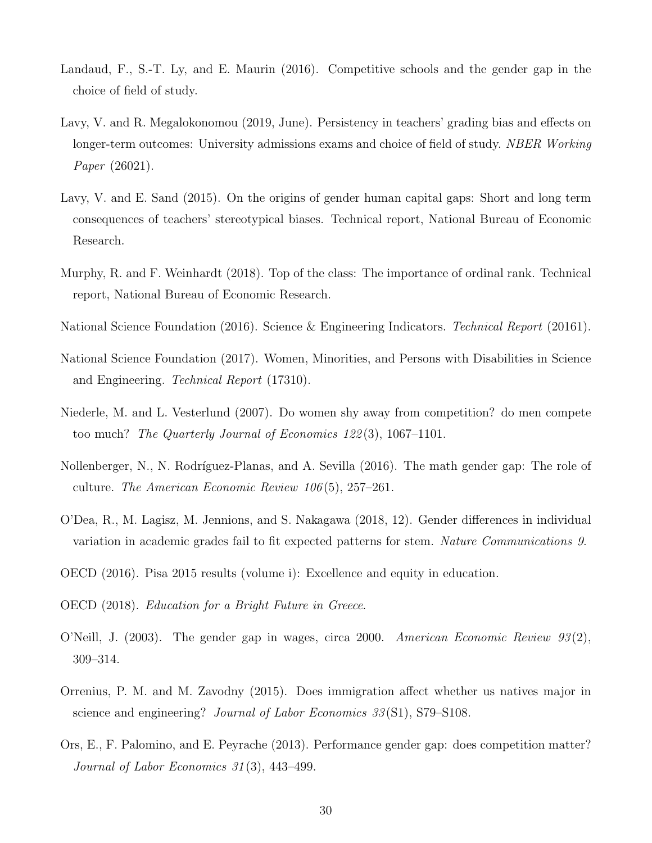- <span id="page-31-11"></span>Landaud, F., S.-T. Ly, and E. Maurin (2016). Competitive schools and the gender gap in the choice of field of study.
- <span id="page-31-3"></span>Lavy, V. and R. Megalokonomou (2019, June). Persistency in teachers' grading bias and effects on longer-term outcomes: University admissions exams and choice of field of study. NBER Working Paper (26021).
- <span id="page-31-13"></span>Lavy, V. and E. Sand (2015). On the origins of gender human capital gaps: Short and long term consequences of teachers' stereotypical biases. Technical report, National Bureau of Economic Research.
- <span id="page-31-5"></span>Murphy, R. and F. Weinhardt (2018). Top of the class: The importance of ordinal rank. Technical report, National Bureau of Economic Research.
- <span id="page-31-0"></span>National Science Foundation (2016). Science & Engineering Indicators. Technical Report (20161).
- <span id="page-31-1"></span>National Science Foundation (2017). Women, Minorities, and Persons with Disabilities in Science and Engineering. Technical Report (17310).
- <span id="page-31-8"></span>Niederle, M. and L. Vesterlund (2007). Do women shy away from competition? do men compete too much? The Quarterly Journal of Economics 122 (3), 1067–1101.
- <span id="page-31-12"></span>Nollenberger, N., N. Rodríguez-Planas, and A. Sevilla (2016). The math gender gap: The role of culture. The American Economic Review 106 (5), 257–261.
- <span id="page-31-4"></span>O'Dea, R., M. Lagisz, M. Jennions, and S. Nakagawa (2018, 12). Gender differences in individual variation in academic grades fail to fit expected patterns for stem. Nature Communications 9.
- <span id="page-31-2"></span>OECD (2016). Pisa 2015 results (volume i): Excellence and equity in education.
- <span id="page-31-6"></span>OECD (2018). Education for a Bright Future in Greece.
- <span id="page-31-7"></span>O'Neill, J. (2003). The gender gap in wages, circa 2000. American Economic Review  $93(2)$ , 309–314.
- <span id="page-31-10"></span>Orrenius, P. M. and M. Zavodny (2015). Does immigration affect whether us natives major in science and engineering? *Journal of Labor Economics 33* (S1), S79–S108.
- <span id="page-31-9"></span>Ors, E., F. Palomino, and E. Peyrache (2013). Performance gender gap: does competition matter? Journal of Labor Economics 31 (3), 443–499.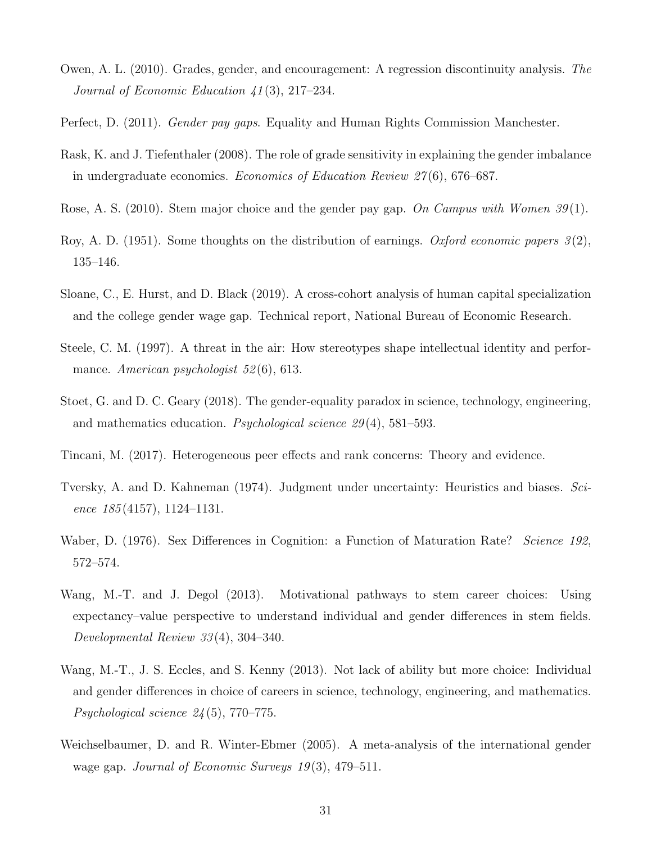- <span id="page-32-7"></span>Owen, A. L. (2010). Grades, gender, and encouragement: A regression discontinuity analysis. The Journal of Economic Education 41 (3), 217–234.
- <span id="page-32-13"></span>Perfect, D. (2011). *Gender pay gaps*. Equality and Human Rights Commission Manchester.
- <span id="page-32-8"></span>Rask, K. and J. Tiefenthaler (2008). The role of grade sensitivity in explaining the gender imbalance in undergraduate economics. Economics of Education Review 27 (6), 676–687.
- <span id="page-32-12"></span>Rose, A. S. (2010). Stem major choice and the gender pay gap. On Campus with Women 39(1).
- <span id="page-32-9"></span>Roy, A. D. (1951). Some thoughts on the distribution of earnings. Oxford economic papers  $3(2)$ , 135–146.
- <span id="page-32-4"></span>Sloane, C., E. Hurst, and D. Black (2019). A cross-cohort analysis of human capital specialization and the college gender wage gap. Technical report, National Bureau of Economic Research.
- <span id="page-32-1"></span>Steele, C. M. (1997). A threat in the air: How stereotypes shape intellectual identity and performance. American psychologist 52(6), 613.
- <span id="page-32-3"></span>Stoet, G. and D. C. Geary (2018). The gender-equality paradox in science, technology, engineering, and mathematics education. Psychological science 29 (4), 581–593.
- <span id="page-32-5"></span>Tincani, M. (2017). Heterogeneous peer effects and rank concerns: Theory and evidence.
- <span id="page-32-6"></span>Tversky, A. and D. Kahneman (1974). Judgment under uncertainty: Heuristics and biases. Science  $185(4157)$ , 1124–1131.
- <span id="page-32-0"></span>Waber, D. (1976). Sex Differences in Cognition: a Function of Maturation Rate? *Science 192*, 572–574.
- <span id="page-32-2"></span>Wang, M.-T. and J. Degol (2013). Motivational pathways to stem career choices: Using expectancy–value perspective to understand individual and gender differences in stem fields. Developmental Review 33 (4), 304–340.
- <span id="page-32-10"></span>Wang, M.-T., J. S. Eccles, and S. Kenny (2013). Not lack of ability but more choice: Individual and gender differences in choice of careers in science, technology, engineering, and mathematics. Psychological science 24 (5), 770–775.
- <span id="page-32-11"></span>Weichselbaumer, D. and R. Winter-Ebmer (2005). A meta-analysis of the international gender wage gap. Journal of Economic Surveys 19(3), 479–511.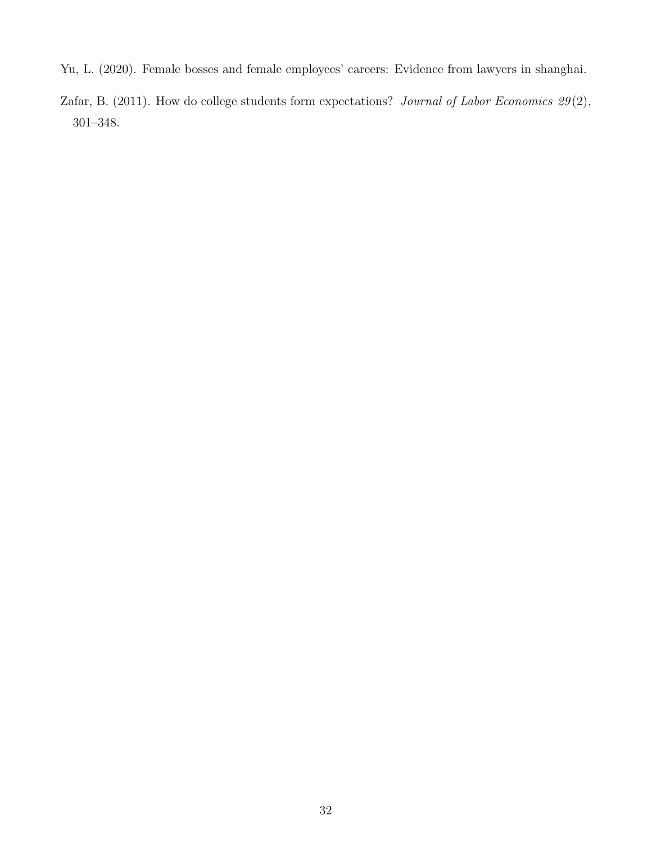- <span id="page-33-1"></span>Yu, L. (2020). Female bosses and female employees' careers: Evidence from lawyers in shanghai.
- <span id="page-33-0"></span>Zafar, B. (2011). How do college students form expectations? Journal of Labor Economics  $29(2)$ , 301–348.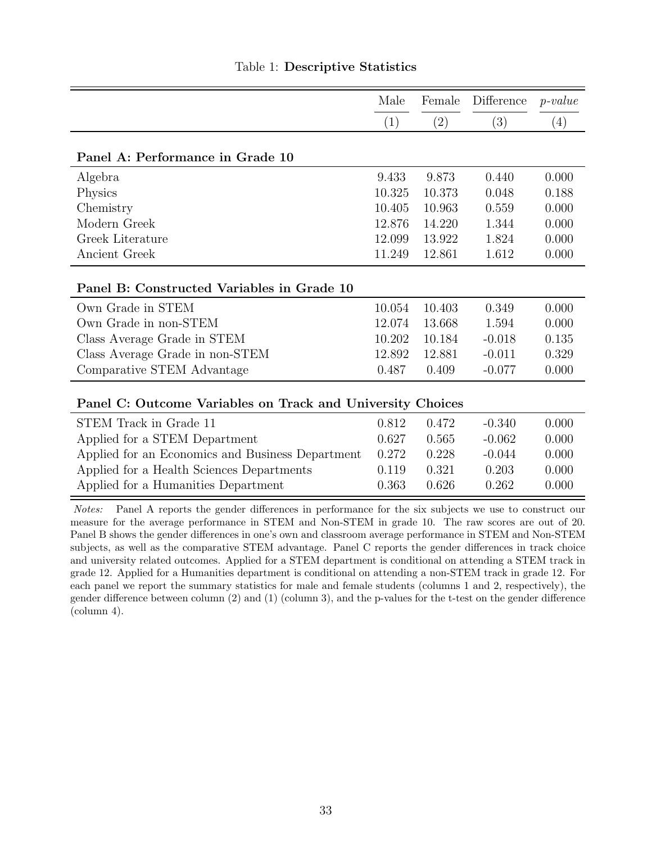<span id="page-34-0"></span>

|                                                                                                              | Male   | Female | Difference | $p-value$ |
|--------------------------------------------------------------------------------------------------------------|--------|--------|------------|-----------|
|                                                                                                              | (1)    | (2)    | (3)        | (4)       |
| Panel A: Performance in Grade 10                                                                             |        |        |            |           |
| Algebra                                                                                                      | 9.433  | 9.873  | 0.440      | 0.000     |
| Physics                                                                                                      | 10.325 | 10.373 | 0.048      | 0.188     |
| Chemistry                                                                                                    | 10.405 | 10.963 | 0.559      | 0.000     |
| Modern Greek                                                                                                 | 12.876 | 14.220 | 1.344      | 0.000     |
| Greek Literature                                                                                             | 12.099 | 13.922 | 1.824      | 0.000     |
| Ancient Greek                                                                                                | 11.249 | 12.861 | 1.612      | 0.000     |
| Panel B: Constructed Variables in Grade 10                                                                   |        |        |            |           |
| Own Grade in STEM                                                                                            | 10.054 | 10.403 | 0.349      | 0.000     |
| Own Grade in non-STEM                                                                                        | 12.074 | 13.668 | 1.594      | 0.000     |
| Class Average Grade in STEM                                                                                  | 10.202 | 10.184 | $-0.018$   | 0.135     |
| Class Average Grade in non-STEM                                                                              | 12.892 | 12.881 | $-0.011$   | 0.329     |
| Comparative STEM Advantage                                                                                   | 0.487  | 0.409  | $-0.077$   | 0.000     |
| Panel C: Outcome Variables on Track and University Choices                                                   |        |        |            |           |
| STEM Track in Grade 11                                                                                       | 0.812  | 0.472  | $-0.340$   | 0.000     |
| Applied for a STEM Department                                                                                | 0.627  | 0.565  | $-0.062$   | 0.000     |
| Applied for an Economics and Business Department                                                             | 0.272  | 0.228  | $-0.044$   | 0.000     |
| Applied for a Health Sciences Departments                                                                    | 0.119  | 0.321  | 0.203      | 0.000     |
| Applied for a Humanities Department                                                                          | 0.363  | 0.626  | 0.262      | 0.000     |
| Panel A reports the gender differences in performance for the six subjects we use to construct our<br>Notes: |        |        |            |           |

### Table 1: Descriptive Statistics

measure for the average performance in STEM and Non-STEM in grade 10. The raw scores are out of 20. Panel B shows the gender differences in one's own and classroom average performance in STEM and Non-STEM subjects, as well as the comparative STEM advantage. Panel C reports the gender differences in track choice and university related outcomes. Applied for a STEM department is conditional on attending a STEM track in grade 12. Applied for a Humanities department is conditional on attending a non-STEM track in grade 12. For each panel we report the summary statistics for male and female students (columns 1 and 2, respectively), the gender difference between column (2) and (1) (column 3), and the p-values for the t-test on the gender difference (column 4).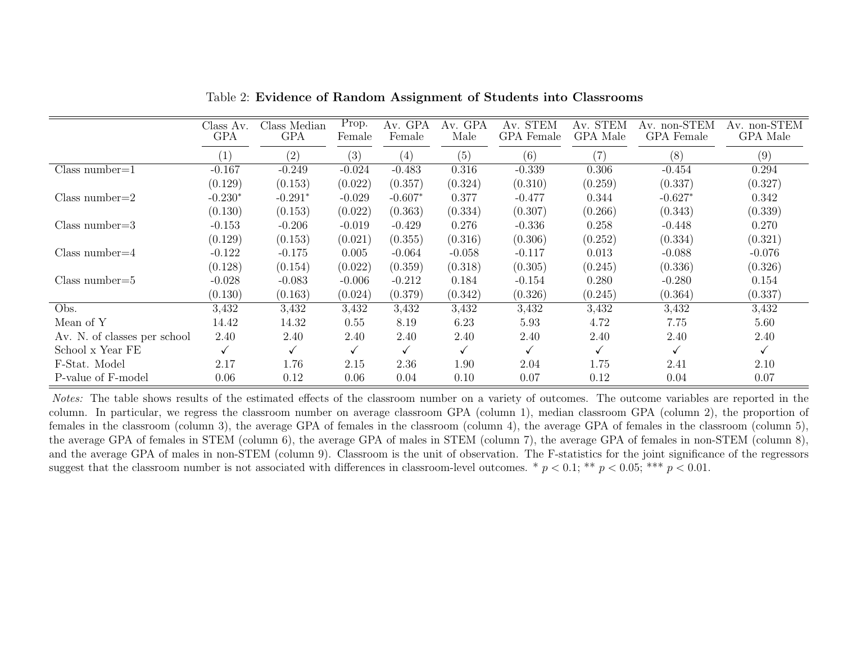|                              | Class Av.<br><b>GPA</b> | Class Median<br><b>GPA</b> | Prop.<br>Female | Av. GPA<br>Female | Av. GPA<br>Male | Av. STEM<br>GPA Female | Av. STEM<br>GPA Male | Av. non-STEM<br>GPA Female | Av. non-STEM<br>GPA Male |
|------------------------------|-------------------------|----------------------------|-----------------|-------------------|-----------------|------------------------|----------------------|----------------------------|--------------------------|
|                              | $\left(1\right)$        | (2)                        | (3)             | (4)               | (5)             | (6)                    | (7)                  | (8)                        | (9)                      |
| Class number= $1$            | $-0.167$                | $-0.249$                   | $-0.024$        | $-0.483$          | 0.316           | $-0.339$               | 0.306                | $-0.454$                   | 0.294                    |
|                              | (0.129)                 | (0.153)                    | (0.022)         | (0.357)           | (0.324)         | (0.310)                | (0.259)              | (0.337)                    | (0.327)                  |
| Class number= $2$            | $-0.230*$               | $-0.291*$                  | $-0.029$        | $-0.607*$         | 0.377           | $-0.477$               | 0.344                | $-0.627*$                  | 0.342                    |
|                              | (0.130)                 | (0.153)                    | (0.022)         | (0.363)           | (0.334)         | (0.307)                | (0.266)              | (0.343)                    | (0.339)                  |
| $Class number = 3$           | $-0.153$                | $-0.206$                   | $-0.019$        | $-0.429$          | 0.276           | $-0.336$               | 0.258                | $-0.448$                   | 0.270                    |
|                              | (0.129)                 | (0.153)                    | (0.021)         | (0.355)           | (0.316)         | (0.306)                | (0.252)              | (0.334)                    | (0.321)                  |
| Class number= $4$            | $-0.122$                | $-0.175$                   | 0.005           | $-0.064$          | $-0.058$        | $-0.117$               | 0.013                | $-0.088$                   | $-0.076$                 |
|                              | (0.128)                 | (0.154)                    | (0.022)         | (0.359)           | (0.318)         | (0.305)                | (0.245)              | (0.336)                    | (0.326)                  |
| $Class number=5$             | $-0.028$                | $-0.083$                   | $-0.006$        | $-0.212$          | 0.184           | $-0.154$               | 0.280                | $-0.280$                   | 0.154                    |
|                              | (0.130)                 | (0.163)                    | (0.024)         | (0.379)           | (0.342)         | (0.326)                | (0.245)              | (0.364)                    | (0.337)                  |
| Obs.                         | 3,432                   | 3,432                      | 3,432           | 3,432             | 3,432           | 3,432                  | 3,432                | 3,432                      | 3,432                    |
| Mean of Y                    | 14.42                   | 14.32                      | 0.55            | 8.19              | 6.23            | 5.93                   | 4.72                 | 7.75                       | 5.60                     |
| Av. N. of classes per school | 2.40                    | 2.40                       | 2.40            | 2.40              | 2.40            | 2.40                   | 2.40                 | 2.40                       | 2.40                     |
| School x Year FE             |                         |                            |                 |                   |                 |                        |                      |                            | ✓                        |
| F-Stat. Model                | 2.17                    | 1.76                       | 2.15            | 2.36              | 1.90            | 2.04                   | 1.75                 | 2.41                       | 2.10                     |
| P-value of F-model           | 0.06                    | 0.12                       | 0.06            | 0.04              | 0.10            | 0.07                   | 0.12                 | 0.04                       | 0.07                     |

Table 2: Evidence of Random Assignment of Students into Classrooms

<span id="page-35-0"></span>Notes: The table shows results of the estimated effects of the classroom number on a variety of outcomes. The outcome variables are reported in the column. In particular, we regress the classroom number on average classroom GPA (column 1), median classroom GPA (column 2), the proportion of females in the classroom (column 3), the average GPA of females in the classroom (column 4), the average GPA of females in the classroom (column 5), the average GPA of females in STEM (column 6), the average GPA of males in STEM (column 7), the average GPA of females in non-STEM (column 8), and the average GPA of males in non-STEM (column 9). Classroom is the unit of observation. The F-statistics for the joint significance of the regressorssuggest that the classroom number is not associated with differences in classroom-level outcomes. \*  $p < 0.1$ ; \*\*  $p < 0.05$ ; \*\*\*  $p < 0.01$ .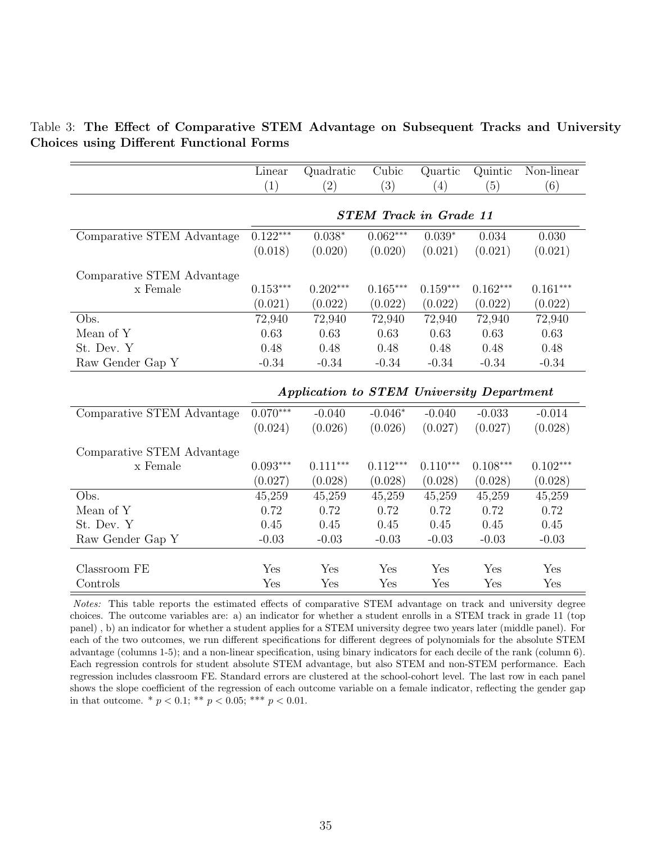<span id="page-36-0"></span>

|  | Table 3: The Effect of Comparative STEM Advantage on Subsequent Tracks and University |  |  |  |  |
|--|---------------------------------------------------------------------------------------|--|--|--|--|
|  | <b>Choices using Different Functional Forms</b>                                       |  |  |  |  |

|                            | Linear     | Quadratic                                 | Cubic                         | Quartic    | Quintic    | Non-linear |
|----------------------------|------------|-------------------------------------------|-------------------------------|------------|------------|------------|
|                            | (1)        | (2)                                       | (3)                           | (4)        | (5)        | (6)        |
|                            |            |                                           |                               |            |            |            |
|                            |            |                                           | <b>STEM Track in Grade 11</b> |            |            |            |
| Comparative STEM Advantage | $0.122***$ | $0.038*$                                  | $0.062***$                    | $0.039*$   | 0.034      | 0.030      |
|                            | (0.018)    | (0.020)                                   | (0.020)                       | (0.021)    | (0.021)    | (0.021)    |
| Comparative STEM Advantage |            |                                           |                               |            |            |            |
| x Female                   | $0.153***$ | $0.202***$                                | $0.165***$                    | $0.159***$ | $0.162***$ | $0.161***$ |
|                            | (0.021)    | (0.022)                                   | (0.022)                       | (0.022)    | (0.022)    | (0.022)    |
| Obs.                       | 72,940     | 72,940                                    | 72,940                        | 72,940     | 72,940     | 72,940     |
| Mean of Y                  | 0.63       | 0.63                                      | 0.63                          | 0.63       | 0.63       | 0.63       |
| St. Dev. Y                 | 0.48       | 0.48                                      | 0.48                          | 0.48       | 0.48       | 0.48       |
| Raw Gender Gap Y           | $-0.34$    | $-0.34$                                   | $-0.34$                       | $-0.34$    | $-0.34$    | $-0.34$    |
|                            |            |                                           |                               |            |            |            |
|                            |            | Application to STEM University Department |                               |            |            |            |
| Comparative STEM Advantage | $0.070***$ | $-0.040$                                  | $-0.046*$                     | $-0.040$   | $-0.033$   | $-0.014$   |
|                            | (0.024)    | (0.026)                                   | (0.026)                       | (0.027)    | (0.027)    | (0.028)    |
| Comparative STEM Advantage |            |                                           |                               |            |            |            |
| x Female                   | $0.093***$ | $0.111***$                                | $0.112***$                    | $0.110***$ | $0.108***$ | $0.102***$ |
|                            | (0.027)    | (0.028)                                   | (0.028)                       | (0.028)    | (0.028)    | (0.028)    |
| Obs.                       | 45,259     | 45,259                                    | 45,259                        | 45,259     | 45,259     | 45,259     |
| Mean of Y                  | 0.72       | 0.72                                      | 0.72                          | 0.72       | 0.72       | 0.72       |
| St. Dev. Y                 | 0.45       | 0.45                                      | 0.45                          | 0.45       | 0.45       | 0.45       |
| Raw Gender Gap Y           | $-0.03$    | $-0.03$                                   | $-0.03$                       | $-0.03$    | $-0.03$    | $-0.03$    |
|                            |            |                                           |                               |            |            |            |
| Classroom FE               | Yes        | Yes                                       | Yes                           | Yes        | Yes        | Yes        |
| Controls                   | Yes        | Yes                                       | Yes                           | Yes        | Yes        | Yes        |

Notes: This table reports the estimated effects of comparative STEM advantage on track and university degree choices. The outcome variables are: a) an indicator for whether a student enrolls in a STEM track in grade 11 (top panel) , b) an indicator for whether a student applies for a STEM university degree two years later (middle panel). For each of the two outcomes, we run different specifications for different degrees of polynomials for the absolute STEM advantage (columns 1-5); and a non-linear specification, using binary indicators for each decile of the rank (column 6). Each regression controls for student absolute STEM advantage, but also STEM and non-STEM performance. Each regression includes classroom FE. Standard errors are clustered at the school-cohort level. The last row in each panel shows the slope coefficient of the regression of each outcome variable on a female indicator, reflecting the gender gap in that outcome. \*  $p < 0.1$ ; \*\*  $p < 0.05$ ; \*\*\*  $p < 0.01$ .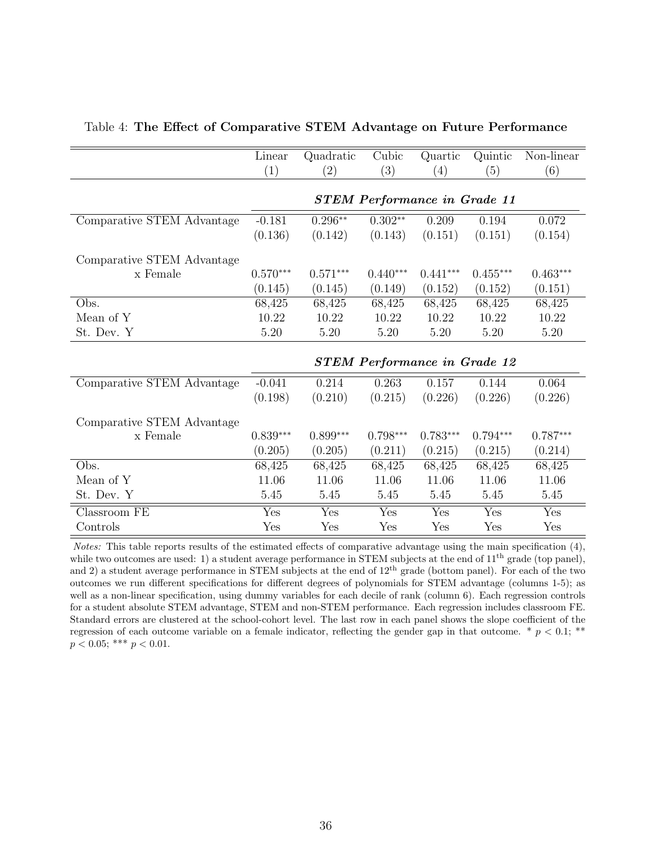<span id="page-37-0"></span>

|                                  | Linear     | Quadratic  | Cubic                               | Quartic    | Quintic    | Non-linear |
|----------------------------------|------------|------------|-------------------------------------|------------|------------|------------|
|                                  | (1)        | (2)        | (3)                                 | (4)        | (5)        | (6)        |
|                                  |            |            |                                     |            |            |            |
|                                  |            |            | <b>STEM Performance in Grade 11</b> |            |            |            |
| Comparative STEM Advantage       | $-0.181$   | $0.296**$  | $0.302**$                           | 0.209      | 0.194      | 0.072      |
|                                  | (0.136)    | (0.142)    | (0.143)                             | (0.151)    | (0.151)    | (0.154)    |
| Comparative STEM Advantage       |            |            |                                     |            |            |            |
| x Female                         | $0.570***$ | $0.571***$ | $0.440***$                          | $0.441***$ | $0.455***$ | $0.463***$ |
|                                  | (0.145)    | (0.145)    | (0.149)                             | (0.152)    | (0.152)    | (0.151)    |
| Obs.                             | 68,425     | 68,425     | 68,425                              | 68,425     | 68,425     | 68,425     |
| Mean of Y                        | 10.22      | 10.22      | 10.22                               | 10.22      | 10.22      | 10.22      |
| St. Dev. Y                       | 5.20       | 5.20       | 5.20                                | $5.20\,$   | 5.20       | 5.20       |
|                                  |            |            |                                     |            |            |            |
|                                  |            |            | <b>STEM Performance in Grade 12</b> |            |            |            |
| Comparative STEM Advantage       | $-0.041$   | 0.214      | 0.263                               | 0.157      | 0.144      | 0.064      |
|                                  | (0.198)    | (0.210)    | (0.215)                             | (0.226)    | (0.226)    | (0.226)    |
| Comparative STEM Advantage       |            |            |                                     |            |            |            |
| x Female                         | $0.839***$ | $0.899***$ | $0.798***$                          | $0.783***$ | $0.794***$ | $0.787***$ |
|                                  | (0.205)    | (0.205)    | (0.211)                             | (0.215)    | (0.215)    | (0.214)    |
| Obs.                             | 68,425     | 68,425     | 68,425                              | 68,425     | 68,425     | 68,425     |
| Mean of Y                        | 11.06      | 11.06      | 11.06                               | 11.06      | 11.06      | 11.06      |
| St. Dev. Y                       | 5.45       | 5.45       | 5.45                                | 5.45       | 5.45       | 5.45       |
| $\overline{\text{Classroom FE}}$ | Yes        | Yes        | Yes                                 | Yes        | Yes        | Yes        |
| Controls                         | Yes        | Yes        | Yes                                 | Yes        | Yes        | Yes        |

#### Table 4: The Effect of Comparative STEM Advantage on Future Performance

Notes: This table reports results of the estimated effects of comparative advantage using the main specification [\(4\)](#page-15-2), while two outcomes are used: 1) a student average performance in STEM subjects at the end of  $11<sup>th</sup>$  grade (top panel), and 2) a student average performance in STEM subjects at the end of 12th grade (bottom panel). For each of the two outcomes we run different specifications for different degrees of polynomials for STEM advantage (columns 1-5); as well as a non-linear specification, using dummy variables for each decile of rank (column 6). Each regression controls for a student absolute STEM advantage, STEM and non-STEM performance. Each regression includes classroom FE. Standard errors are clustered at the school-cohort level. The last row in each panel shows the slope coefficient of the regression of each outcome variable on a female indicator, reflecting the gender gap in that outcome.  $*$   $p < 0.1$ ; \*\*  $p < 0.05$ ; \*\*\*  $p < 0.01$ .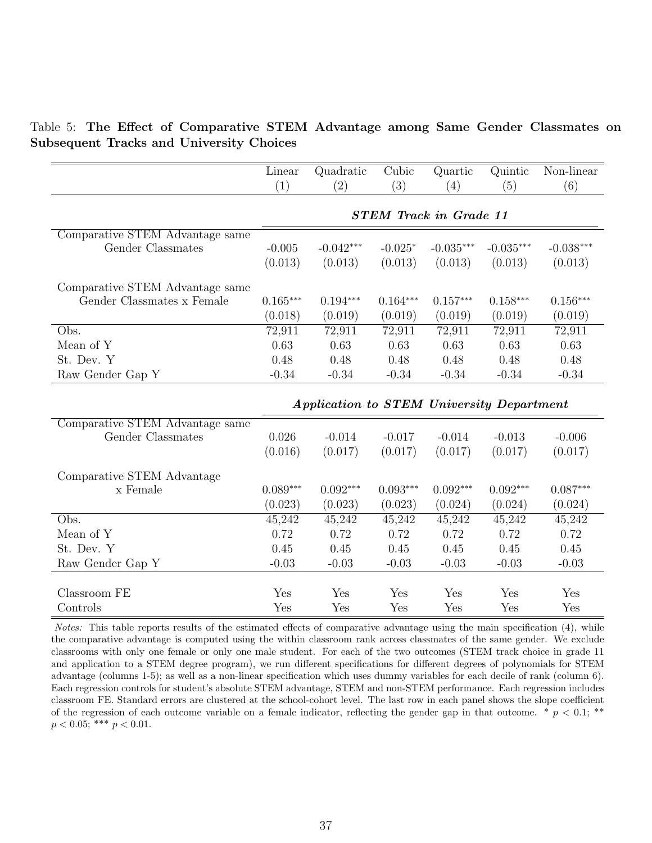<span id="page-38-0"></span>Table 5: The Effect of Comparative STEM Advantage among Same Gender Classmates on Subsequent Tracks and University Choices

|                                 | Linear     | Quadratic                                 | Cubic      | Quartic                       | Quintic     | Non-linear  |
|---------------------------------|------------|-------------------------------------------|------------|-------------------------------|-------------|-------------|
|                                 | (1)        | (2)                                       | (3)        | (4)                           | (5)         | (6)         |
|                                 |            |                                           |            |                               |             |             |
|                                 |            |                                           |            | <b>STEM Track in Grade 11</b> |             |             |
| Comparative STEM Advantage same |            |                                           |            |                               |             |             |
| Gender Classmates               | $-0.005$   | $-0.042***$                               | $-0.025*$  | $-0.035***$                   | $-0.035***$ | $-0.038***$ |
|                                 | (0.013)    | (0.013)                                   | (0.013)    | (0.013)                       | (0.013)     | (0.013)     |
| Comparative STEM Advantage same |            |                                           |            |                               |             |             |
| Gender Classmates x Female      | $0.165***$ | $0.194***$                                | $0.164***$ | $0.157***$                    | $0.158***$  | $0.156***$  |
|                                 | (0.018)    | (0.019)                                   | (0.019)    | (0.019)                       | (0.019)     | (0.019)     |
| Obs.                            | 72,911     | 72,911                                    | 72,911     | 72,911                        | 72,911      | 72,911      |
| Mean of Y                       | 0.63       | 0.63                                      | 0.63       | 0.63                          | 0.63        | 0.63        |
| St. Dev. Y                      | 0.48       | 0.48                                      | 0.48       | 0.48                          | 0.48        | 0.48        |
| Raw Gender Gap Y                | $-0.34$    | $-0.34$                                   | $-0.34$    | $-0.34$                       | $-0.34$     | $-0.34$     |
|                                 |            |                                           |            |                               |             |             |
|                                 |            | Application to STEM University Department |            |                               |             |             |
| Comparative STEM Advantage same |            |                                           |            |                               |             |             |
| Gender Classmates               | 0.026      | $-0.014$                                  | $-0.017$   | $-0.014$                      | $-0.013$    | $-0.006$    |
|                                 | (0.016)    | (0.017)                                   | (0.017)    | (0.017)                       | (0.017)     | (0.017)     |
| Comparative STEM Advantage      |            |                                           |            |                               |             |             |
| x Female                        | $0.089***$ | $0.092***$                                | $0.093***$ | $0.092***$                    | $0.092***$  | $0.087***$  |
|                                 | (0.023)    | (0.023)                                   | (0.023)    | (0.024)                       | (0.024)     | (0.024)     |
| Obs.                            | 45,242     | 45,242                                    | 45,242     | 45,242                        | 45,242      | 45,242      |
| Mean of Y                       | 0.72       | 0.72                                      | 0.72       | 0.72                          | 0.72        | 0.72        |
| St. Dev. Y                      | 0.45       | 0.45                                      | 0.45       | 0.45                          | 0.45        | 0.45        |
| Raw Gender Gap Y                | $-0.03$    | $-0.03$                                   | $-0.03$    | $-0.03$                       | $-0.03$     | $-0.03$     |
|                                 |            |                                           |            |                               |             |             |
| Classroom FE                    | Yes        | Yes                                       | Yes        | Yes                           | Yes         | Yes         |
| Controls                        | Yes        | Yes                                       | Yes        | Yes                           | Yes         | Yes         |

Notes: This table reports results of the estimated effects of comparative advantage using the main specification [\(4\)](#page-15-2), while the comparative advantage is computed using the within classroom rank across classmates of the same gender. We exclude classrooms with only one female or only one male student. For each of the two outcomes (STEM track choice in grade 11 and application to a STEM degree program), we run different specifications for different degrees of polynomials for STEM advantage (columns 1-5); as well as a non-linear specification which uses dummy variables for each decile of rank (column 6). Each regression controls for student's absolute STEM advantage, STEM and non-STEM performance. Each regression includes classroom FE. Standard errors are clustered at the school-cohort level. The last row in each panel shows the slope coefficient of the regression of each outcome variable on a female indicator, reflecting the gender gap in that outcome.  $*$   $p < 0.1;$  \*\*  $p < 0.05$ ; \*\*\*  $p < 0.01$ .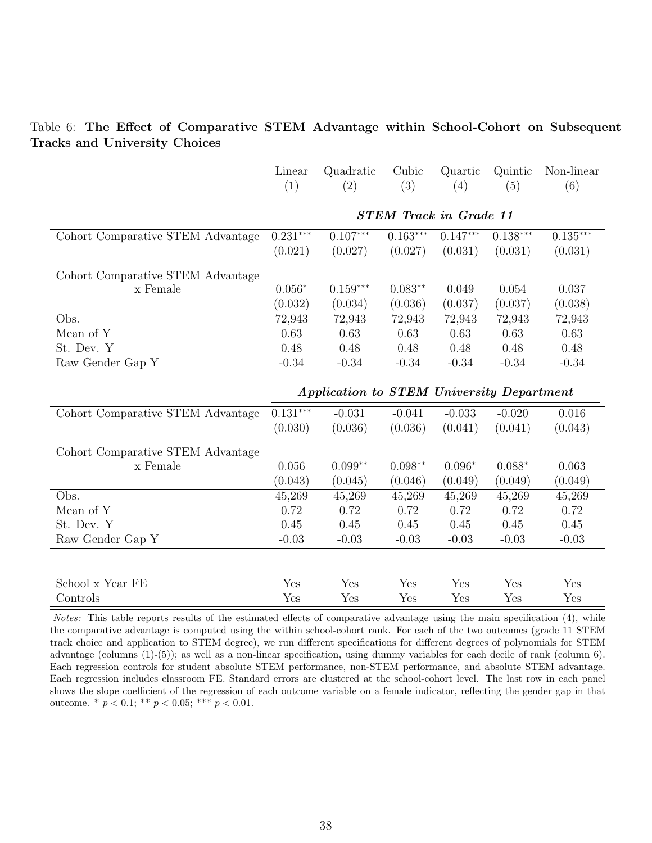<span id="page-39-0"></span>Table 6: The Effect of Comparative STEM Advantage within School-Cohort on Subsequent Tracks and University Choices

|                                   | Linear                        | Quadratic                                 | Cubic      | Quartic    | Quintic    | Non-linear |  |  |  |
|-----------------------------------|-------------------------------|-------------------------------------------|------------|------------|------------|------------|--|--|--|
|                                   | (1)                           | (2)                                       | (3)        | (4)        | (5)        | (6)        |  |  |  |
|                                   |                               |                                           |            |            |            |            |  |  |  |
|                                   | <b>STEM Track in Grade 11</b> |                                           |            |            |            |            |  |  |  |
| Cohort Comparative STEM Advantage | $0.231***$                    | $0.107***$                                | $0.163***$ | $0.147***$ | $0.138***$ | $0.135***$ |  |  |  |
|                                   | (0.021)                       | (0.027)                                   | (0.027)    | (0.031)    | (0.031)    | (0.031)    |  |  |  |
| Cohort Comparative STEM Advantage |                               |                                           |            |            |            |            |  |  |  |
| x Female                          | $0.056*$                      | $0.159***$                                | $0.083**$  | 0.049      | 0.054      | 0.037      |  |  |  |
|                                   | (0.032)                       | (0.034)                                   | (0.036)    | (0.037)    | (0.037)    | (0.038)    |  |  |  |
| Obs.                              | 72,943                        | 72,943                                    | 72,943     | 72,943     | 72,943     | 72,943     |  |  |  |
| Mean of Y                         | 0.63                          | 0.63                                      | 0.63       | 0.63       | 0.63       | 0.63       |  |  |  |
| St. Dev. Y                        | 0.48                          | 0.48                                      | 0.48       | 0.48       | 0.48       | 0.48       |  |  |  |
| Raw Gender Gap Y                  | $-0.34$                       | $-0.34$                                   | $-0.34$    | $-0.34$    | $-0.34$    | $-0.34$    |  |  |  |
|                                   |                               |                                           |            |            |            |            |  |  |  |
|                                   |                               | Application to STEM University Department |            |            |            |            |  |  |  |
| Cohort Comparative STEM Advantage | $0.131***$                    | $-0.031$                                  | $-0.041$   | $-0.033$   | $-0.020$   | 0.016      |  |  |  |
|                                   | (0.030)                       | (0.036)                                   | (0.036)    | (0.041)    | (0.041)    | (0.043)    |  |  |  |
| Cohort Comparative STEM Advantage |                               |                                           |            |            |            |            |  |  |  |
| x Female                          | 0.056                         | $0.099**$                                 | $0.098**$  | $0.096*$   | $0.088*$   | 0.063      |  |  |  |
|                                   | (0.043)                       | (0.045)                                   | (0.046)    | (0.049)    | (0.049)    | (0.049)    |  |  |  |
| Obs.                              | 45,269                        | 45,269                                    | 45,269     | 45,269     | 45,269     | 45,269     |  |  |  |
| Mean of Y                         | 0.72                          | 0.72                                      | 0.72       | 0.72       | 0.72       | 0.72       |  |  |  |
| St. Dev. Y                        | 0.45                          | 0.45                                      | 0.45       | 0.45       | 0.45       | 0.45       |  |  |  |
| Raw Gender Gap Y                  | $-0.03$                       | $-0.03$                                   | $-0.03$    | $-0.03$    | $-0.03$    | $-0.03$    |  |  |  |
|                                   |                               |                                           |            |            |            |            |  |  |  |
|                                   |                               |                                           |            |            |            |            |  |  |  |
| School x Year FE                  | Yes                           | Yes                                       | Yes        | Yes        | Yes        | Yes        |  |  |  |
| Controls                          | Yes                           | Yes                                       | Yes        | Yes        | Yes        | Yes        |  |  |  |

Notes: This table reports results of the estimated effects of comparative advantage using the main specification [\(4\)](#page-15-2), while the comparative advantage is computed using the within school-cohort rank. For each of the two outcomes (grade 11 STEM track choice and application to STEM degree), we run different specifications for different degrees of polynomials for STEM advantage (columns (1)-(5)); as well as a non-linear specification, using dummy variables for each decile of rank (column 6). Each regression controls for student absolute STEM performance, non-STEM performance, and absolute STEM advantage. Each regression includes classroom FE. Standard errors are clustered at the school-cohort level. The last row in each panel shows the slope coefficient of the regression of each outcome variable on a female indicator, reflecting the gender gap in that outcome. \*  $p < 0.1$ ; \*\*  $p < 0.05$ ; \*\*\*  $p < 0.01$ .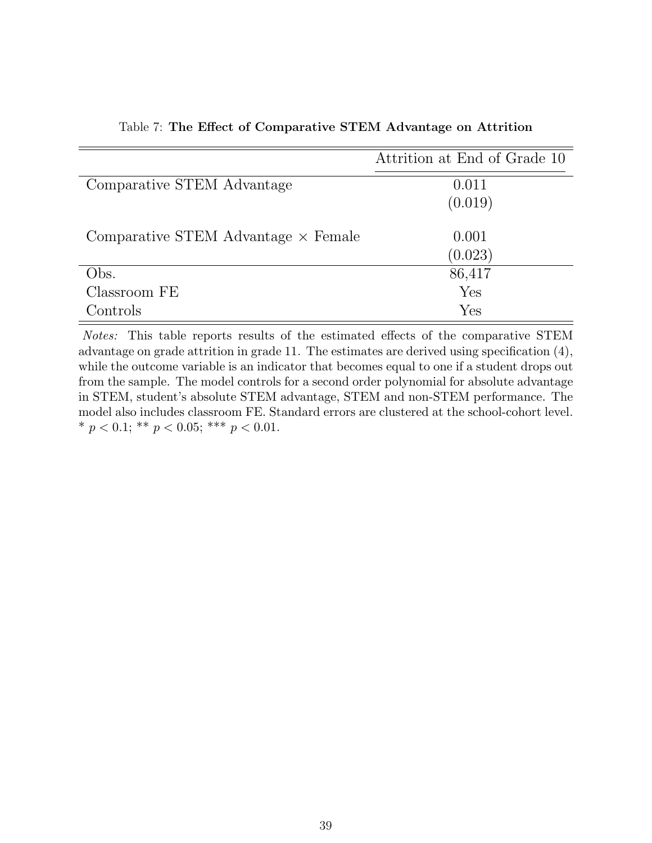<span id="page-40-0"></span>

|                                            | Attrition at End of Grade 10 |
|--------------------------------------------|------------------------------|
| Comparative STEM Advantage                 | 0.011                        |
|                                            | (0.019)                      |
| Comparative STEM Advantage $\times$ Female | 0.001                        |
|                                            | (0.023)                      |
| Obs.                                       | 86,417                       |
| Classroom FE                               | Yes                          |
| Controls                                   | Yes                          |

Table 7: The Effect of Comparative STEM Advantage on Attrition

Notes: This table reports results of the estimated effects of the comparative STEM advantage on grade attrition in grade 11. The estimates are derived using specification [\(4\)](#page-15-2), while the outcome variable is an indicator that becomes equal to one if a student drops out from the sample. The model controls for a second order polynomial for absolute advantage in STEM, student's absolute STEM advantage, STEM and non-STEM performance. The model also includes classroom FE. Standard errors are clustered at the school-cohort level. \*  $p < 0.1$ ; \*\*  $p < 0.05$ ; \*\*\*  $p < 0.01$ .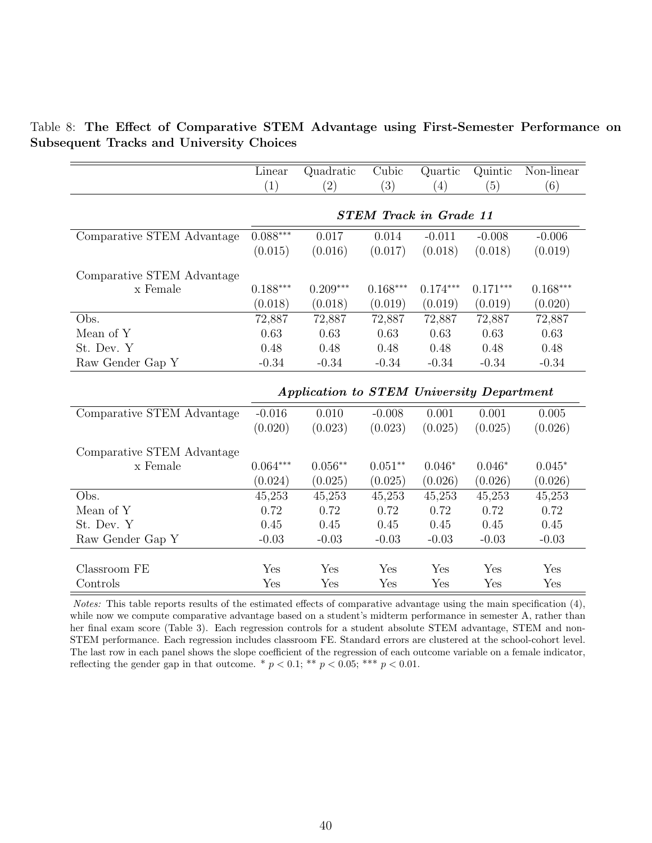<span id="page-41-0"></span>

|                                                 |  |  | Table 8: The Effect of Comparative STEM Advantage using First-Semester Performance on |  |
|-------------------------------------------------|--|--|---------------------------------------------------------------------------------------|--|
| <b>Subsequent Tracks and University Choices</b> |  |  |                                                                                       |  |

|                            | Linear     | Quadratic                                 | Cubic                         | Quartic    | Quintic    | Non-linear |
|----------------------------|------------|-------------------------------------------|-------------------------------|------------|------------|------------|
|                            | (1)        | (2)                                       | (3)                           | (4)        | (5)        | (6)        |
|                            |            |                                           |                               |            |            |            |
|                            |            |                                           | <b>STEM Track in Grade 11</b> |            |            |            |
| Comparative STEM Advantage | $0.088***$ | 0.017                                     | 0.014                         | $-0.011$   | $-0.008$   | $-0.006$   |
|                            | (0.015)    | (0.016)                                   | (0.017)                       | (0.018)    | (0.018)    | (0.019)    |
| Comparative STEM Advantage |            |                                           |                               |            |            |            |
| x Female                   | $0.188***$ | $0.209***$                                | $0.168***$                    | $0.174***$ | $0.171***$ | $0.168***$ |
|                            | (0.018)    | (0.018)                                   | (0.019)                       | (0.019)    | (0.019)    | (0.020)    |
| Obs.                       | 72,887     | 72,887                                    | 72,887                        | 72,887     | 72,887     | 72,887     |
| Mean of Y                  | 0.63       | 0.63                                      | 0.63                          | 0.63       | 0.63       | 0.63       |
| St. Dev. Y                 | 0.48       | 0.48                                      | 0.48                          | 0.48       | 0.48       | 0.48       |
| Raw Gender Gap Y           | $-0.34$    | $-0.34$                                   | $-0.34$                       | $-0.34$    | $-0.34$    | $-0.34$    |
|                            |            |                                           |                               |            |            |            |
|                            |            | Application to STEM University Department |                               |            |            |            |
| Comparative STEM Advantage | $-0.016$   | 0.010                                     | $-0.008$                      | 0.001      | 0.001      | 0.005      |
|                            | (0.020)    | (0.023)                                   | (0.023)                       | (0.025)    | (0.025)    | (0.026)    |
| Comparative STEM Advantage |            |                                           |                               |            |            |            |
| x Female                   | $0.064***$ | $0.056**$                                 | $0.051**$                     | $0.046*$   | $0.046*$   | $0.045*$   |
|                            | (0.024)    | (0.025)                                   | (0.025)                       | (0.026)    | (0.026)    | (0.026)    |
| Obs.                       | 45,253     | 45,253                                    | 45,253                        | 45,253     | 45,253     | 45,253     |
| Mean of Y                  | 0.72       | 0.72                                      | 0.72                          | 0.72       | 0.72       | 0.72       |
| St. Dev. Y                 | 0.45       | 0.45                                      | 0.45                          | 0.45       | 0.45       | 0.45       |
| Raw Gender Gap Y           | $-0.03$    | $-0.03$                                   | $-0.03$                       | $-0.03$    | $-0.03$    | $-0.03$    |
|                            |            |                                           |                               |            |            |            |
| Classroom FE               | Yes        | Yes                                       | Yes                           | Yes        | Yes        | Yes        |
| Controls                   | Yes        | Yes                                       | Yes                           | Yes        | Yes        | Yes        |

Notes: This table reports results of the estimated effects of comparative advantage using the main specification [\(4\)](#page-15-2), while now we compute comparative advantage based on a student's midterm performance in semester A, rather than her final exam score (Table [3\)](#page-36-0). Each regression controls for a student absolute STEM advantage, STEM and non-STEM performance. Each regression includes classroom FE. Standard errors are clustered at the school-cohort level. The last row in each panel shows the slope coefficient of the regression of each outcome variable on a female indicator, reflecting the gender gap in that outcome. \*  $p < 0.1$ ; \*\*  $p < 0.05$ ; \*\*\*  $p < 0.01$ .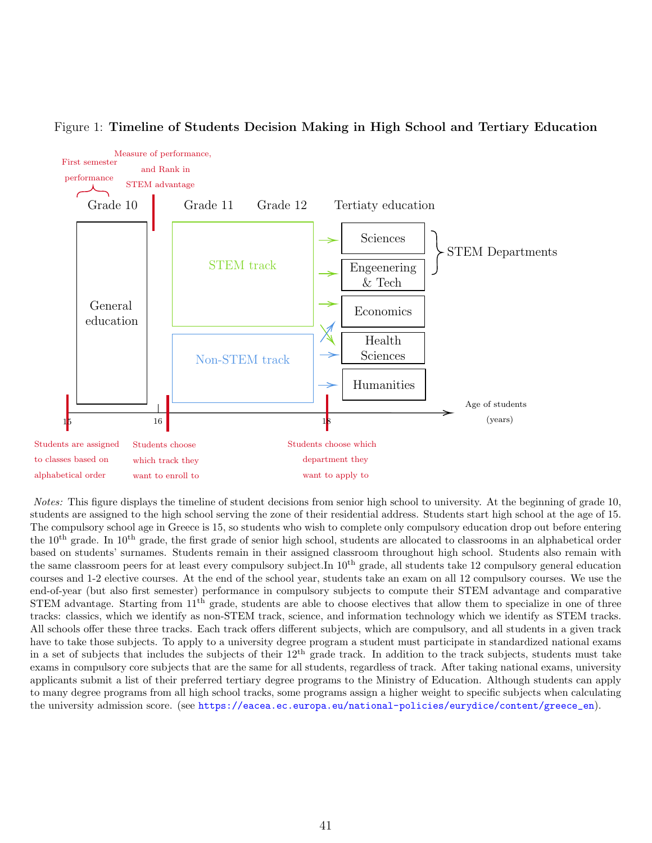

#### <span id="page-42-0"></span>Figure 1: Timeline of Students Decision Making in High School and Tertiary Education

Notes: This figure displays the timeline of student decisions from senior high school to university. At the beginning of grade 10, students are assigned to the high school serving the zone of their residential address. Students start high school at the age of 15. The compulsory school age in Greece is 15, so students who wish to complete only compulsory education drop out before entering the 10<sup>th</sup> grade. In 10<sup>th</sup> grade, the first grade of senior high school, students are allocated to classrooms in an alphabetical order based on students' surnames. Students remain in their assigned classroom throughout high school. Students also remain with the same classroom peers for at least every compulsory subject.In  $10^{th}$  grade, all students take 12 compulsory general education courses and 1-2 elective courses. At the end of the school year, students take an exam on all 12 compulsory courses. We use the end-of-year (but also first semester) performance in compulsory subjects to compute their STEM advantage and comparative  $STEM$  advantage. Starting from  $11<sup>th</sup>$  grade, students are able to choose electives that allow them to specialize in one of three tracks: classics, which we identify as non-STEM track, science, and information technology which we identify as STEM tracks. All schools offer these three tracks. Each track offers different subjects, which are compulsory, and all students in a given track have to take those subjects. To apply to a university degree program a student must participate in standardized national exams in a set of subjects that includes the subjects of their  $12<sup>th</sup>$  grade track. In addition to the track subjects, students must take exams in compulsory core subjects that are the same for all students, regardless of track. After taking national exams, university applicants submit a list of their preferred tertiary degree programs to the Ministry of Education. Although students can apply to many degree programs from all high school tracks, some programs assign a higher weight to specific subjects when calculating the university admission score. (see [https://eacea.ec.europa.eu/national-policies/eurydice/content/greece\\_en](https://eacea.ec.europa.eu/national-policies/eurydice/content/greece_en)).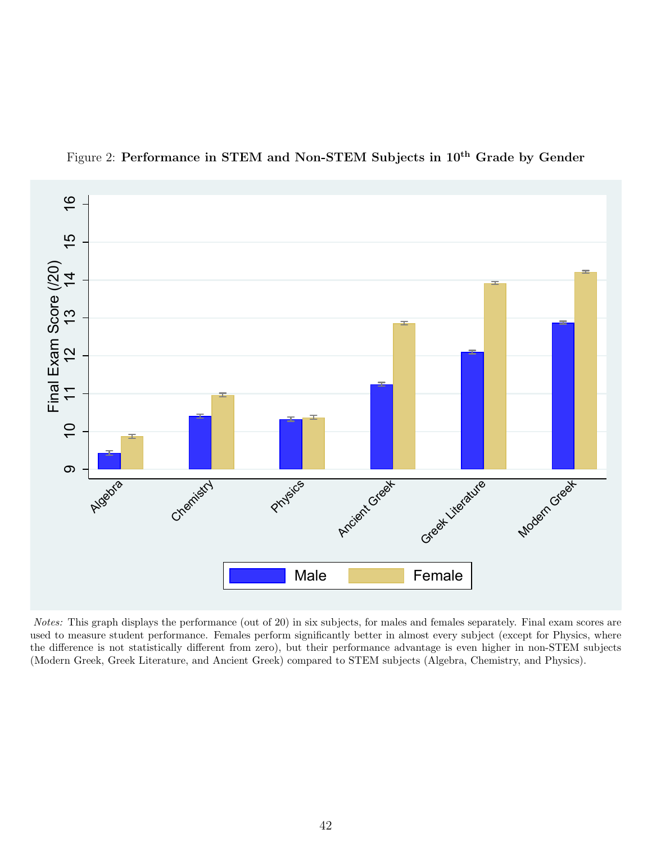<span id="page-43-0"></span>

Figure 2: Performance in STEM and Non-STEM Subjects in 10<sup>th</sup> Grade by Gender

Notes: This graph displays the performance (out of 20) in six subjects, for males and females separately. Final exam scores are used to measure student performance. Females perform significantly better in almost every subject (except for Physics, where the difference is not statistically different from zero), but their performance advantage is even higher in non-STEM subjects (Modern Greek, Greek Literature, and Ancient Greek) compared to STEM subjects (Algebra, Chemistry, and Physics).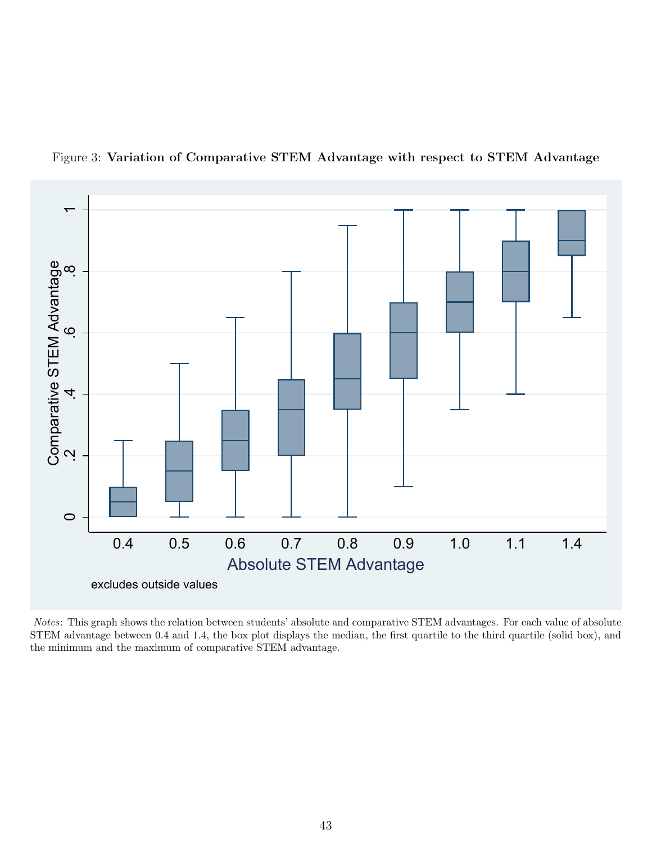<span id="page-44-0"></span>

Figure 3: Variation of Comparative STEM Advantage with respect to STEM Advantage

Notes: This graph shows the relation between students' absolute and comparative STEM advantages. For each value of absolute STEM advantage between 0.4 and 1.4, the box plot displays the median, the first quartile to the third quartile (solid box), and the minimum and the maximum of comparative STEM advantage.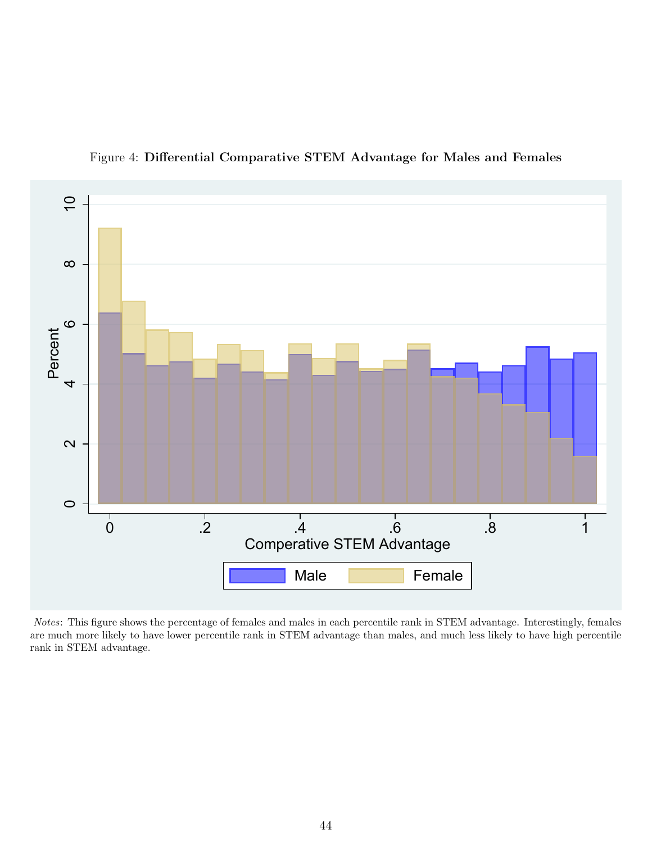<span id="page-45-0"></span>

Figure 4: Differential Comparative STEM Advantage for Males and Females

Notes: This figure shows the percentage of females and males in each percentile rank in STEM advantage. Interestingly, females are much more likely to have lower percentile rank in STEM advantage than males, and much less likely to have high percentile rank in STEM advantage.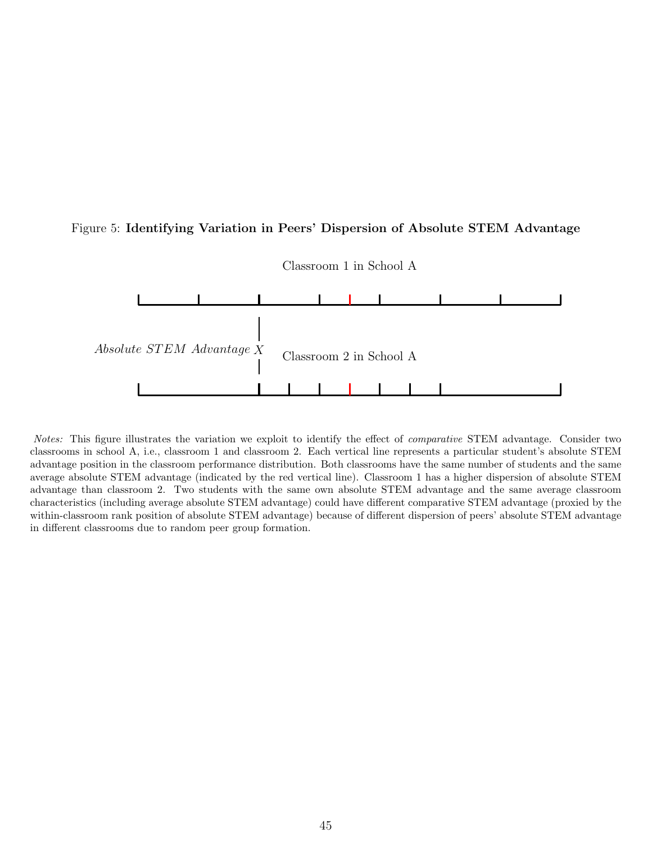### <span id="page-46-0"></span>Figure 5: Identifying Variation in Peers' Dispersion of Absolute STEM Advantage



Classroom 1 in School A

Notes: This figure illustrates the variation we exploit to identify the effect of comparative STEM advantage. Consider two classrooms in school A, i.e., classroom 1 and classroom 2. Each vertical line represents a particular student's absolute STEM advantage position in the classroom performance distribution. Both classrooms have the same number of students and the same average absolute STEM advantage (indicated by the red vertical line). Classroom 1 has a higher dispersion of absolute STEM advantage than classroom 2. Two students with the same own absolute STEM advantage and the same average classroom characteristics (including average absolute STEM advantage) could have different comparative STEM advantage (proxied by the within-classroom rank position of absolute STEM advantage) because of different dispersion of peers' absolute STEM advantage in different classrooms due to random peer group formation.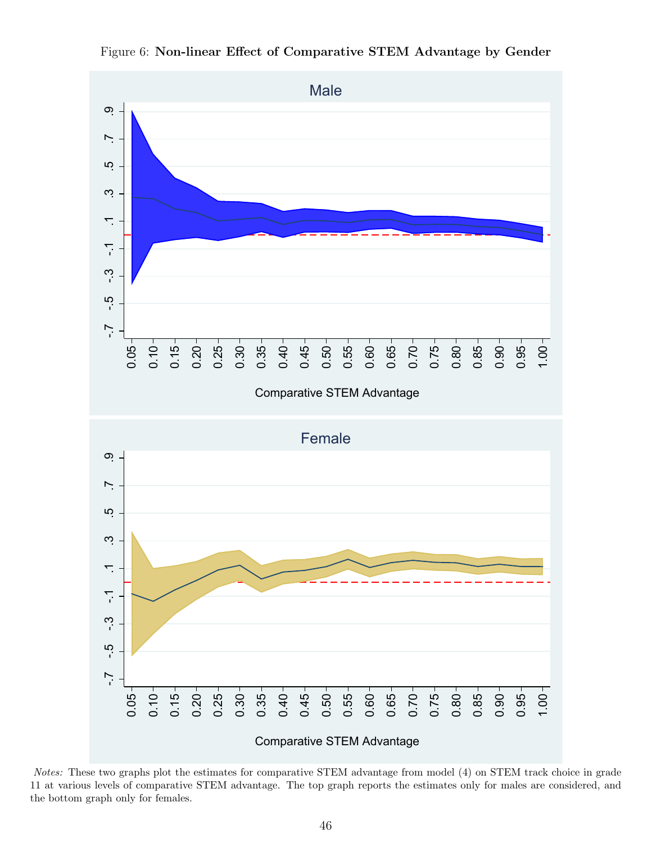<span id="page-47-0"></span>

Figure 6: Non-linear Effect of Comparative STEM Advantage by Gender

Notes: These two graphs plot the estimates for comparative STEM advantage from model [\(4\)](#page-15-2) on STEM track choice in grade 11 at various levels of comparative STEM advantage. The top graph reports the estimates only for males are considered, and the bottom graph only for females.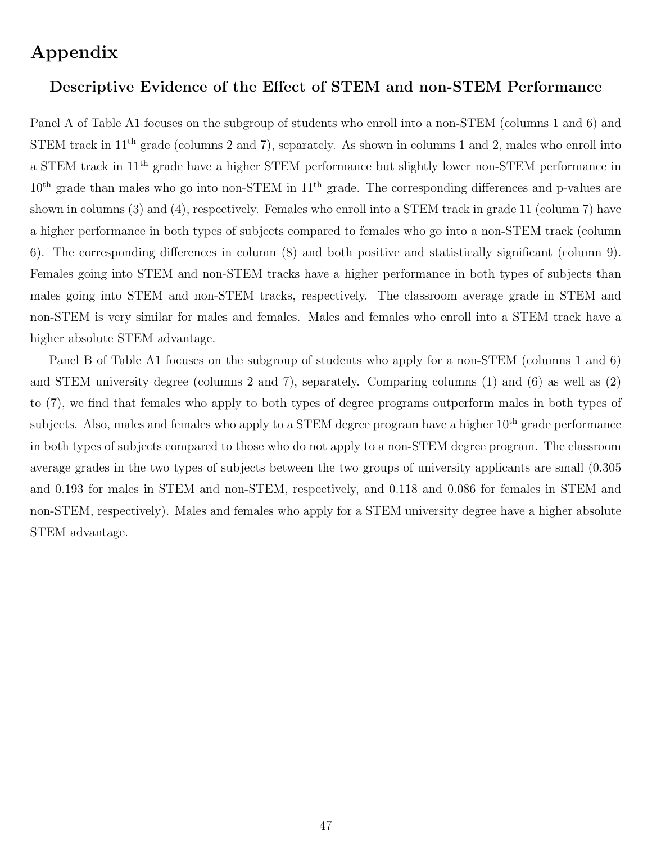# Appendix

## Descriptive Evidence of the Effect of STEM and non-STEM Performance

Panel A of Table [A1](#page-49-0) focuses on the subgroup of students who enroll into a non-STEM (columns 1 and 6) and STEM track in  $11<sup>th</sup>$  grade (columns 2 and 7), separately. As shown in columns 1 and 2, males who enroll into a STEM track in 11th grade have a higher STEM performance but slightly lower non-STEM performance in 10<sup>th</sup> grade than males who go into non-STEM in 11<sup>th</sup> grade. The corresponding differences and p-values are shown in columns (3) and (4), respectively. Females who enroll into a STEM track in grade 11 (column 7) have a higher performance in both types of subjects compared to females who go into a non-STEM track (column 6). The corresponding differences in column (8) and both positive and statistically significant (column 9). Females going into STEM and non-STEM tracks have a higher performance in both types of subjects than males going into STEM and non-STEM tracks, respectively. The classroom average grade in STEM and non-STEM is very similar for males and females. Males and females who enroll into a STEM track have a higher absolute STEM advantage.

Panel B of Table [A1](#page-49-0) focuses on the subgroup of students who apply for a non-STEM (columns 1 and 6) and STEM university degree (columns 2 and 7), separately. Comparing columns (1) and (6) as well as (2) to (7), we find that females who apply to both types of degree programs outperform males in both types of subjects. Also, males and females who apply to a STEM degree program have a higher  $10^{th}$  grade performance in both types of subjects compared to those who do not apply to a non-STEM degree program. The classroom average grades in the two types of subjects between the two groups of university applicants are small (0.305 and 0.193 for males in STEM and non-STEM, respectively, and 0.118 and 0.086 for females in STEM and non-STEM, respectively). Males and females who apply for a STEM university degree have a higher absolute STEM advantage.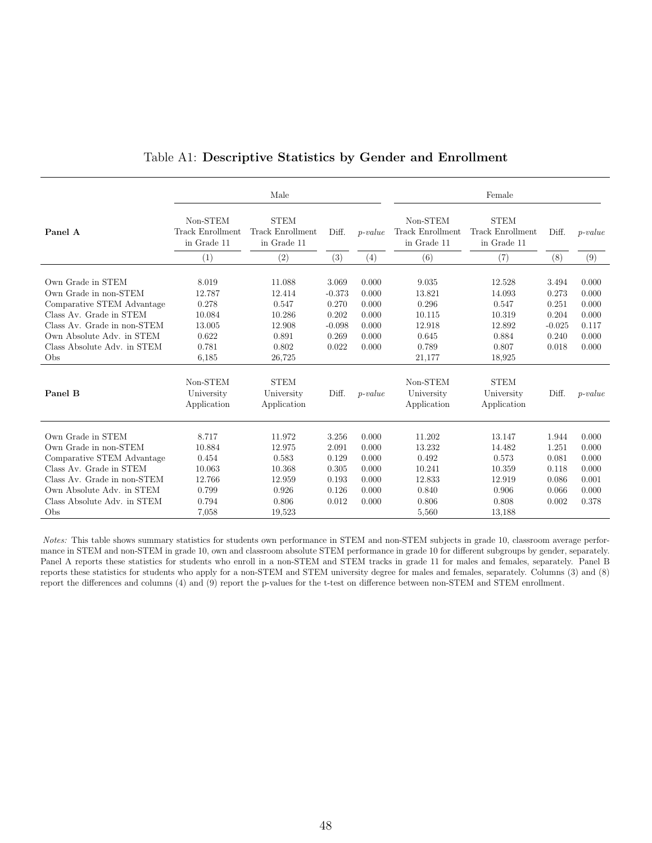<span id="page-49-0"></span>

|                                                                                      |                                             | Male                                           |                            |                         |                                             | Female                                                |                            |                         |
|--------------------------------------------------------------------------------------|---------------------------------------------|------------------------------------------------|----------------------------|-------------------------|---------------------------------------------|-------------------------------------------------------|----------------------------|-------------------------|
| Panel A                                                                              | Non-STEM<br>Track Enrollment<br>in Grade 11 | <b>STEM</b><br>Track Enrollment<br>in Grade 11 | Diff.                      | $p-value$               | Non-STEM<br>Track Enrollment<br>in Grade 11 | <b>STEM</b><br><b>Track Enrollment</b><br>in Grade 11 | Diff.                      | $p-value$               |
|                                                                                      | (1)                                         | (2)                                            | (3)                        | (4)                     | (6)                                         | (7)                                                   | (8)                        | (9)                     |
| Own Grade in STEM<br>Own Grade in non-STEM                                           | 8.019<br>12.787                             | 11.088<br>12.414                               | 3.069<br>$-0.373$          | 0.000<br>0.000          | 9.035<br>13.821                             | 12.528<br>14.093                                      | 3.494<br>0.273             | 0.000<br>0.000          |
| Comparative STEM Advantage<br>Class Av. Grade in STEM<br>Class Av. Grade in non-STEM | 0.278<br>10.084<br>13.005                   | 0.547<br>10.286<br>12.908                      | 0.270<br>0.202<br>$-0.098$ | 0.000<br>0.000<br>0.000 | 0.296<br>10.115<br>12.918                   | 0.547<br>10.319<br>12.892                             | 0.251<br>0.204<br>$-0.025$ | 0.000<br>0.000<br>0.117 |
| Own Absolute Adv. in STEM<br>Class Absolute Adv. in STEM<br>Obs                      | 0.622<br>0.781<br>6.185                     | 0.891<br>0.802<br>26,725                       | 0.269<br>0.022             | 0.000<br>0.000          | 0.645<br>0.789<br>21,177                    | 0.884<br>0.807<br>18,925                              | 0.240<br>0.018             | 0.000<br>0.000          |
| Panel B                                                                              | Non-STEM<br>University<br>Application       | <b>STEM</b><br>University<br>Application       | Diff.                      | $p-value$               | Non-STEM<br>University<br>Application       | <b>STEM</b><br>University<br>Application              | Diff.                      | $p-value$               |
| Own Grade in STEM                                                                    | 8.717                                       | 11.972                                         | 3.256                      | 0.000                   | 11.202                                      | 13.147                                                | 1.944                      | 0.000                   |
| Own Grade in non-STEM                                                                | 10.884                                      | 12.975                                         | 2.091                      | 0.000                   | 13.232                                      | 14.482                                                | 1.251                      | 0.000                   |
| Comparative STEM Advantage                                                           | 0.454                                       | 0.583                                          | 0.129                      | 0.000                   | 0.492                                       | 0.573                                                 | 0.081                      | 0.000                   |
| Class Av. Grade in STEM                                                              | 10.063                                      | 10.368                                         | 0.305                      | 0.000                   | 10.241                                      | 10.359                                                | 0.118                      | 0.000                   |
| Class Av. Grade in non-STEM                                                          | 12.766                                      | 12.959                                         | 0.193                      | 0.000                   | 12.833                                      | 12.919                                                | 0.086                      | 0.001                   |
| Own Absolute Adv. in STEM                                                            | 0.799                                       | 0.926                                          | 0.126                      | 0.000                   | 0.840                                       | 0.906                                                 | 0.066                      | 0.000                   |
| Class Absolute Adv. in STEM                                                          | 0.794                                       | 0.806                                          | 0.012                      | 0.000                   | 0.806                                       | 0.808                                                 | 0.002                      | 0.378                   |
| Obs                                                                                  | 7.058                                       | 19,523                                         |                            |                         | 5,560                                       | 13,188                                                |                            |                         |

### Table A1: Descriptive Statistics by Gender and Enrollment

Notes: This table shows summary statistics for students own performance in STEM and non-STEM subjects in grade 10, classroom average performance in STEM and non-STEM in grade 10, own and classroom absolute STEM performance in grade 10 for different subgroups by gender, separately. Panel A reports these statistics for students who enroll in a non-STEM and STEM tracks in grade 11 for males and females, separately. Panel B reports these statistics for students who apply for a non-STEM and STEM university degree for males and females, separately. Columns (3) and (8) report the differences and columns (4) and (9) report the p-values for the t-test on difference between non-STEM and STEM enrollment.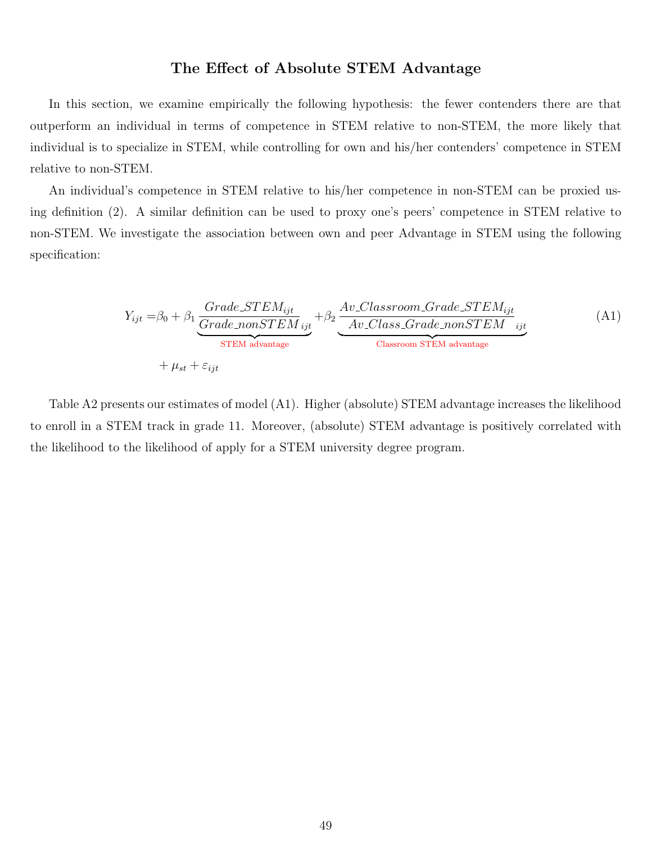## The Effect of Absolute STEM Advantage

In this section, we examine empirically the following hypothesis: the fewer contenders there are that outperform an individual in terms of competence in STEM relative to non-STEM, the more likely that individual is to specialize in STEM, while controlling for own and his/her contenders' competence in STEM relative to non-STEM.

An individual's competence in STEM relative to his/her competence in non-STEM can be proxied using definition [\(2\)](#page-11-7). A similar definition can be used to proxy one's peers' competence in STEM relative to non-STEM. We investigate the association between own and peer Advantage in STEM using the following specification:

<span id="page-50-0"></span>
$$
Y_{ijt} = \beta_0 + \beta_1 \underbrace{\frac{Grade\_STEM_{ijt}}{Grade\_nonSTEM_{ijt}}}_{STEM \text{ advantage}} + \beta_2 \underbrace{\frac{Av\_Classroom\_Grade\_STEM_{ijt}}{Av\_Class\_Grade\_nonSTEM_{ijt}}}_{Classroom STEM \text{ advantage}} \tag{A1}
$$

Table [A2](#page-51-0) presents our estimates of model [\(A1\)](#page-50-0). Higher (absolute) STEM advantage increases the likelihood to enroll in a STEM track in grade 11. Moreover, (absolute) STEM advantage is positively correlated with the likelihood to the likelihood of apply for a STEM university degree program.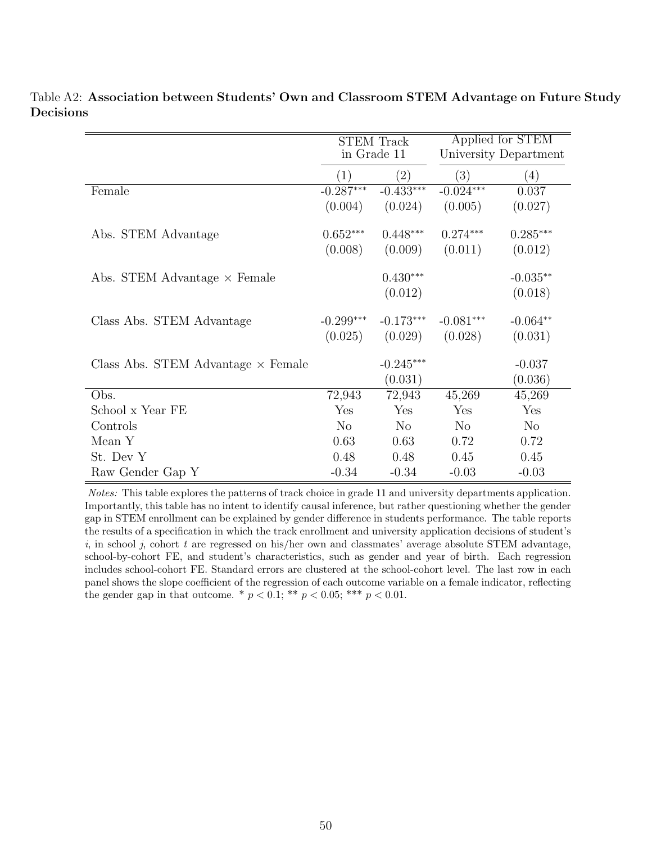|                                           | <b>STEM Track</b><br>in Grade 11 |             |             | Applied for STEM<br>University Department |
|-------------------------------------------|----------------------------------|-------------|-------------|-------------------------------------------|
|                                           | (1)                              | (2)         | (3)         | (4)                                       |
| Female                                    | $-0.287***$                      | $-0.433***$ | $-0.024***$ | 0.037                                     |
|                                           | (0.004)                          | (0.024)     | (0.005)     | (0.027)                                   |
| Abs. STEM Advantage                       | $0.652***$                       | $0.448***$  | $0.274***$  | $0.285***$                                |
|                                           | (0.008)                          | (0.009)     | (0.011)     | (0.012)                                   |
| Abs. STEM Advantage $\times$ Female       |                                  | $0.430***$  |             | $-0.035**$                                |
|                                           |                                  | (0.012)     |             | (0.018)                                   |
| Class Abs. STEM Advantage                 | $-0.299***$                      | $-0.173***$ | $-0.081***$ | $-0.064**$                                |
|                                           | (0.025)                          | (0.029)     | (0.028)     | (0.031)                                   |
| Class Abs. STEM Advantage $\times$ Female |                                  | $-0.245***$ |             | $-0.037$                                  |
|                                           |                                  | (0.031)     |             | (0.036)                                   |
| Obs.                                      | 72,943                           | 72,943      | 45,269      | 45,269                                    |
| School x Year FE                          | Yes                              | Yes         | Yes         | Yes                                       |
| Controls                                  | N <sub>o</sub>                   | No          | $\rm No$    | N <sub>o</sub>                            |
| Mean Y                                    | 0.63                             | 0.63        | 0.72        | 0.72                                      |
| St. Dev Y                                 | 0.48                             | 0.48        | 0.45        | 0.45                                      |
| Raw Gender Gap Y                          | $-0.34$                          | $-0.34$     | $-0.03$     | $-0.03$                                   |

<span id="page-51-0"></span>Table A2: Association between Students' Own and Classroom STEM Advantage on Future Study Decisions

Notes: This table explores the patterns of track choice in grade 11 and university departments application. Importantly, this table has no intent to identify causal inference, but rather questioning whether the gender gap in STEM enrollment can be explained by gender difference in students performance. The table reports the results of a specification in which the track enrollment and university application decisions of student's i, in school j, cohort t are regressed on his/her own and classmates' average absolute STEM advantage, school-by-cohort FE, and student's characteristics, such as gender and year of birth. Each regression includes school-cohort FE. Standard errors are clustered at the school-cohort level. The last row in each panel shows the slope coefficient of the regression of each outcome variable on a female indicator, reflecting the gender gap in that outcome. \*  $p < 0.1$ ; \*\*  $p < 0.05$ ; \*\*\*  $p < 0.01$ .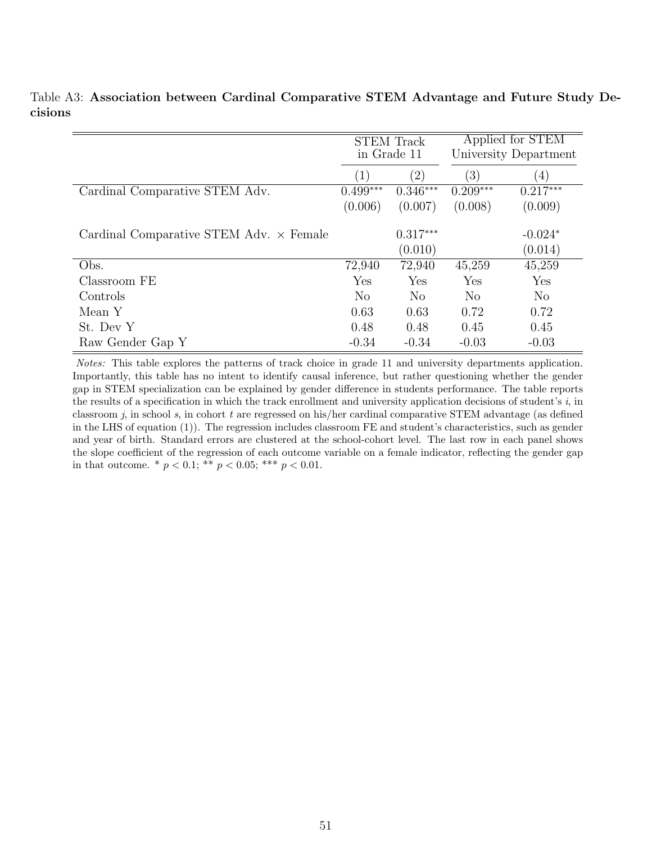|                                                | <b>STEM Track</b><br>in Grade 11 |                   |                  | Applied for STEM<br>University Department |
|------------------------------------------------|----------------------------------|-------------------|------------------|-------------------------------------------|
|                                                | $\left(1\right)$                 | $\left( 2\right)$ | $\left(3\right)$ | (4)                                       |
| Cardinal Comparative STEM Adv.                 | $0.499***$                       | $0.346***$        | $0.209***$       | $0.217***$                                |
|                                                | (0.006)                          | (0.007)           | (0.008)          | (0.009)                                   |
| Cardinal Comparative STEM Adv. $\times$ Female |                                  | $0.317***$        |                  | $-0.024*$                                 |
|                                                |                                  | (0.010)           |                  | (0.014)                                   |
| Obs.                                           | 72,940                           | 72,940            | 45,259           | 45,259                                    |
| Classroom FE                                   | Yes                              | Yes               | Yes              | Yes                                       |
| Controls                                       | N <sub>o</sub>                   | N <sub>0</sub>    | N <sub>o</sub>   | N <sub>o</sub>                            |
| Mean Y                                         | 0.63                             | 0.63              | 0.72             | 0.72                                      |
| St. Dev Y                                      | 0.48                             | 0.48              | 0.45             | 0.45                                      |
| Raw Gender Gap Y                               | $-0.34$                          | $-0.34$           | $-0.03$          | $-0.03$                                   |

<span id="page-52-0"></span>Table A3: Association between Cardinal Comparative STEM Advantage and Future Study Decisions

Notes: This table explores the patterns of track choice in grade 11 and university departments application. Importantly, this table has no intent to identify causal inference, but rather questioning whether the gender gap in STEM specialization can be explained by gender difference in students performance. The table reports the results of a specification in which the track enrollment and university application decisions of student's  $i$ , in classroom j, in school s, in cohort t are regressed on his/her cardinal comparative STEM advantage (as defined in the LHS of equation [\(1\)](#page-9-1)). The regression includes classroom FE and student's characteristics, such as gender and year of birth. Standard errors are clustered at the school-cohort level. The last row in each panel shows the slope coefficient of the regression of each outcome variable on a female indicator, reflecting the gender gap in that outcome. \*  $p < 0.1$ ; \*\*  $p < 0.05$ ; \*\*\*  $p < 0.01$ .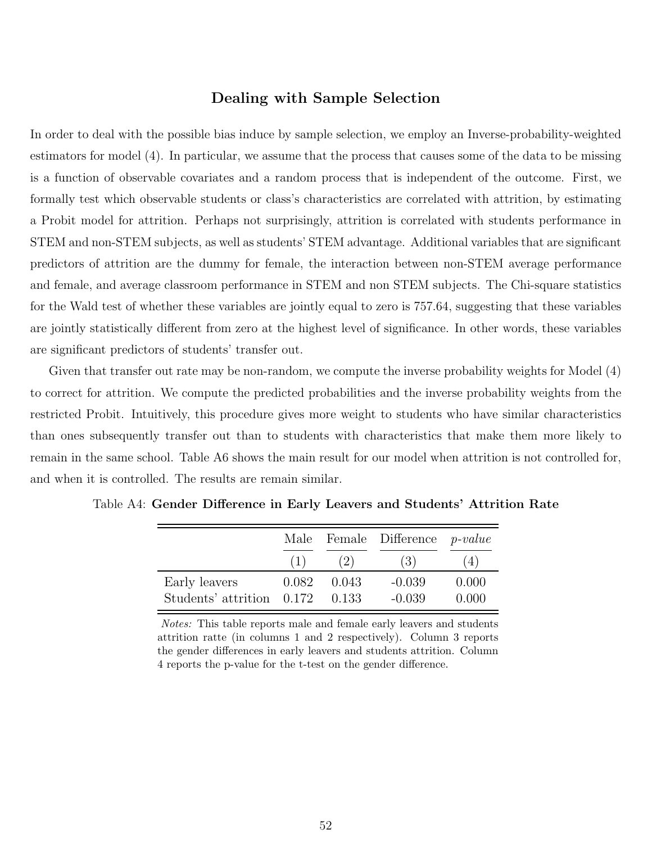### Dealing with Sample Selection

In order to deal with the possible bias induce by sample selection, we employ an Inverse-probability-weighted estimators for model [\(4\)](#page-15-2). In particular, we assume that the process that causes some of the data to be missing is a function of observable covariates and a random process that is independent of the outcome. First, we formally test which observable students or class's characteristics are correlated with attrition, by estimating a Probit model for attrition. Perhaps not surprisingly, attrition is correlated with students performance in STEM and non-STEM subjects, as well as students' STEM advantage. Additional variables that are significant predictors of attrition are the dummy for female, the interaction between non-STEM average performance and female, and average classroom performance in STEM and non STEM subjects. The Chi-square statistics for the Wald test of whether these variables are jointly equal to zero is 757.64, suggesting that these variables are jointly statistically different from zero at the highest level of significance. In other words, these variables are significant predictors of students' transfer out.

Given that transfer out rate may be non-random, we compute the inverse probability weights for Model [\(4\)](#page-15-2) to correct for attrition. We compute the predicted probabilities and the inverse probability weights from the restricted Probit. Intuitively, this procedure gives more weight to students who have similar characteristics than ones subsequently transfer out than to students with characteristics that make them more likely to remain in the same school. Table [A6](#page-55-0) shows the main result for our model when attrition is not controlled for, and when it is controlled. The results are remain similar.

|                                   |       |       | Male Female Difference <i>p-value</i> |       |
|-----------------------------------|-------|-------|---------------------------------------|-------|
|                                   | (1)   | (2)   | (3)                                   | (4)   |
| Early leavers                     | 0.082 | 0.043 | $-0.039$                              | 0.000 |
| Students' attrition $0.172$ 0.133 |       |       | $-0.039$                              | 0.000 |

<span id="page-53-0"></span>Table A4: Gender Difference in Early Leavers and Students' Attrition Rate

Notes: This table reports male and female early leavers and students attrition ratte (in columns 1 and 2 respectively). Column 3 reports the gender differences in early leavers and students attrition. Column 4 reports the p-value for the t-test on the gender difference.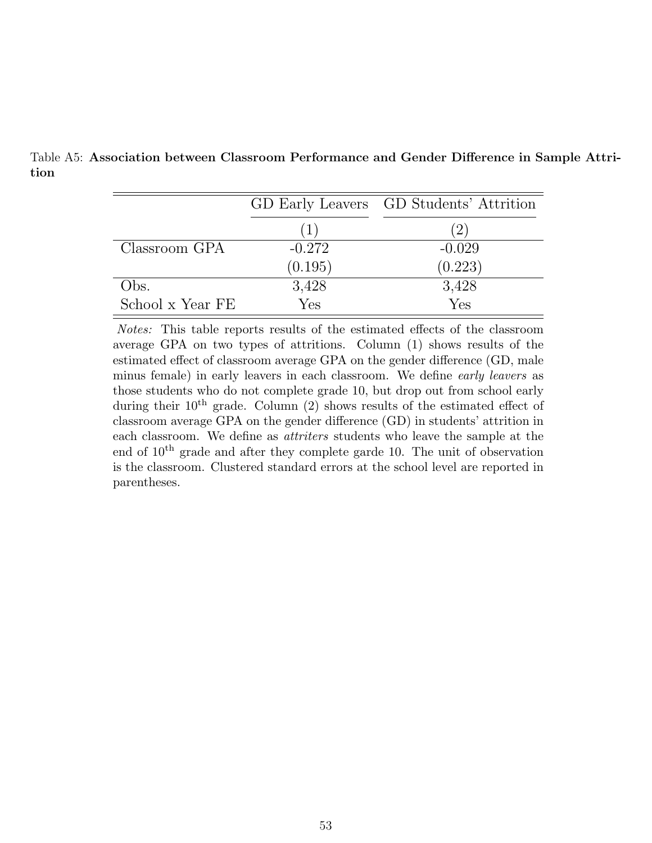|                  |          | GD Early Leavers GD Students' Attrition |
|------------------|----------|-----------------------------------------|
|                  |          | (2)                                     |
| Classroom GPA    | $-0.272$ | $-0.029$                                |
|                  | (0.195)  | (0.223)                                 |
| Obs.             | 3,428    | 3,428                                   |
| School x Year FE | Yes      | Yes                                     |

<span id="page-54-0"></span>Table A5: Association between Classroom Performance and Gender Difference in Sample Attrition

Notes: This table reports results of the estimated effects of the classroom average GPA on two types of attritions. Column (1) shows results of the estimated effect of classroom average GPA on the gender difference (GD, male minus female) in early leavers in each classroom. We define early leavers as those students who do not complete grade 10, but drop out from school early during their  $10^{th}$  grade. Column (2) shows results of the estimated effect of classroom average GPA on the gender difference (GD) in students' attrition in each classroom. We define as attriters students who leave the sample at the end of  $10<sup>th</sup>$  grade and after they complete garde 10. The unit of observation is the classroom. Clustered standard errors at the school level are reported in parentheses.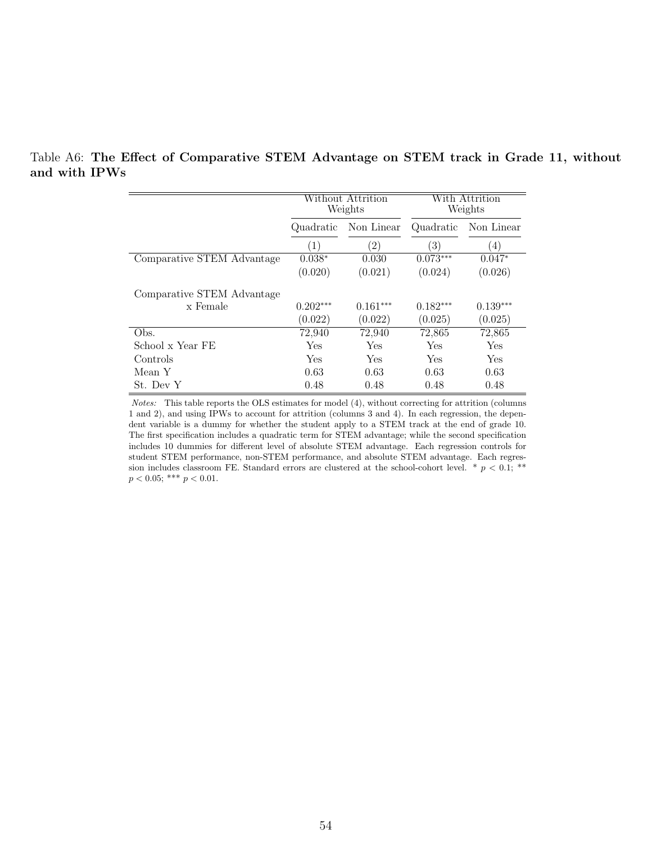|                            |                         | Without Attrition<br>Weights | With Attrition<br>Weights |                  |  |
|----------------------------|-------------------------|------------------------------|---------------------------|------------------|--|
|                            | Non Linear<br>Quadratic |                              | Quadratic                 | Non Linear       |  |
|                            | (1)                     | $\left( 2\right)$            | (3)                       | $\left(4\right)$ |  |
| Comparative STEM Advantage | $0.038*$                | 0.030                        | $0.073***$                | $0.047*$         |  |
|                            | (0.020)                 | (0.021)                      | (0.024)                   | (0.026)          |  |
| Comparative STEM Advantage |                         |                              |                           |                  |  |
| x Female                   | $0.202***$              | $0.161***$                   | $0.182***$                | $0.139***$       |  |
|                            | (0.022)                 | (0.022)                      | (0.025)                   | (0.025)          |  |
| Obs.                       | 72.940                  | 72,940                       | 72,865                    | 72,865           |  |
| School x Year FE           | Yes                     | Yes                          | Yes                       | Yes              |  |
| Controls                   | Yes                     | Yes                          | Yes                       | Yes              |  |
| Mean Y                     | 0.63                    | 0.63                         | 0.63                      | 0.63             |  |
| St. Dev Y                  | 0.48                    | 0.48                         | 0.48                      | 0.48             |  |

<span id="page-55-0"></span>Table A6: The Effect of Comparative STEM Advantage on STEM track in Grade 11, without and with IPWs

Notes: This table reports the OLS estimates for model [\(4\)](#page-15-2), without correcting for attrition (columns 1 and 2), and using IPWs to account for attrition (columns 3 and 4). In each regression, the dependent variable is a dummy for whether the student apply to a STEM track at the end of grade 10. The first specification includes a quadratic term for STEM advantage; while the second specification includes 10 dummies for different level of absolute STEM advantage. Each regression controls for student STEM performance, non-STEM performance, and absolute STEM advantage. Each regression includes classroom FE. Standard errors are clustered at the school-cohort level. \*  $p < 0.1$ ; \*\*  $p < 0.05$ ; \*\*\*  $p < 0.01$ .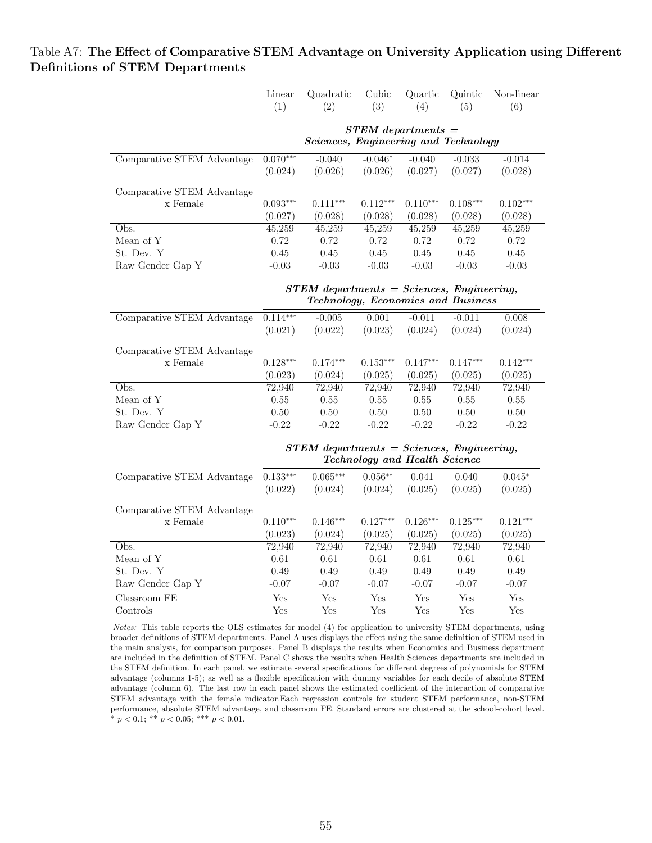## <span id="page-56-0"></span>Table A7: The Effect of Comparative STEM Advantage on University Application using Different Definitions of STEM Departments

|                            | Linear                    | Quadratic                                   | Cubic                         | Quartic                 | Quintic    | Non-linear                |
|----------------------------|---------------------------|---------------------------------------------|-------------------------------|-------------------------|------------|---------------------------|
|                            | (1)                       | (2)                                         | (3)                           | (4)                     | (5)        | (6)                       |
|                            |                           |                                             |                               |                         |            |                           |
|                            |                           |                                             | $STEM$ departments $=$        |                         |            |                           |
|                            |                           | Sciences, Engineering and Technology        |                               |                         |            |                           |
| Comparative STEM Advantage | $0.070***$                | $-0.040$                                    | $-0.046*$                     | $-0.040$                | $-0.033$   | $-0.014$                  |
|                            | (0.024)                   | (0.026)                                     | (0.026)                       | (0.027)                 | (0.027)    | (0.028)                   |
| Comparative STEM Advantage |                           |                                             |                               |                         |            |                           |
| x Female                   | $0.093***$                | $0.111***$                                  | $0.112***$                    | $0.110***$              | $0.108***$ | $0.102***$                |
|                            | (0.027)                   | (0.028)                                     | (0.028)                       | (0.028)                 | (0.028)    | (0.028)                   |
| Obs.                       | 45,259                    | 45,259                                      | 45,259                        | 45,259                  | 45,259     | 45,259                    |
| Mean of Y                  | 0.72                      | 0.72                                        | 0.72                          | 0.72                    | 0.72       | 0.72                      |
| St. Dev. Y                 | 0.45                      | 0.45                                        | 0.45                          | 0.45                    | 0.45       | 0.45                      |
| Raw Gender Gap Y           | $-0.03$                   | $-0.03$                                     | $-0.03$                       | $-0.03$                 | $-0.03$    | $-0.03$                   |
|                            |                           |                                             |                               |                         |            |                           |
|                            |                           | $STEM$ departments = Sciences, Engineering, |                               |                         |            |                           |
|                            |                           | Technology, Economics and Business          |                               |                         |            |                           |
| Comparative STEM Advantage | $0.114***$                | $-0.005$                                    | 0.001                         | $-0.011$                | $-0.011$   | 0.008                     |
|                            | (0.021)                   | (0.022)                                     | (0.023)                       | (0.024)                 | (0.024)    | (0.024)                   |
|                            |                           |                                             |                               |                         |            |                           |
| Comparative STEM Advantage |                           |                                             |                               |                         |            |                           |
| x Female                   | $0.128***$                | $0.174***$                                  | $0.153***$                    | $0.147***$              | $0.147***$ | $0.142***$                |
|                            | (0.023)                   | (0.024)                                     | (0.025)                       | (0.025)                 | (0.025)    | (0.025)                   |
| Obs.                       | 72,940                    | 72,940                                      | 72,940                        | 72,940                  | 72,940     | 72,940                    |
| Mean of Y                  | 0.55                      | 0.55                                        | 0.55                          | 0.55                    | 0.55       | 0.55                      |
| St. Dev. Y                 | 0.50                      | 0.50                                        | 0.50                          | 0.50                    | 0.50       | $0.50\,$                  |
| Raw Gender Gap Y           | $-0.22$                   | $-0.22$                                     | $-0.22$                       | $-0.22$                 | $-0.22$    | $-0.22$                   |
|                            |                           | $STEM$ departments = Sciences, Engineering, |                               |                         |            |                           |
|                            |                           |                                             | Technology and Health Science |                         |            |                           |
| Comparative STEM Advantage | $0.133***$                | $0.065***$                                  | $0.056***$                    | 0.041                   | 0.040      | $0.045*$                  |
|                            | (0.022)                   | (0.024)                                     | (0.024)                       | (0.025)                 | (0.025)    | (0.025)                   |
|                            |                           |                                             |                               |                         |            |                           |
| Comparative STEM Advantage |                           |                                             |                               |                         |            |                           |
| x Female                   | $0.110***$                | $0.146***$                                  | $0.127***$                    | $0.126***$              | $0.125***$ | $0.121***$                |
|                            | (0.023)                   | (0.024)                                     | (0.025)                       | (0.025)                 | (0.025)    | (0.025)                   |
| Obs.                       | 72,940                    | 72,940                                      | 72,940                        | 72,940                  | 72,940     | 72,940                    |
| Mean of Y                  | 0.61                      | 0.61                                        | 0.61                          | 0.61                    | 0.61       | 0.61                      |
| St. Dev. Y                 | 0.49                      | 0.49                                        | 0.49                          | 0.49                    | 0.49       | 0.49                      |
| Raw Gender Gap Y           | $-0.07$                   | $-0.07$                                     | $-0.07$                       | $-0.07$                 | $-0.07$    | $-0.07$                   |
| Classroom FE               | $\overline{\mathrm{Yes}}$ | $\overline{\mathrm{Yes}}$                   | $\overline{\text{Yes}}$       | $\overline{\text{Yes}}$ | Yes        | $\overline{\mathrm{Yes}}$ |
| Controls                   | $_{\rm Yes}$              | Yes                                         | Yes                           | Yes                     | Yes        | Yes                       |

Notes: This table reports the OLS estimates for model [\(4\)](#page-15-2) for application to university STEM departments, using broader definitions of STEM departments. Panel A uses displays the effect using the same definition of STEM used in the main analysis, for comparison purposes. Panel B displays the results when Economics and Business department are included in the definition of STEM. Panel C shows the results when Health Sciences departments are included in the STEM definition. In each panel, we estimate several specifications for different degrees of polynomials for STEM advantage (columns 1-5); as well as a flexible specification with dummy variables for each decile of absolute STEM advantage (column 6). The last row in each panel shows the estimated coefficient of the interaction of comparative STEM advantage with the female indicator.Each regression controls for student STEM performance, non-STEM performance, absolute STEM advantage, and classroom FE. Standard errors are clustered at the school-cohort level. \*  $p < 0.1$ ; \*\*  $p < 0.05$ ; \*\*\*  $p < 0.01$ .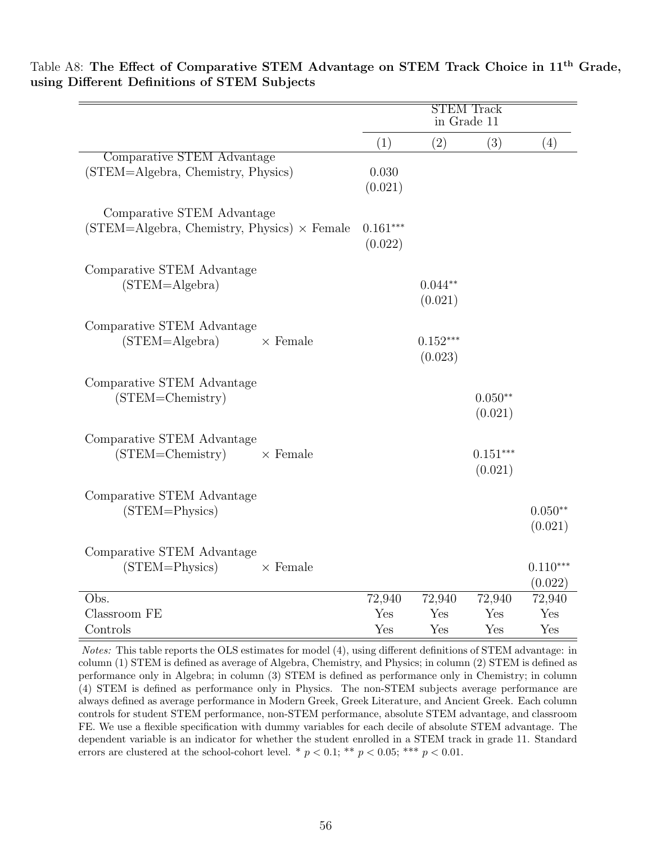|                                                                                  | <b>STEM Track</b><br>in Grade 11 |                       |                       |                       |  |
|----------------------------------------------------------------------------------|----------------------------------|-----------------------|-----------------------|-----------------------|--|
|                                                                                  | (1)                              | (2)                   | (3)                   | (4)                   |  |
| Comparative STEM Advantage<br>(STEM=Algebra, Chemistry, Physics)                 | 0.030<br>(0.021)                 |                       |                       |                       |  |
| Comparative STEM Advantage<br>$(STEM=Algebra, Chemistry, Physics) \times Female$ | $0.161***$<br>(0.022)            |                       |                       |                       |  |
| Comparative STEM Advantage<br>$(STEM = Algebra)$                                 |                                  | $0.044**$<br>(0.021)  |                       |                       |  |
| Comparative STEM Advantage<br>$\times$ Female<br>$(STEM = Algebra)$              |                                  | $0.152***$<br>(0.023) |                       |                       |  |
| Comparative STEM Advantage<br>(STEM=Chemistry)                                   |                                  |                       | $0.050**$<br>(0.021)  |                       |  |
| Comparative STEM Advantage<br>$(STEM=Chemistry)$<br>$\times$ Female              |                                  |                       | $0.151***$<br>(0.021) |                       |  |
| Comparative STEM Advantage<br>$(STEM = Physics)$                                 |                                  |                       |                       | $0.050**$<br>(0.021)  |  |
| Comparative STEM Advantage<br>(STEM=Physics)<br>$\times$ Female                  |                                  |                       |                       | $0.110***$<br>(0.022) |  |
| Obs.<br>Classroom FE                                                             | 72,940<br>Yes                    | 72,940<br>Yes         | 72,940<br>Yes         | 72,940<br>Yes         |  |
| Controls                                                                         | Yes                              | Yes                   | Yes                   | Yes                   |  |

<span id="page-57-0"></span>Table A8: The Effect of Comparative STEM Advantage on STEM Track Choice in 11<sup>th</sup> Grade, using Different Definitions of STEM Subjects

Notes: This table reports the OLS estimates for model [\(4\)](#page-15-2), using different definitions of STEM advantage: in column (1) STEM is defined as average of Algebra, Chemistry, and Physics; in column (2) STEM is defined as performance only in Algebra; in column (3) STEM is defined as performance only in Chemistry; in column (4) STEM is defined as performance only in Physics. The non-STEM subjects average performance are always defined as average performance in Modern Greek, Greek Literature, and Ancient Greek. Each column controls for student STEM performance, non-STEM performance, absolute STEM advantage, and classroom FE. We use a flexible specification with dummy variables for each decile of absolute STEM advantage. The dependent variable is an indicator for whether the student enrolled in a STEM track in grade 11. Standard errors are clustered at the school-cohort level. \*  $p < 0.1$ ; \*\*  $p < 0.05$ ; \*\*\*  $p < 0.01$ .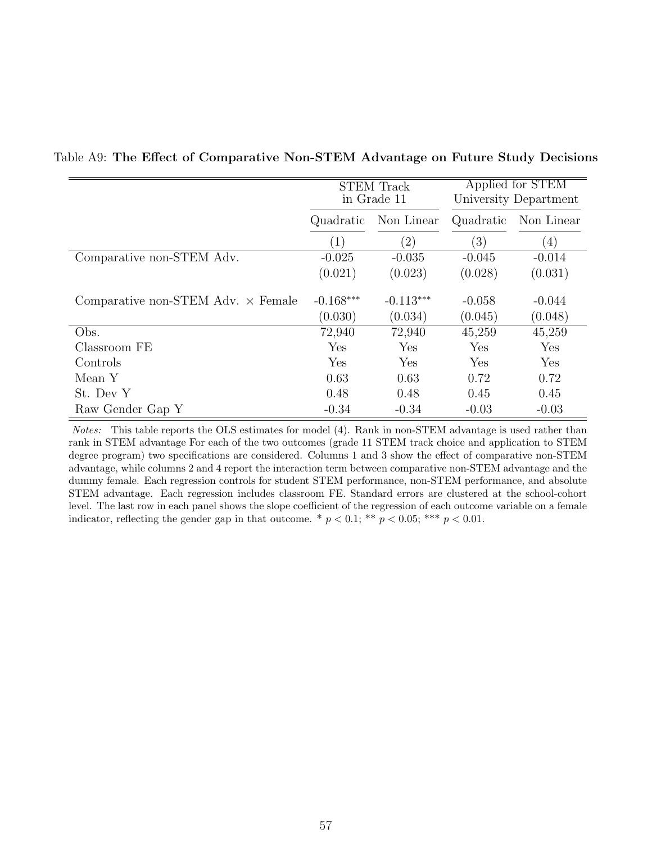|                                           | <b>STEM Track</b><br>in Grade 11 |                   |           | Applied for STEM<br>University Department |
|-------------------------------------------|----------------------------------|-------------------|-----------|-------------------------------------------|
|                                           | Non Linear<br>Quadratic          |                   | Quadratic | Non Linear                                |
|                                           | $\left( 1\right)$                | $\left( 2\right)$ | (3)       | (4)                                       |
| Comparative non-STEM Adv.                 | $-0.025$                         | $-0.035$          | $-0.045$  | $-0.014$                                  |
|                                           | (0.021)                          | (0.023)           | (0.028)   | (0.031)                                   |
| Comparative non-STEM Adv. $\times$ Female | $-0.168***$                      | $-0.113***$       | $-0.058$  | $-0.044$                                  |
|                                           | (0.030)                          | (0.034)           | (0.045)   | (0.048)                                   |
| Obs.                                      | 72,940                           | 72,940            | 45,259    | 45,259                                    |
| Classroom FE                              | Yes                              | Yes               | Yes       | Yes                                       |
| Controls                                  | Yes                              | Yes               | Yes       | Yes                                       |
| Mean Y                                    | 0.63                             | 0.63              | 0.72      | 0.72                                      |
| St. Dev Y                                 | 0.48                             | 0.48              | 0.45      | 0.45                                      |
| Raw Gender Gap Y                          | $-0.34$                          | $-0.34$           | $-0.03$   | $-0.03$                                   |

#### <span id="page-58-0"></span>Table A9: The Effect of Comparative Non-STEM Advantage on Future Study Decisions

Notes: This table reports the OLS estimates for model [\(4\)](#page-15-2). Rank in non-STEM advantage is used rather than rank in STEM advantage For each of the two outcomes (grade 11 STEM track choice and application to STEM degree program) two specifications are considered. Columns 1 and 3 show the effect of comparative non-STEM advantage, while columns 2 and 4 report the interaction term between comparative non-STEM advantage and the dummy female. Each regression controls for student STEM performance, non-STEM performance, and absolute STEM advantage. Each regression includes classroom FE. Standard errors are clustered at the school-cohort level. The last row in each panel shows the slope coefficient of the regression of each outcome variable on a female indicator, reflecting the gender gap in that outcome. \*  $p < 0.1$ ; \*\*  $p < 0.05$ ; \*\*\*  $p < 0.01$ .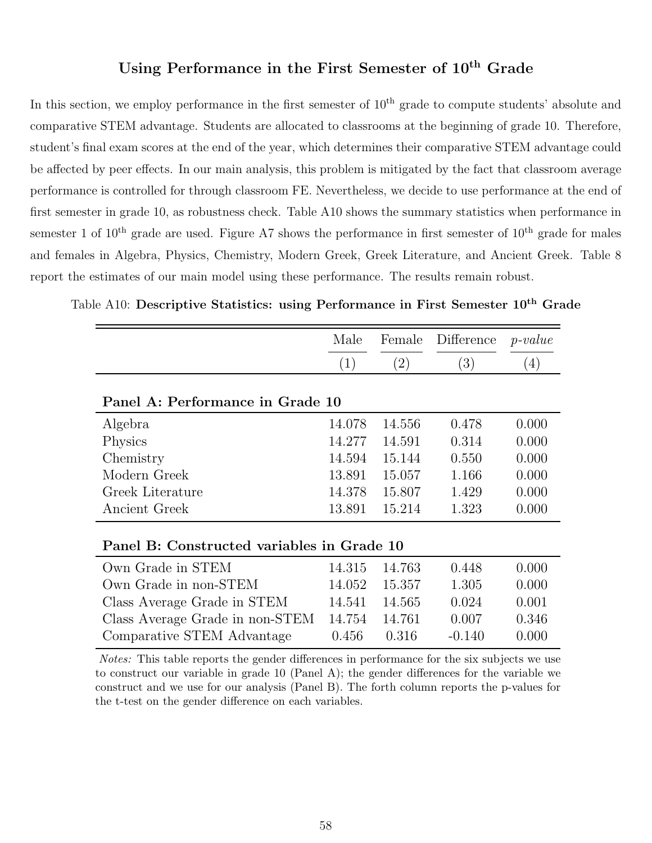## Using Performance in the First Semester of  $10<sup>th</sup>$  Grade

In this section, we employ performance in the first semester of  $10<sup>th</sup>$  grade to compute students' absolute and comparative STEM advantage. Students are allocated to classrooms at the beginning of grade 10. Therefore, student's final exam scores at the end of the year, which determines their comparative STEM advantage could be affected by peer effects. In our main analysis, this problem is mitigated by the fact that classroom average performance is controlled for through classroom FE. Nevertheless, we decide to use performance at the end of first semester in grade 10, as robustness check. Table [A10](#page-59-0) shows the summary statistics when performance in semester 1 of  $10^{th}$  grade are used. Figure [A7](#page-66-0) shows the performance in first semester of  $10^{th}$  grade for males and females in Algebra, Physics, Chemistry, Modern Greek, Greek Literature, and Ancient Greek. Table [8](#page-41-0) report the estimates of our main model using these performance. The results remain robust.

|                                            | Male   | Female            | Difference | $p-value$ |
|--------------------------------------------|--------|-------------------|------------|-----------|
|                                            | (1)    | $\left( 2\right)$ | (3)        | (4)       |
|                                            |        |                   |            |           |
| Panel A: Performance in Grade 10           |        |                   |            |           |
| Algebra                                    | 14.078 | 14.556            | 0.478      | 0.000     |
| <b>Physics</b>                             | 14.277 | 14.591            | 0.314      | 0.000     |
| Chemistry                                  | 14.594 | 15.144            | 0.550      | 0.000     |
| Modern Greek                               | 13.891 | 15.057            | 1.166      | 0.000     |
| Greek Literature                           | 14.378 | 15.807            | 1.429      | 0.000     |
| Ancient Greek                              | 13.891 | 15.214            | 1.323      | 0.000     |
|                                            |        |                   |            |           |
| Panel B: Constructed variables in Grade 10 |        |                   |            |           |
| Own Grade in STEM                          | 14.315 | 14.763            | 0.448      | 0.000     |
| Own Grade in non-STEM                      | 14.052 | 15.357            | 1.305      | 0.000     |
| Class Average Grade in STEM                | 14.541 | 14.565            | 0.024      | 0.001     |
| Class Average Grade in non-STEM            | 14.754 | 14.761            | 0.007      | 0.346     |
| Comparative STEM Advantage                 | 0.456  | 0.316             | $-0.140$   | 0.000     |

<span id="page-59-0"></span>Table A10: Descriptive Statistics: using Performance in First Semester 10<sup>th</sup> Grade

Notes: This table reports the gender differences in performance for the six subjects we use to construct our variable in grade 10 (Panel A); the gender differences for the variable we construct and we use for our analysis (Panel B). The forth column reports the p-values for the t-test on the gender difference on each variables.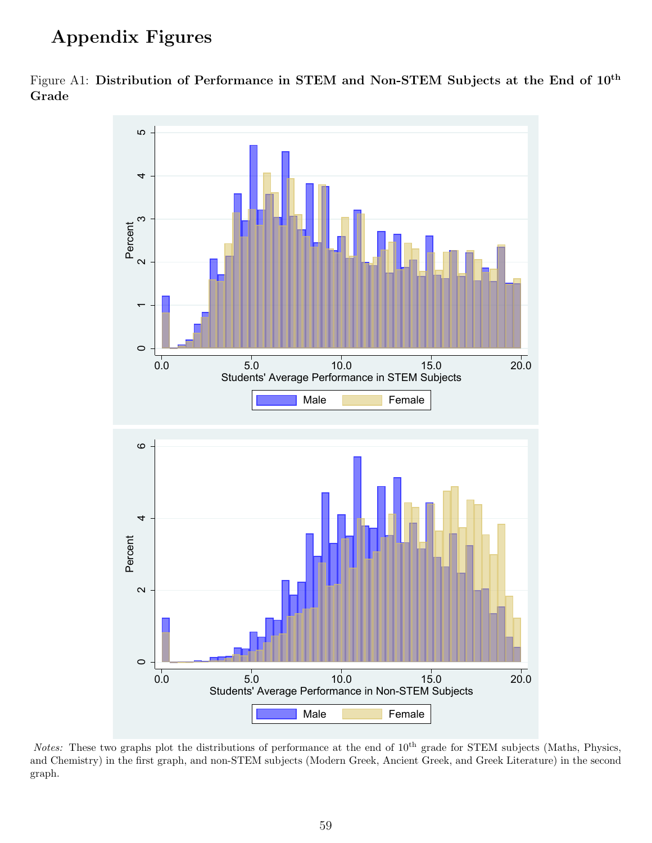# Appendix Figures



<span id="page-60-0"></span>Figure A1: Distribution of Performance in STEM and Non-STEM Subjects at the End of 10th Grade

Notes: These two graphs plot the distributions of performance at the end of 10<sup>th</sup> grade for STEM subjects (Maths, Physics, and Chemistry) in the first graph, and non-STEM subjects (Modern Greek, Ancient Greek, and Greek Literature) in the second graph.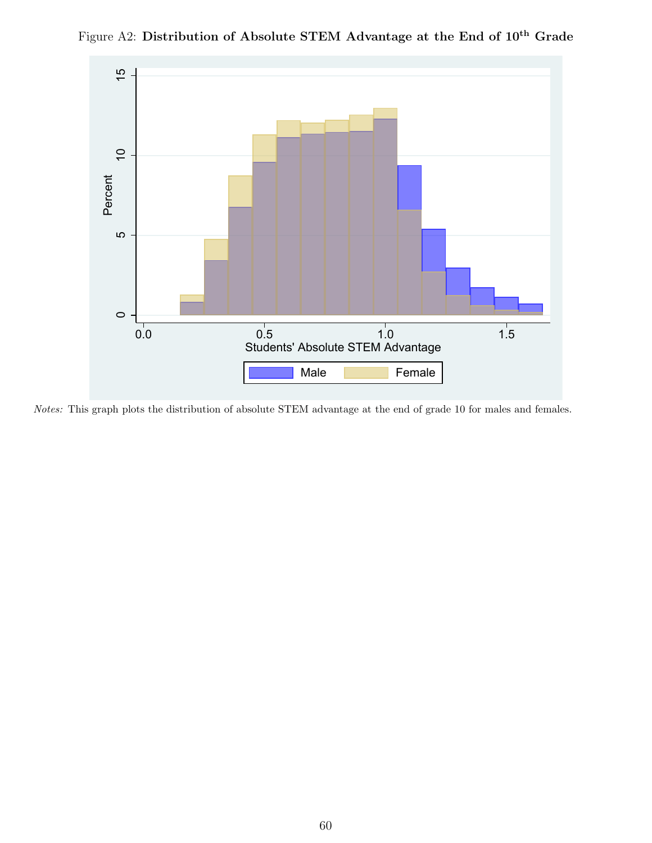

<span id="page-61-0"></span>Figure A2: Distribution of Absolute STEM Advantage at the End of  $10^{th}$  Grade

Notes: This graph plots the distribution of absolute STEM advantage at the end of grade 10 for males and females.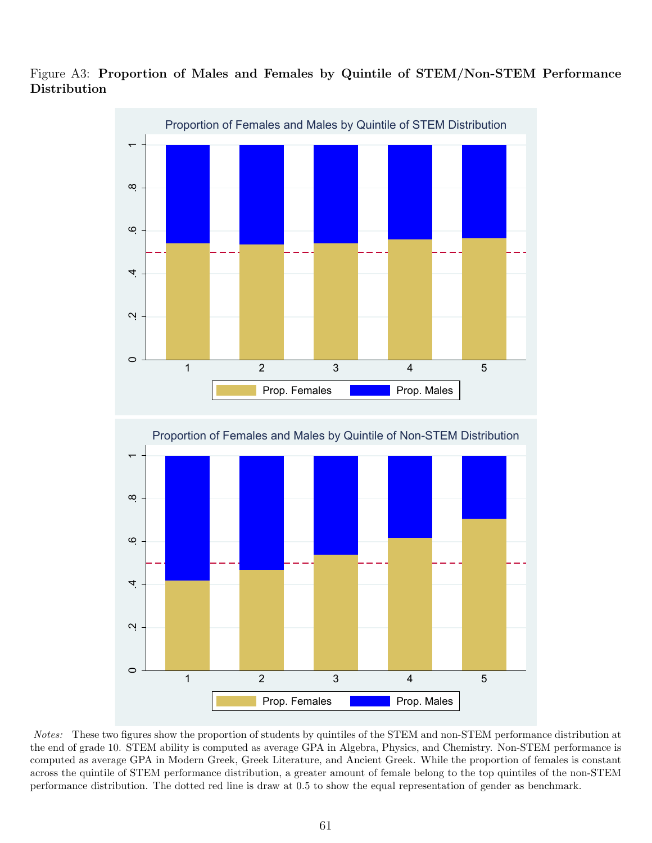

<span id="page-62-0"></span>Figure A3: Proportion of Males and Females by Quintile of STEM/Non-STEM Performance Distribution

Notes: These two figures show the proportion of students by quintiles of the STEM and non-STEM performance distribution at the end of grade 10. STEM ability is computed as average GPA in Algebra, Physics, and Chemistry. Non-STEM performance is computed as average GPA in Modern Greek, Greek Literature, and Ancient Greek. While the proportion of females is constant across the quintile of STEM performance distribution, a greater amount of female belong to the top quintiles of the non-STEM performance distribution. The dotted red line is draw at 0.5 to show the equal representation of gender as benchmark.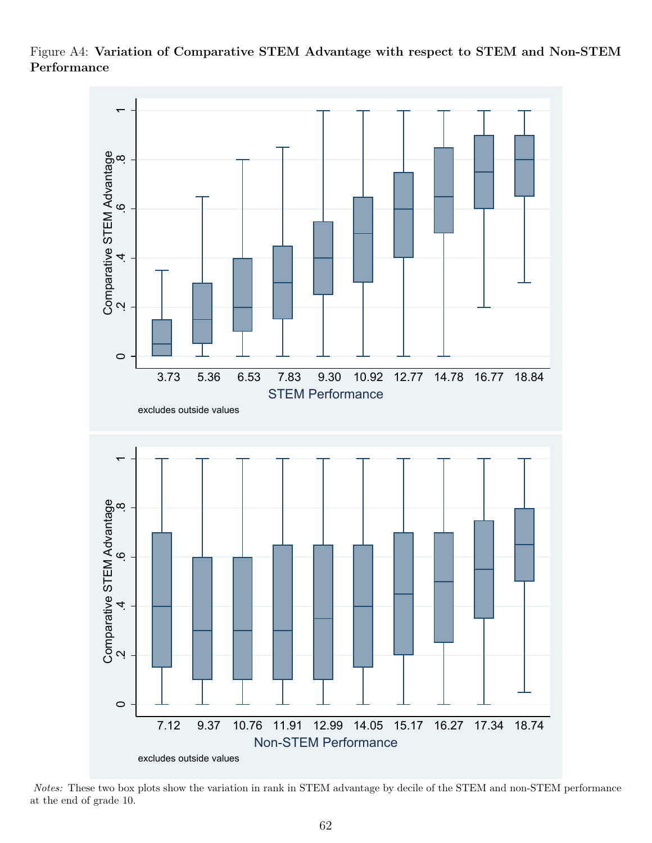<span id="page-63-0"></span>Figure A4: Variation of Comparative STEM Advantage with respect to STEM and Non-STEM Performance



Notes: These two box plots show the variation in rank in STEM advantage by decile of the STEM and non-STEM performance at the end of grade 10.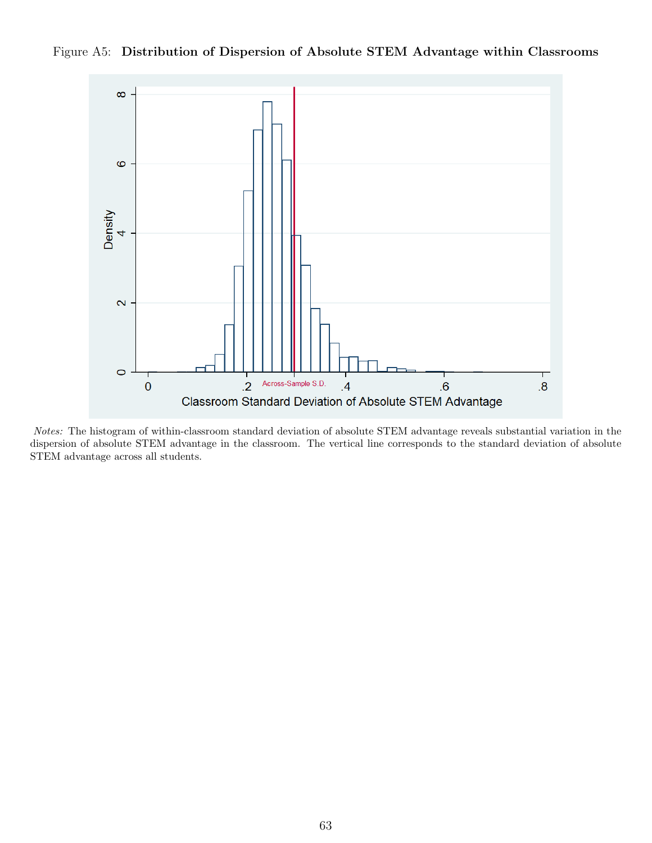<span id="page-64-0"></span>



Notes: The histogram of within-classroom standard deviation of absolute STEM advantage reveals substantial variation in the dispersion of absolute STEM advantage in the classroom. The vertical line corresponds to the standard deviation of absolute STEM advantage across all students.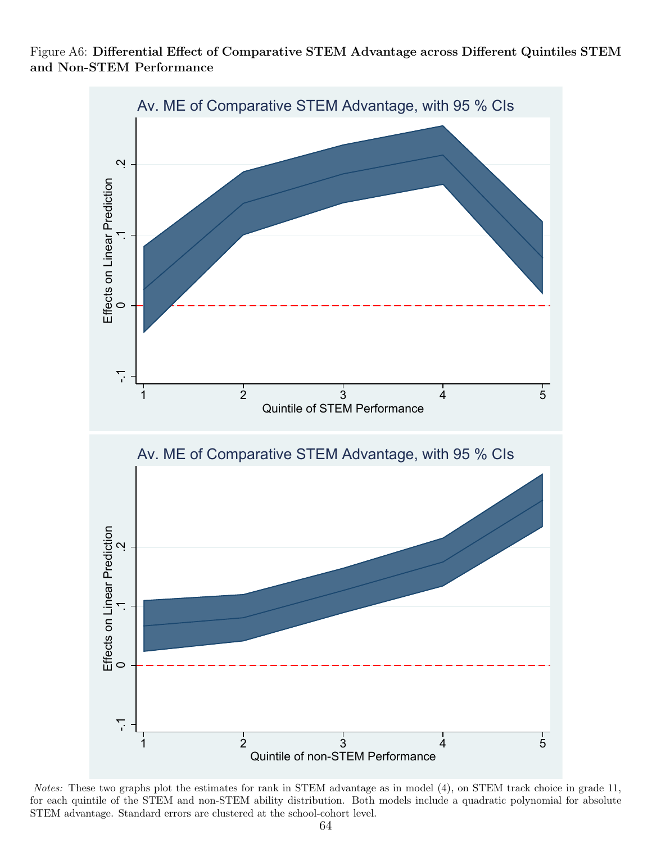

<span id="page-65-0"></span>Figure A6: Differential Effect of Comparative STEM Advantage across Different Quintiles STEM and Non-STEM Performance

Notes: These two graphs plot the estimates for rank in STEM advantage as in model [\(4\)](#page-15-2), on STEM track choice in grade 11, for each quintile of the STEM and non-STEM ability distribution. Both models include a quadratic polynomial for absolute STEM advantage. Standard errors are clustered at the school-cohort level.